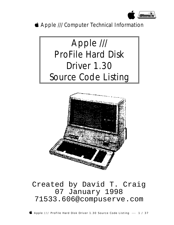

*S* Apple /// Computer Technical Information





## Created by David T. Craig 07 January 1998 71533.606@compuserve.com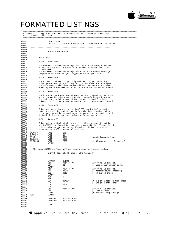

## FORMATTED LISTINGS

; #################################################################################################### ; # PROJECT : Apple /// SOS Profile Driver 1.30 (6502 Assembly Source Code) ; # FILE NAME: PROFILE.TEXT ; ####################################################################################################

| 000001                   |                                   |                                   | NOPATCHLIST.        |                                                                                                                                         |                                          |
|--------------------------|-----------------------------------|-----------------------------------|---------------------|-----------------------------------------------------------------------------------------------------------------------------------------|------------------------------------------|
| 000002<br>000003         |                                   |                                   | . TITLE             | "SOS Profile Driver -- Version 1.30 14-Jan-83"                                                                                          |                                          |
| $000004$ ;-              |                                   | -------------------               |                     |                                                                                                                                         |                                          |
| $000005$ ;               |                                   |                                   |                     |                                                                                                                                         |                                          |
| 000006 ;<br>$000007$ ;   |                                   |                                   | SOS Profile Driver  |                                                                                                                                         |                                          |
| $000008$ ;               |                                   |                                   |                     |                                                                                                                                         |                                          |
| $000009$ ;               |                                   | Revisions:                        |                     |                                                                                                                                         |                                          |
| $000010$ ;<br>000011 ;   |                                   |                                   | 1.10R 05-May-82     |                                                                                                                                         |                                          |
| 000012 i                 |                                   |                                   |                     |                                                                                                                                         |                                          |
| 000013 :                 |                                   |                                   |                     | The GOODEXIT routine was changed to complete the dummy handshake                                                                        |                                          |
| 000014 ;<br>000015 j     |                                   | on the disk.                      |                     | so any pending Profile spare table updates would get rewritten                                                                          |                                          |
| 000016 ;                 |                                   |                                   |                     | The GETBYTES routine was changed so a bad block number would get                                                                        |                                          |
| 000017 ;<br>$000018$ ;   |                                   |                                   |                     | flagged as such and not get flagged as a bad byte count.                                                                                |                                          |
| $000019$ ;               |                                   |                                   | 1.11R 12-May-82     |                                                                                                                                         |                                          |
| $000020$ ;               |                                   |                                   |                     |                                                                                                                                         |                                          |
| $000021$ ;<br>000022 :   |                                   |                                   |                     | The driver is slowed to 1MHz only when talking to the card and<br>doing psuedo DMA; this will enable it to make the 5:1 interleave.     |                                          |
| 000023 :                 |                                   |                                   |                     | The reference to the clear parity address that occurs just after                                                                        |                                          |
| $000024$ ;<br>$000025$ ; |                                   |                                   |                     | entering the driver was corrected to be a write instead of a read.                                                                      |                                          |
| $000026$ ;               |                                   |                                   | 1.11R 14-May-82     |                                                                                                                                         |                                          |
| $000027$ ;               |                                   |                                   |                     |                                                                                                                                         |                                          |
| $000028$ ;<br>000029 ;   |                                   |                                   |                     | The block ID check was removed when reading to speed up the driver<br>and allow reading the status info which doesn't have a block ID.  |                                          |
| $000030$ ;               |                                   |                                   |                     | The 2nd reset, which prevented the read/write head from being                                                                           |                                          |
| 000031 ;<br>000032 :     |                                   |                                   |                     | retracted off the data area on read and write errors, was removed.                                                                      |                                          |
| 000033 :                 |                                   |                                   | 1.12R 01-Sep-82     |                                                                                                                                         |                                          |
| 000034 :                 |                                   |                                   |                     |                                                                                                                                         |                                          |
| 000035 :<br>$000036$ ;   |                                   |                                   |                     | Interrupts were disabled in the LAST_PGE routine before saving<br>bytes 0 and FE, instead of just before the data transfer, since       |                                          |
| 000037 :                 |                                   |                                   |                     | those bytes might be changed by an interrupt routine, and the old                                                                       |                                          |
| $000038$ ;               |                                   |                                   |                     | instead of the new (correct) values would get restored.                                                                                 |                                          |
| $000039$ ;<br>000040 :   |                                   |                                   | $1.30$ $14$ -Jan-83 |                                                                                                                                         |                                          |
| 000041 :                 |                                   |                                   |                     |                                                                                                                                         |                                          |
| 000042 :<br>000043 :     |                                   |                                   |                     | Interrupts are disabled while modifying the environment register<br>and RSTORENV is changed to leave the screen bit (bit 5) unmodified; |                                          |
| 000044 :                 |                                   |                                   |                     | this eleminates spurious screen flashing. Control code 0 is                                                                             |                                          |
| 000045 :                 |                                   |                                   |                     | processed as a NOP, instead of an error.                                                                                                |                                          |
| $000046$ ;               | 000047 DEVTYPE                    |                                   | .EQU                | OD1                                                                                                                                     |                                          |
|                          | 000048 SUBTYPE                    |                                   | .EQU                | 01                                                                                                                                      |                                          |
|                          | 000049 MANUF                      |                                   | .EQU                | 0001<br>1300                                                                                                                            | ;Apple Computer Inc.                     |
|                          | 000050 RELEASE<br>000051 MAXBLOCK |                                   | .EQU<br>.EQU        | 1300<br>2600                                                                                                                            | i4.86 megabytes (+16K spares)            |
| 000052                   |                                   |                                   | . PAGE              |                                                                                                                                         |                                          |
| 000054;                  |                                   | 000053 $i$ ---------------------- |                     |                                                                                                                                         |                                          |
| 000055 i                 |                                   |                                   |                     | The macro SWITCH performs an N way branch based on a switch index.                                                                      |                                          |
| 000056 ;                 |                                   |                                   |                     |                                                                                                                                         |                                          |
| 000057 :<br>$000058$ ;   |                                   |                                   |                     | SWITCH [index], [bounds], adrs_table, [*]                                                                                               |                                          |
|                          |                                   |                                   |                     |                                                                                                                                         |                                          |
| 000060<br>000061         |                                   |                                   | .MACRO              |                                                                                                                                         |                                          |
| 000062                   |                                   |                                   | .IF                 | SWITCH<br>"왕1" <> ""                                                                                                                    | ;If PARM1 is present,                    |
| 000063                   |                                   |                                   | LDA                 | $\$1$                                                                                                                                   | ; Load A with switch index               |
| 000064<br>000065         |                                   |                                   | $.$ ENDC<br>.IF     | "%2" <> ""                                                                                                                              | ; If PARM2 is present,                   |
| 000066                   |                                   |                                   | CMP                 | #%2+1                                                                                                                                   | ; Perform bounds checking                |
| 000067                   |                                   |                                   | <b>BCS</b>          | \$010                                                                                                                                   | ; on switch index                        |
| 000068<br>000069         |                                   |                                   | .ENDC<br>ASL        | Α                                                                                                                                       |                                          |
| 000070                   |                                   |                                   | TAY                 |                                                                                                                                         |                                          |
| 000071<br>000072         |                                   |                                   | LDA<br>PHA          | $83 + 1, Y$                                                                                                                             | ;Get switch address from table           |
| 000073                   |                                   |                                   | LDA                 | 83, Y                                                                                                                                   | ; and push onto stack                    |
| 000074                   |                                   |                                   | PHA                 |                                                                                                                                         |                                          |
| 000075<br>000076         |                                   |                                   | .IF<br>RTS          | "%4" <> "*"                                                                                                                             | ; If PARM4 is omitted,<br>; Exit to code |
| 000077                   |                                   |                                   | . ENDC              |                                                                                                                                         | :Otherwise, drop through                 |
| 000078<br>000079         | \$010                             |                                   | . ENDM              |                                                                                                                                         |                                          |
| 000080                   |                                   |                                   | .INCLUDE            | PROFILE.A.TEXT                                                                                                                          |                                          |
| 000081                   |                                   |                                   | .INCLUDE            | PROFILE.B.TEXT                                                                                                                          |                                          |
| 000082<br>000083         |                                   |                                   | . END               |                                                                                                                                         |                                          |
| 000084                   |                                   |                                   |                     |                                                                                                                                         |                                          |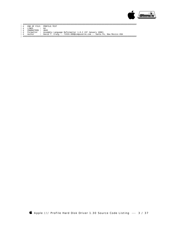

; ####################################################################################################

- ; # END OF FILE: PROFILE.TEXT ; # LINES : 84 ; # CHARACTERS : 4045
- 
- 
- 
- ; # Formatter : Assembly Language Reformatter 1.0.2 (07 January 1998) ; # Author : David T. Craig -- 71533.606@compuserve.com -- Santa Fe, New Mexico USA ; ####################################################################################################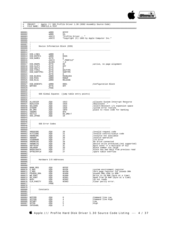

; #################################################################################################### ; # PROJECT : Apple /// SOS Profile Driver 1.30 (6502 Assembly Source Code) ; # FILE NAME: PROFILE.A.TEXT ; #################################################################################################### 000001 .WORD 0FFFF<br>000002 .WORD 59 000002 .WORD<br>000003 .ASCII 000003 .ASCII "Profile Driver -- " "Copyright (C) 1983 by Apple Computer Inc." 000005<br>000006 000006 ;---------------------------------------------------------------------- 000007<br>000008 Device Information Block (DIB)  $000009$ <br> $000010$ 000010 ;---------------------------------------------------------------------- 000011<br>000012 000012 DIB\_LINK1 .WORD 0<br>000013 DIB\_ENTRY1 .WORD MAIN 000013 DIB\_ENTRY1 .WORD<br>000014 DIB\_NAME1 RYTE 000014 DIB\_NAME1 .BYTE<br>000015 .ASCII 000014 DIB\_NAME1 .BYTE 8<br>000015 .ASCII ".PROFILE"<br>000016 .BLOCK 7,0 000016 .BLOCK 7,0<br>000017 DTB DNIM1 .BYTE 80 000017 DIB\_DNUM1 .BYTE 80 ;active, no page alignment 000017 DIB\_DNUM1 .BYTE 80<br>000018 DIB\_SLOT1 .BYTE 0F<br>000019 DIB\_UNIT1 .BYTE 0 000019 DIB\_UNIT1 .BYTE 0<br>000020 DIB\_TYPE1 RYTE DEVTYPE 000020 DIB\_TYPE1 .BYTE DEVTYPE<br>000021 DIB\_SUBTYPE1 .BYTE SUBTYPE DIB\_SUBTYPE1 .BYTE SUBTYPE1 .BYTE SUBTYPE1 .BYTE 0 000022 .BYTE 0 000023 DIB\_BLOCK1 .WORD MAXBL .WORD MANUF 000024 DIB\_MID1 .WORD MANUF 000025 DIB\_RLS1 000026<br>000027 DIB\_DCBCNT1 .WORD 0001 :Configuration Block wrTVER .BYTE 0FF  $000028$  WRTVER 000029 .PAGE 000031<br>000032 ; SOS Global Equates (jump table entry points) 000033 ; 000034 ;---------------------------------------------------------------------- 000035<br>000036 ALLOCSIR 000036 ALLOCSIR .EQU 1913 ;allocate System Interrupt Resource 000037 DEALCSIR .EQU 1916 ;deallocate " " " 000038 SELC800 .EQU 1922 ;select/deselect i/o expansion space 000039 SYSERR .EQU 1928 : system error routine<br>000040 DO\_DMA .EQU 18F0 : iplace to reloc code :<br>000041 INDDMA .EQU 0F0 000040 DO\_DMA .EQU 18F0 .<br>000041 INDDMA .EQU 0F0 . 000041 INDDMA .EQU<br>000042 VECTLO .EQU  $\fbox{\parbox{1\hskip 1.5pt 000042} \begin{tabular}{l} VECTLO \\ 000043 \end{tabular} \begin{tabular}{l} \multicolumn{2}{l}{{\bf \small 000043}} \end{tabular} \begin{tabular}{l} \multicolumn{2}{l}{{\bf \small 000043}} \end{tabular} \begin{tabular}{l} \multicolumn{2}{l}{{\bf \small 000043}} \end{tabular} \begin{tabular}{l} \multicolumn{2}{l}{{\bf \small 000043}} \end{tabular} \begin{tabular}{l} \multicolumn{2}{l}{{\bf \small 0000$  $SOS\_ZPAGE$ 000044 000045 ;----------------------------------------------------------------------  $000046$  ;<br>000047 ; SOS Error Codes  $000048$  ; 000049 ;---------------------------------------------------------------------- 000050<br>000051 XREOCODE 000051 XREQCODE .EQU 20 ;Invalid request code 000052 XCTLCODE .EQU 21 ;Invalid control/status code 000053 XNORESRC .EQU 25 : resource not available 000054 XBADOP .EQU 26 : resource not available 000054 XBADOP .EQU 26 ;Invalid operation 000055 XIOERROR .EQU 27<br>000056 XNODRIVE .EQU 28 000056 XNODRIVE .EQU 28 ;No drive connected 000057 XNOWRITE .EQU 2B :Device write protected.(not supported)<br>000058 XBYTECNT .EQU 2C :Byte count <> a multiple of 512 000058 XBYTECNT .EQU 2C : Byte count <> a multiple of 512<br>000059 XBLKNUM .EQU 2D : Block number too large 000059 XBLKNUM .EQU 2D ;Block number too large 000060 BADOLDDATA .EQU 27 ;block has bad data from previous read ; spare table overflow  $000062$ <br>000063  $i$ ---000063 ;----------------------------------------------------------------------  $000064$  ;<br>000065 ; ; Hardware I/O Addresses<br>; 000066<br>000067 000067 ;---------------------------------------------------------------------- 000068 000069 BANK\_REG .EQU 0FFEF<br>000070 E\_REG .EQU 0FFEF 000070 E\_REG .EQU 0FFDF ;system environment register 000071 Z\_REG .EQU 0FFD0 ;Zero page register for psuedo DMA 000072 PSUEDO\_DMA .EQU 0F800 ;psuedo DMA code in ROM. 000073 WR\_PORT .EQU 0C080 .WINTE : FORT .EQU 0C080 .WINTE TO Z8 RAM (byte at a time)<br>000074 RD\_PORT .EQU 0C081 .Winte to Z8 RAM (byte at a time)<br>000075 BUSY .EOU 0C082 .Z8 not ready 000074  $R\overline{D}$  PORT . EQU 0C081 . Read from Z8 RAM (byte at a time)<br>000075 BUSY . EOU 0C082 . 28 not ready 000074 RD\_PORT . EQU 000075<br>000075 BUSY .EQU 0C081<br>000075 BUSY .EQU 0C082<br>000076 CLR\_PARITY .EQU 0C083 000076 CLR\_PARITY .EQU 0C083 ;Clear parity error. 000077 .PAGE 000078 ;----------------------------------------------------------------------  $000079$  ;<br>000080 : Constants 000081 ; 000082 ;---------------------------------------------------------------------- 000083<br>000084 NOTCMD 000084 NOTCMD .EQU 0 ;Command line Low 000085 SETCMD . EQU 4  $\overline{2}$  : Command line High 000086 SETWRT . EQU 1  $\overline{2}$ 000086 SETWRT .EQU 1 .EQU 1 000087 SETRD .EQU 5 ;High

 $000088$  INTDSABL .EQU 2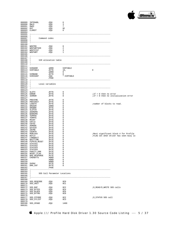

| 000089 INTENABL<br>000090 RWLO                                                                                                                                                                                                                                                                                                                                                                                                                                                 | .EQU<br>. EQU                   | 6<br>3                                               |                                                                                |
|--------------------------------------------------------------------------------------------------------------------------------------------------------------------------------------------------------------------------------------------------------------------------------------------------------------------------------------------------------------------------------------------------------------------------------------------------------------------------------|---------------------------------|------------------------------------------------------|--------------------------------------------------------------------------------|
| 000091 RWHI                                                                                                                                                                                                                                                                                                                                                                                                                                                                    | . EQU                           | $\overline{7}$                                       |                                                                                |
| 000092 RST                                                                                                                                                                                                                                                                                                                                                                                                                                                                     | .EQU<br>.EQU                    | $_{0c}$                                              |                                                                                |
| 000093 CLRRST                                                                                                                                                                                                                                                                                                                                                                                                                                                                  | . EQU                           | - 8                                                  |                                                                                |
| 000094                                                                                                                                                                                                                                                                                                                                                                                                                                                                         |                                 |                                                      |                                                                                |
| 000096 ;                                                                                                                                                                                                                                                                                                                                                                                                                                                                       |                                 |                                                      |                                                                                |
| 000097 ;                                                                                                                                                                                                                                                                                                                                                                                                                                                                       | Command codes                   |                                                      |                                                                                |
| $000098$ ;                                                                                                                                                                                                                                                                                                                                                                                                                                                                     |                                 |                                                      |                                                                                |
| 000100                                                                                                                                                                                                                                                                                                                                                                                                                                                                         |                                 |                                                      |                                                                                |
| 000101 WDGTRD                                                                                                                                                                                                                                                                                                                                                                                                                                                                  |                                 | 0                                                    |                                                                                |
| 000102 WDGTWRTVER                                                                                                                                                                                                                                                                                                                                                                                                                                                              | .EQU<br>.EQU                    | $\overline{\phantom{0}}^2$                           |                                                                                |
| 000103 WDGTSTAT                                                                                                                                                                                                                                                                                                                                                                                                                                                                | .EQU<br>.EQU                    | $\overline{\phantom{a}}$                             |                                                                                |
| 000104 WDGTWRT                                                                                                                                                                                                                                                                                                                                                                                                                                                                 |                                 | $\overline{1}$                                       |                                                                                |
|                                                                                                                                                                                                                                                                                                                                                                                                                                                                                |                                 |                                                      |                                                                                |
| $000107$ ;                                                                                                                                                                                                                                                                                                                                                                                                                                                                     |                                 |                                                      |                                                                                |
| $000108$ ;                                                                                                                                                                                                                                                                                                                                                                                                                                                                     | SIR allocation table            |                                                      |                                                                                |
| $000109$ ;                                                                                                                                                                                                                                                                                                                                                                                                                                                                     |                                 |                                                      |                                                                                |
|                                                                                                                                                                                                                                                                                                                                                                                                                                                                                |                                 |                                                      |                                                                                |
|                                                                                                                                                                                                                                                                                                                                                                                                                                                                                |                                 |                                                      |                                                                                |
| 000112 SIRADDR<br>000113 SIRTABLE                                                                                                                                                                                                                                                                                                                                                                                                                                              | .WORD<br>.BYTE                  | SIRTABLE<br>10,                                      | 0                                                                              |
| 000114                                                                                                                                                                                                                                                                                                                                                                                                                                                                         | .WORD                           | $\overline{\mathbf{0}}$                              |                                                                                |
| 000115 SIRBANK                                                                                                                                                                                                                                                                                                                                                                                                                                                                 | .BYTE                           | $\overline{0}$                                       |                                                                                |
| 000116 SIRCOUNT<br>000117                                                                                                                                                                                                                                                                                                                                                                                                                                                      | .EQU                            | *-SIRTABLE                                           |                                                                                |
|                                                                                                                                                                                                                                                                                                                                                                                                                                                                                | . PAGE                          |                                                      |                                                                                |
| $000119$ ;                                                                                                                                                                                                                                                                                                                                                                                                                                                                     |                                 |                                                      |                                                                                |
| $000120$ ;                                                                                                                                                                                                                                                                                                                                                                                                                                                                     | Local variables                 |                                                      |                                                                                |
| $000121$ ;                                                                                                                                                                                                                                                                                                                                                                                                                                                                     |                                 |                                                      |                                                                                |
|                                                                                                                                                                                                                                                                                                                                                                                                                                                                                |                                 |                                                      |                                                                                |
|                                                                                                                                                                                                                                                                                                                                                                                                                                                                                | $-BYTE$                         | $\overline{\phantom{0}}$                             |                                                                                |
| 000124 SLOTX<br>000125 ERROR                                                                                                                                                                                                                                                                                                                                                                                                                                                   | . BYTE                          | $\overline{\phantom{0}}$                             | $i$ if = 0 then no error                                                       |
| 000126 IERROR                                                                                                                                                                                                                                                                                                                                                                                                                                                                  | . BYTE                          | $\overline{\phantom{0}}$                             | $i$ if = 0 then no initialization error                                        |
|                                                                                                                                                                                                                                                                                                                                                                                                                                                                                |                                 |                                                      |                                                                                |
| 000128 PREVCMD                                                                                                                                                                                                                                                                                                                                                                                                                                                                 | . BYTE                          | $\begin{matrix} 0 \\ 0 \end{matrix}$                 |                                                                                |
| 000129 PREVUNIT                                                                                                                                                                                                                                                                                                                                                                                                                                                                | .BYTE                           |                                                      |                                                                                |
| 000130 LENGTH<br>000131 ORGADR                                                                                                                                                                                                                                                                                                                                                                                                                                                 | $-BYTE$                         | $\overline{\phantom{0}}$<br>$\overline{\phantom{0}}$ | ;number of blocks to read.                                                     |
| 000132 ORGBNK                                                                                                                                                                                                                                                                                                                                                                                                                                                                  | .WORD<br>.BYTE                  | $\overline{\phantom{0}}$                             |                                                                                |
|                                                                                                                                                                                                                                                                                                                                                                                                                                                                                | . BYTE                          | $\overline{\phantom{0}}$                             |                                                                                |
| 000133 SLOTCN<br>000134 ADDRDMA                                                                                                                                                                                                                                                                                                                                                                                                                                                | .BYTE                           | $\overline{\phantom{0}}$                             |                                                                                |
| 000135 BANKDMA                                                                                                                                                                                                                                                                                                                                                                                                                                                                 | . BYTE                          | $\overline{\phantom{0}}$                             |                                                                                |
| 000136 TEMP00                                                                                                                                                                                                                                                                                                                                                                                                                                                                  | . BYTE<br>. BYTE                | $\overline{\phantom{0}}$                             |                                                                                |
| 000137 TEMPFE                                                                                                                                                                                                                                                                                                                                                                                                                                                                  |                                 | $\overline{\phantom{0}}$                             |                                                                                |
| 000138 MVCNT<br>000139 CNTLO                                                                                                                                                                                                                                                                                                                                                                                                                                                   | . BYTE<br>.BYTE                 | $\overline{0}$<br>$\overline{\phantom{0}}$           |                                                                                |
| 000140 CNTHI                                                                                                                                                                                                                                                                                                                                                                                                                                                                   | .BYTE                           | $\overline{\phantom{0}}$                             |                                                                                |
| 000141 ADMODE                                                                                                                                                                                                                                                                                                                                                                                                                                                                  | . BYTE                          | $\overline{\phantom{0}}$                             |                                                                                |
| 000142 DATDIR                                                                                                                                                                                                                                                                                                                                                                                                                                                                  | . BYTE                          | $\overline{\phantom{0}}$                             |                                                                                |
| 000143 Z8CMD                                                                                                                                                                                                                                                                                                                                                                                                                                                                   | .BYTE                           | $\overline{\phantom{0}}$                             |                                                                                |
| 000144 COUNTR                                                                                                                                                                                                                                                                                                                                                                                                                                                                  | . BYTE                          | $\overline{\phantom{0}}$                             |                                                                                |
| 000145 MSBLOCK<br>000146 BSYLO                                                                                                                                                                                                                                                                                                                                                                                                                                                 | . BYTE<br>.BYTE                 | $\overline{\phantom{0}}$<br>$\overline{\phantom{0}}$ | Most significant block # for Profile<br>;FLAG set when driver has seen busy lo |
|                                                                                                                                                                                                                                                                                                                                                                                                                                                                                |                                 | $\overline{\phantom{0}}$                             |                                                                                |
| $\begin{tabular}{@{}lllllllllllll@{}} \multicolumn{1}{c}{000146} & $\multicolumn{1}{c}{\multicolumn{1}{c}{\multicolumn{1}{c}{\multicolumn{1}{c}{\multicolumn{1}{c}{\multicolumn{1}{c}{\multicolumn{1}{c}{\multicolumn{1}{c}{\multicolumn{1}{c}{\multicolumn{1}{c}{\multicolumn{1}{c}{\multicolumn{1}{c}{\multicolumn{1}{c}{\multicolumn{1}{c}{\multicolumn{1}{c}{\multicolumn{1}{c}{\multicolumn{1}{c}{\multicolumn{1}{c}{\multicolumn{1}{c}{\multicolumn{1}{c}{\multicolumn{$ |                                 | $\overline{\phantom{0}}$                             |                                                                                |
|                                                                                                                                                                                                                                                                                                                                                                                                                                                                                |                                 | - 0                                                  |                                                                                |
|                                                                                                                                                                                                                                                                                                                                                                                                                                                                                |                                 | $\overline{\phantom{0}}$                             |                                                                                |
|                                                                                                                                                                                                                                                                                                                                                                                                                                                                                |                                 | $\overline{\phantom{0}}$                             |                                                                                |
| 000152 STATUS3                                                                                                                                                                                                                                                                                                                                                                                                                                                                 | .BYTE                           | $\overline{\phantom{0}}$                             |                                                                                |
|                                                                                                                                                                                                                                                                                                                                                                                                                                                                                |                                 | 0<br>$\overline{\phantom{0}}$                        |                                                                                |
|                                                                                                                                                                                                                                                                                                                                                                                                                                                                                |                                 |                                                      |                                                                                |
| $\begin{tabular}{ll} 000153 & \texttt{STATUS4} & \texttt{.BTTE} \\ 000154 & \texttt{PARITY\_ERR} & \texttt{.BTTE} \\ 000156 & \texttt{RSET\_FLAG} & \texttt{.BTTE} \\ 000156 & \texttt{BAD\_RESPONSE} & \texttt{.BTTE} \\ 000157 & \texttt{CHEKEYTS} & \texttt{.WORD} \\ 000158 & \texttt{WORD} & \texttt{WORD} \\ \end{tabular}$                                                                                                                                              |                                 | $\begin{matrix}0\\0\end{matrix}$                     |                                                                                |
|                                                                                                                                                                                                                                                                                                                                                                                                                                                                                |                                 | $\overline{\phantom{0}}$                             |                                                                                |
|                                                                                                                                                                                                                                                                                                                                                                                                                                                                                | . WORD                          | $\overline{\phantom{0}}$                             |                                                                                |
|                                                                                                                                                                                                                                                                                                                                                                                                                                                                                |                                 | $\overline{\phantom{0}}$                             |                                                                                |
|                                                                                                                                                                                                                                                                                                                                                                                                                                                                                |                                 | $\overline{\phantom{0}}$                             |                                                                                |
| WORD .<br>000160 SVENV .BYTE<br>000161 DMA_CNT .BYTE<br>000162                                                                                                                                                                                                                                                                                                                                                                                                                 |                                 | $\overline{\phantom{0}}$                             |                                                                                |
|                                                                                                                                                                                                                                                                                                                                                                                                                                                                                | . PAGE                          |                                                      |                                                                                |
| 000164 ;                                                                                                                                                                                                                                                                                                                                                                                                                                                                       |                                 |                                                      |                                                                                |
| 000165 ; SOS Call Parameter Locations                                                                                                                                                                                                                                                                                                                                                                                                                                          |                                 |                                                      |                                                                                |
| $\mathbf{r}$                                                                                                                                                                                                                                                                                                                                                                                                                                                                   |                                 |                                                      |                                                                                |
|                                                                                                                                                                                                                                                                                                                                                                                                                                                                                |                                 |                                                      |                                                                                |
|                                                                                                                                                                                                                                                                                                                                                                                                                                                                                |                                 |                                                      |                                                                                |
| 000169 SOS_REQCODE .EQU<br>000170 SOS_UNIT                                                                                                                                                                                                                                                                                                                                                                                                                                     | .EQU                            | 0 <sub>C</sub> 0<br>$_{0c1}$                         |                                                                                |
|                                                                                                                                                                                                                                                                                                                                                                                                                                                                                |                                 |                                                      |                                                                                |
| SOS_BUF                                                                                                                                                                                                                                                                                                                                                                                                                                                                        |                                 |                                                      | ;D_READ/D_WRITE SOS calls                                                      |
| SOS_BYTES                                                                                                                                                                                                                                                                                                                                                                                                                                                                      | EQU<br>EQU<br>EQU<br>EQU<br>EQU | 0C2<br>0C4<br>0C6                                    |                                                                                |
| SOS_BLOCK                                                                                                                                                                                                                                                                                                                                                                                                                                                                      |                                 |                                                      |                                                                                |
| SOS_BYTRD                                                                                                                                                                                                                                                                                                                                                                                                                                                                      |                                 | $_{0C8}$                                             |                                                                                |
|                                                                                                                                                                                                                                                                                                                                                                                                                                                                                |                                 |                                                      |                                                                                |
| SOS_STCODE .EQU<br>SOS_STLIST .EQU                                                                                                                                                                                                                                                                                                                                                                                                                                             |                                 | 0C2<br>$_{0C3}$                                      | ;D_STATUS SOS call                                                             |
|                                                                                                                                                                                                                                                                                                                                                                                                                                                                                |                                 |                                                      |                                                                                |
| 000180 SOS_XPAGE .EQU                                                                                                                                                                                                                                                                                                                                                                                                                                                          |                                 | 1400                                                 |                                                                                |
|                                                                                                                                                                                                                                                                                                                                                                                                                                                                                |                                 |                                                      |                                                                                |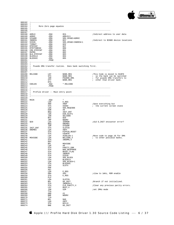

|                                                           | More Zero page equates          |                                                                                                                                                                                                                                                                                                                                                                                                                                                                |                                                                                             |
|-----------------------------------------------------------|---------------------------------|----------------------------------------------------------------------------------------------------------------------------------------------------------------------------------------------------------------------------------------------------------------------------------------------------------------------------------------------------------------------------------------------------------------------------------------------------------------|---------------------------------------------------------------------------------------------|
| $000185$ ;                                                |                                 |                                                                                                                                                                                                                                                                                                                                                                                                                                                                |                                                                                             |
|                                                           |                                 | 0CA                                                                                                                                                                                                                                                                                                                                                                                                                                                            | ;Indirect address to user data                                                              |
|                                                           |                                 | 0CA<br>ADRLO+1<br>SOS_XPAGE+ADRHI<br>CC<br>SOS_XPAGE+INDRCN+1<br>0CE<br>OCF<br>0DD<br>0D1<br>0D2<br>0D3<br>0D4<br>0D5<br>------                                                                                                                                                                                                                                                                                                                                |                                                                                             |
|                                                           |                                 |                                                                                                                                                                                                                                                                                                                                                                                                                                                                |                                                                                             |
|                                                           |                                 |                                                                                                                                                                                                                                                                                                                                                                                                                                                                | ;Indirect to \$CN00 device locations                                                        |
|                                                           |                                 |                                                                                                                                                                                                                                                                                                                                                                                                                                                                |                                                                                             |
|                                                           |                                 |                                                                                                                                                                                                                                                                                                                                                                                                                                                                |                                                                                             |
|                                                           |                                 |                                                                                                                                                                                                                                                                                                                                                                                                                                                                |                                                                                             |
|                                                           |                                 |                                                                                                                                                                                                                                                                                                                                                                                                                                                                |                                                                                             |
|                                                           |                                 |                                                                                                                                                                                                                                                                                                                                                                                                                                                                |                                                                                             |
|                                                           |                                 |                                                                                                                                                                                                                                                                                                                                                                                                                                                                |                                                                                             |
|                                                           |                                 |                                                                                                                                                                                                                                                                                                                                                                                                                                                                |                                                                                             |
|                                                           |                                 |                                                                                                                                                                                                                                                                                                                                                                                                                                                                |                                                                                             |
|                                                           |                                 |                                                                                                                                                                                                                                                                                                                                                                                                                                                                |                                                                                             |
|                                                           | . PAGE                          |                                                                                                                                                                                                                                                                                                                                                                                                                                                                |                                                                                             |
| $000203$ ;                                                |                                 |                                                                                                                                                                                                                                                                                                                                                                                                                                                                |                                                                                             |
|                                                           |                                 | 000204 ; Psuedo DMA transfer routine. Does bank switching first.                                                                                                                                                                                                                                                                                                                                                                                               |                                                                                             |
| $\cdot$ :                                                 |                                 |                                                                                                                                                                                                                                                                                                                                                                                                                                                                | --------------------------                                                                  |
|                                                           |                                 |                                                                                                                                                                                                                                                                                                                                                                                                                                                                | This Code is moved to \$18F0;                                                               |
|                                                           |                                 | $\begin{tabular}{lllllllllllllll} \multicolumn{4}{c}{000208} & & & \multicolumn{4}{c}{\text{ELCODE}} & & & \multicolumn{4}{c}{\text{LDY}} & & \multicolumn{4}{c}{\text{BANK\_REG}} \\ \multicolumn{4}{c}{000209} & & & \multicolumn{4}{c}{\text{STY}} & & \multicolumn{4}{c}{\text{BANK\_REG}} \\ \multicolumn{4}{c}{000210} & & & \multicolumn{4}{c}{\text{STY}} & & \multicolumn{4}{c}{\text{BANK\_REG}} \\ \multicolumn{4}{c}{000211} & & & \multicolumn{4$ |                                                                                             |
|                                                           |                                 |                                                                                                                                                                                                                                                                                                                                                                                                                                                                | % so the bank can be switched<br>% for psuedo DMA transfers to<br>% other than driver bank. |
|                                                           |                                 |                                                                                                                                                                                                                                                                                                                                                                                                                                                                |                                                                                             |
|                                                           |                                 |                                                                                                                                                                                                                                                                                                                                                                                                                                                                |                                                                                             |
| 000213 CDELEN                                             | RTS<br>.EQU                     | *-RELCODE                                                                                                                                                                                                                                                                                                                                                                                                                                                      |                                                                                             |
|                                                           | . PAGE                          |                                                                                                                                                                                                                                                                                                                                                                                                                                                                |                                                                                             |
|                                                           |                                 |                                                                                                                                                                                                                                                                                                                                                                                                                                                                |                                                                                             |
| $000216$ ;<br>000217 : Profile driver -- Main entry point |                                 |                                                                                                                                                                                                                                                                                                                                                                                                                                                                |                                                                                             |
| $000218$ ;                                                |                                 |                                                                                                                                                                                                                                                                                                                                                                                                                                                                |                                                                                             |
|                                                           |                                 |                                                                                                                                                                                                                                                                                                                                                                                                                                                                |                                                                                             |
| 000221 MAIN                                               | .EQU                            | $\star$<br>-<br>E_REG<br>#0DF<br>SVENV<br>SOS_REQCODE<br>#8<br>***                                                                                                                                                                                                                                                                                                                                                                                             |                                                                                             |
| 000222                                                    | LDA<br>AND                      |                                                                                                                                                                                                                                                                                                                                                                                                                                                                |                                                                                             |
|                                                           |                                 |                                                                                                                                                                                                                                                                                                                                                                                                                                                                | Save everything but                                                                         |
|                                                           | STA                             |                                                                                                                                                                                                                                                                                                                                                                                                                                                                | ; the current screen state                                                                  |
|                                                           | LDA                             |                                                                                                                                                                                                                                                                                                                                                                                                                                                                |                                                                                             |
|                                                           | <b>EOR</b>                      |                                                                                                                                                                                                                                                                                                                                                                                                                                                                |                                                                                             |
|                                                           | BEQ                             |                                                                                                                                                                                                                                                                                                                                                                                                                                                                |                                                                                             |
|                                                           | LDA<br>JSR                      |                                                                                                                                                                                                                                                                                                                                                                                                                                                                |                                                                                             |
|                                                           |                                 |                                                                                                                                                                                                                                                                                                                                                                                                                                                                |                                                                                             |
|                                                           | BCC                             |                                                                                                                                                                                                                                                                                                                                                                                                                                                                |                                                                                             |
|                                                           | JMP                             |                                                                                                                                                                                                                                                                                                                                                                                                                                                                |                                                                                             |
| 000232 \$20                                               | LDA                             |                                                                                                                                                                                                                                                                                                                                                                                                                                                                | ;did D_INIT encounter error?                                                                |
| 000233                                                    |                                 |                                                                                                                                                                                                                                                                                                                                                                                                                                                                |                                                                                             |
|                                                           | EEQ<br>BEQ<br>JSR<br>STA<br>LDA | #8<br>INIT_ENT<br>DIB_SLOT1<br>SELC800<br>\$20<br>NODRV<br>NODRV<br>IERROR<br>ONEMEG<br>SYSERR<br>SLOTN<br>#CDELEN-1<br>RELCODE, X<br>INDPIN_RESET<br>RELCODE, X<br>INDPIN_RESET<br>RELCODE, X<br>INDDMA, X                                                                                                                                                                                                                                                    |                                                                                             |
| 000235 INIT_ENT<br>000236 ONEMEG                          |                                 |                                                                                                                                                                                                                                                                                                                                                                                                                                                                |                                                                                             |
|                                                           |                                 |                                                                                                                                                                                                                                                                                                                                                                                                                                                                |                                                                                             |
|                                                           | STA<br>STA<br>LDX               |                                                                                                                                                                                                                                                                                                                                                                                                                                                                |                                                                                             |
|                                                           |                                 |                                                                                                                                                                                                                                                                                                                                                                                                                                                                |                                                                                             |
|                                                           |                                 |                                                                                                                                                                                                                                                                                                                                                                                                                                                                | Move code to page 18 for DMA                                                                |
| 000240 MOVCODE                                            | LDA<br>STA                      |                                                                                                                                                                                                                                                                                                                                                                                                                                                                | ; to other possible banks.                                                                  |
|                                                           |                                 |                                                                                                                                                                                                                                                                                                                                                                                                                                                                |                                                                                             |
|                                                           | DEX                             |                                                                                                                                                                                                                                                                                                                                                                                                                                                                |                                                                                             |
|                                                           | BPL                             | MOVCODE                                                                                                                                                                                                                                                                                                                                                                                                                                                        |                                                                                             |
|                                                           | LDA                             | #0                                                                                                                                                                                                                                                                                                                                                                                                                                                             |                                                                                             |
|                                                           | STA                             | PARITY_ERR                                                                                                                                                                                                                                                                                                                                                                                                                                                     |                                                                                             |
|                                                           | STA                             | BAD_RESPONSE                                                                                                                                                                                                                                                                                                                                                                                                                                                   |                                                                                             |
|                                                           |                                 |                                                                                                                                                                                                                                                                                                                                                                                                                                                                |                                                                                             |
|                                                           | STA                             | RESET_FLAG                                                                                                                                                                                                                                                                                                                                                                                                                                                     |                                                                                             |
|                                                           | STA                             | INDRCN                                                                                                                                                                                                                                                                                                                                                                                                                                                         |                                                                                             |
|                                                           | STA                             | SISCN                                                                                                                                                                                                                                                                                                                                                                                                                                                          |                                                                                             |
|                                                           | LDA                             | SOS_BLOCK                                                                                                                                                                                                                                                                                                                                                                                                                                                      |                                                                                             |
|                                                           | STA                             | <b>BLOCKLO</b>                                                                                                                                                                                                                                                                                                                                                                                                                                                 |                                                                                             |
|                                                           | LDA                             | SOS_BLOCK+1                                                                                                                                                                                                                                                                                                                                                                                                                                                    |                                                                                             |
|                                                           | STA                             | <b>BLOCKHI</b>                                                                                                                                                                                                                                                                                                                                                                                                                                                 |                                                                                             |
|                                                           | LDX                             | SLOTX                                                                                                                                                                                                                                                                                                                                                                                                                                                          |                                                                                             |
|                                                           | PHP                             |                                                                                                                                                                                                                                                                                                                                                                                                                                                                |                                                                                             |
|                                                           | SEI                             |                                                                                                                                                                                                                                                                                                                                                                                                                                                                |                                                                                             |
|                                                           | LDA                             | E_REG                                                                                                                                                                                                                                                                                                                                                                                                                                                          |                                                                                             |
|                                                           | ORA                             | #83                                                                                                                                                                                                                                                                                                                                                                                                                                                            | islow to 1mhz, ROM enable                                                                   |
|                                                           | STA                             | E_REG                                                                                                                                                                                                                                                                                                                                                                                                                                                          |                                                                                             |
|                                                           | PLP                             |                                                                                                                                                                                                                                                                                                                                                                                                                                                                |                                                                                             |
|                                                           | LDA                             | SLOTCN                                                                                                                                                                                                                                                                                                                                                                                                                                                         |                                                                                             |
|                                                           | BPL                             | GO_INIT                                                                                                                                                                                                                                                                                                                                                                                                                                                        | ;Branch if not initialized.                                                                 |
|                                                           | STA                             | INDRCN+1                                                                                                                                                                                                                                                                                                                                                                                                                                                       |                                                                                             |
|                                                           | STA                             | CLR_PARITY, X                                                                                                                                                                                                                                                                                                                                                                                                                                                  |                                                                                             |
|                                                           | LDY                             | BUSY, X                                                                                                                                                                                                                                                                                                                                                                                                                                                        |                                                                                             |
|                                                           | JSR                             | S2M                                                                                                                                                                                                                                                                                                                                                                                                                                                            | iset 2MHz mode                                                                              |
|                                                           | TYA                             |                                                                                                                                                                                                                                                                                                                                                                                                                                                                |                                                                                             |
|                                                           | AND                             | #1                                                                                                                                                                                                                                                                                                                                                                                                                                                             |                                                                                             |
|                                                           | BNE                             | NODRV                                                                                                                                                                                                                                                                                                                                                                                                                                                          |                                                                                             |
|                                                           | TYA                             |                                                                                                                                                                                                                                                                                                                                                                                                                                                                |                                                                                             |
|                                                           | BPL                             | \$40                                                                                                                                                                                                                                                                                                                                                                                                                                                           | : Clear any previous parity errors.                                                         |
|                                                           | LDA<br>STA                      | #0FF<br><b>BSYLO</b>                                                                                                                                                                                                                                                                                                                                                                                                                                           |                                                                                             |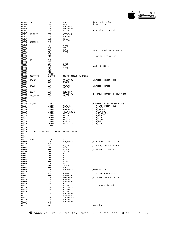

| 000275 \$40                |                                                                              | LDA                            | BSYLO                                                                                                           | thas BSY been low?                                   |
|----------------------------|------------------------------------------------------------------------------|--------------------------------|-----------------------------------------------------------------------------------------------------------------|------------------------------------------------------|
| 000276<br>000277           |                                                                              | BNE<br>JSR                     | GO_INIT<br>RSTORENV                                                                                             | ;branch if so                                        |
| 000278<br>000279<br>000280 |                                                                              | LDA<br><b>JSR</b>              | #XIOERROR<br>SYSERR                                                                                             | <i>i</i> otherwise error exit                        |
| 000282                     | ${\tt 000281\quad GO\_INIT}\qquad\qquad {\tt JSR}\qquad\qquad {\tt DISPATH}$ | JSR                            |                                                                                                                 |                                                      |
| 000283                     |                                                                              | LDA                            | SETUPWRITE<br>#0                                                                                                |                                                      |
| 000284                     |                                                                              | JSR                            | SELC800                                                                                                         |                                                      |
| 000287                     |                                                                              |                                |                                                                                                                 |                                                      |
| 000288                     |                                                                              | LDA                            | E_REG<br>#20                                                                                                    |                                                      |
| 000289<br>000290           |                                                                              | AND<br>ORA<br>STA              | SVENV<br>E_REG                                                                                                  | restore environment register                         |
| 000291<br>000292           |                                                                              | PLP<br><b>RTS</b>              |                                                                                                                 | ; and exit to caller                                 |
| 000293                     |                                                                              |                                |                                                                                                                 |                                                      |
| 000294 S2M<br>000295       |                                                                              | PHP<br>SEI                     |                                                                                                                 |                                                      |
| 000296<br>000297           |                                                                              | LDA<br>AND<br>STA<br>PLP       | E_REG<br>#7F                                                                                                    | and out 1MHz bit                                     |
| 000298                     |                                                                              |                                | E_REG                                                                                                           |                                                      |
| 000299<br>000300           |                                                                              | RTS                            |                                                                                                                 |                                                      |
| 000301                     | 000302 DISPATCH                                                              | . PAGE<br>SWITCH               | SOS_REQCODE, 9, SW_TABLE                                                                                        |                                                      |
| 000303                     |                                                                              |                                |                                                                                                                 |                                                      |
| 000305                     | 000304 BADREQ LDA                                                            | JSR                            | #XREQCODE<br>SYSERR                                                                                             | Invalid request code                                 |
| 000306                     | 000307 BADOP                                                                 |                                | #XBADOP                                                                                                         | Invalid operation;                                   |
| 000308                     |                                                                              | LDA<br>JSR                     | SYSERR                                                                                                          |                                                      |
| 000309                     | 000310 NODRV JSR RSTORENV                                                    |                                |                                                                                                                 |                                                      |
| 000311                     | 000312 SYS_ERROR JSR                                                         | LDA                            | #XNODRIVE<br>SYSERR                                                                                             | ;No drive connected (power off)                      |
| 000313                     |                                                                              |                                |                                                                                                                 |                                                      |
| 000315                     |                                                                              |                                |                                                                                                                 |                                                      |
| 000317                     | 000316 SW_TABLE .EQU                                                         | $\widetilde{NORD}$             |                                                                                                                 | Profile driver switch table;<br>; D_READ system call |
| 000318                     |                                                                              | .WORD                          |                                                                                                                 | ; D_WRITE "                                          |
| 000319<br>000320           |                                                                              | . WORD                         |                                                                                                                 |                                                      |
| 000321                     |                                                                              | .WORD<br>WORD<br>WORD<br>.WORD | *<br>DREAD-1<br>DWRITE-1<br>DSTATUS-1<br>FDCONTROL-1<br>BADREQ-1<br>BADREQ-1<br>BADREQ-1<br>BADREQ-1<br>PADDP-1 | ; GET_DEV_NUM "                                      |
| 000322<br>000323           |                                                                              |                                |                                                                                                                 | ; D_INFO –<br>; D_OPEN<br>$\mathbf{H}$               |
| 000324<br>000325           |                                                                              | . WORD<br>. WORD               | BADOP-1<br>DINIT-1                                                                                              | $\sim$ 10<br>; D_CLOSE<br>; D_INIT                   |
| 000326                     |                                                                              | .WORD                          | DREPEAT-1                                                                                                       | $\ddot{i}$ D_REPEAT                                  |
| 000327                     |                                                                              | . PAGE                         |                                                                                                                 |                                                      |
| $000329$ ;                 |                                                                              |                                | 000330 : Profile driver -- initialization request.                                                              |                                                      |
| 000331                     | $\ddot{i}$                                                                   |                                | ---------------------------------                                                                               |                                                      |
| 000333                     |                                                                              |                                |                                                                                                                 |                                                      |
| 000335                     | 000334 DINIT                                                                 | .EQU<br>LDA                    | DIB_SLOT1                                                                                                       | ;slot index:=dib.slot*16                             |
| 000336<br>000337           |                                                                              | TAX<br>BMI                     | DI_ERR1                                                                                                         | ; error, invalid slot #                              |
| 000338                     |                                                                              | ORA                            | #0C0                                                                                                            |                                                      |
| 000339<br>000340           |                                                                              | STA<br>STA                     | SLOTCN<br>INDRCN+1                                                                                              | ;Save slot CN address                                |
| 000341                     |                                                                              | ASL                            | Α                                                                                                               |                                                      |
| 000342<br>000343           |                                                                              | ASL<br>ASL                     | Α<br>Α                                                                                                          |                                                      |
| 000344<br>000345           |                                                                              | ASL<br>STA                     | Α<br><b>SLOTX</b>                                                                                               |                                                      |
| 000346                     |                                                                              | LDA                            | #0                                                                                                              |                                                      |
| 000347<br>000348           |                                                                              | STA<br>STA                     | INDRCN<br>SISCN                                                                                                 |                                                      |
| 000349<br>000350           |                                                                              | LDA<br>CLC                     | DIB_SLOT1                                                                                                       | ; compute SIR #                                      |
| 000351                     |                                                                              | ADC                            | SIRTABLE                                                                                                        | $sir:=dib.slot1+16$<br>$\mathbf{r}$                  |
| 000352<br>000353           |                                                                              | STA<br>LDA                     | SIRTABLE<br>#SIRCOUNT                                                                                           | <i>iallocate the slot's SIR</i>                      |
| 000354<br>000355           |                                                                              | LDX<br>LDY                     | SIRADDR<br>SIRADDR+1                                                                                            |                                                      |
| 000356                     |                                                                              | JSR                            | ALLOCSIR                                                                                                        |                                                      |
| 000357<br>000358           |                                                                              | BCS<br>LDA                     | DI_ERR2<br>DIB_SLOT1                                                                                            | <i>SIR</i> request failed                            |
| 000359                     |                                                                              | JSR                            | SELC800                                                                                                         |                                                      |
| 000360<br>000361           |                                                                              | BCS<br>JSR                     | DI_ERR1<br>SETUPREAD                                                                                            |                                                      |
| 000362<br>000363           |                                                                              | LDY                            | #INTDSABL                                                                                                       |                                                      |
| 000364                     |                                                                              | LDA<br>JSR                     | (INDRCN), Y<br>SETUPWRITE                                                                                       |                                                      |
| 000365<br>000366           |                                                                              | JSR<br>CLC                     | SETUPREAD                                                                                                       |                                                      |
| 000367                     |                                                                              | <b>RTS</b>                     |                                                                                                                 | inormal exit                                         |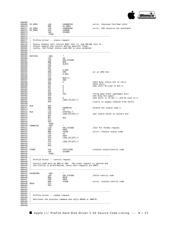

| 000369 DI_ERR1<br>000371 DI_ERR2<br>000372 DI_ERR3             | LDA<br><b>BNE</b><br>LDA<br><b>STA</b><br>JSR<br>. PAGE | #XNODRIVE<br>DI_ERR3<br>#XNORESRC<br>IERROR<br>SYSERR                                                                                                                                           | ierror, checksum fail/bad slot#<br>error, SIR resource not available; |
|----------------------------------------------------------------|---------------------------------------------------------|-------------------------------------------------------------------------------------------------------------------------------------------------------------------------------------------------|-----------------------------------------------------------------------|
| ; -----<br>$\mathbf{r}$<br>: Profile driver -- status request. |                                                         |                                                                                                                                                                                                 |                                                                       |
| $\cdot$ :                                                      |                                                         | 000379 ; Status request zero returns BUSY (bit 7), and ONLINE (bit 4).<br>000380 : Status request one returns device specific flags.<br>; Lastly, the format status code \$FE is also accepted. |                                                                       |
|                                                                |                                                         | $\star$                                                                                                                                                                                         |                                                                       |
| 000385 DSTATUS                                                 | .EQU<br>LDY                                             | #0                                                                                                                                                                                              |                                                                       |
|                                                                | LDX                                                     | SOS_STCODE                                                                                                                                                                                      |                                                                       |
|                                                                | <b>BNE</b>                                              | \$10                                                                                                                                                                                            |                                                                       |
|                                                                | LDX<br>PHP                                              | SLOTX                                                                                                                                                                                           |                                                                       |
|                                                                | SEI                                                     |                                                                                                                                                                                                 |                                                                       |
|                                                                | LDA                                                     | E_REG                                                                                                                                                                                           |                                                                       |
|                                                                | ORA                                                     | #80                                                                                                                                                                                             | or in 1MHz bit;                                                       |
|                                                                | STA<br>PLP                                              | E_REG                                                                                                                                                                                           |                                                                       |
|                                                                | LDA                                                     | BUSY, X                                                                                                                                                                                         |                                                                       |
|                                                                | EOR                                                     | #80                                                                                                                                                                                             |                                                                       |
|                                                                | ASL<br>PHP                                              | A                                                                                                                                                                                               | Save Busy status bit in carry<br>;Save carry                          |
|                                                                | ASL                                                     | A                                                                                                                                                                                               | Now shift On-Line to Bit 5.                                           |
|                                                                | ASL                                                     | A                                                                                                                                                                                               |                                                                       |
|                                                                | ASL                                                     | A                                                                                                                                                                                               |                                                                       |
|                                                                | ASL<br>AND                                              | A<br>#20                                                                                                                                                                                        | ;Throw away other (garbage) bits                                      |
|                                                                | PLP                                                     |                                                                                                                                                                                                 | ;Get Busy bit again                                                   |
|                                                                | ROR                                                     | A                                                                                                                                                                                               | ;And shift it to Bit 7, and On-line to 4                              |
|                                                                | STA                                                     | (SOS_STLIST), Y                                                                                                                                                                                 |                                                                       |
|                                                                | RTS                                                     |                                                                                                                                                                                                 | :(carry is always cleared from shift)                                 |
| 000410 \$10                                                    | DEX                                                     |                                                                                                                                                                                                 |                                                                       |
|                                                                | BNE                                                     | FORMATUS                                                                                                                                                                                        | ibranch not status code 1.                                            |
| 000413 \$15                                                    | LDY<br>LDA                                              | #3<br>STATUS1, Y                                                                                                                                                                                |                                                                       |
|                                                                | STA                                                     |                                                                                                                                                                                                 | (SOS_STLIST),Y         iput status bytes in callers buf               |
|                                                                | DEY                                                     |                                                                                                                                                                                                 |                                                                       |
|                                                                | BPL                                                     | \$15                                                                                                                                                                                            |                                                                       |
|                                                                | CLC<br>RTS                                              |                                                                                                                                                                                                 |                                                                       |
|                                                                | . PAGE                                                  |                                                                                                                                                                                                 |                                                                       |
| FORMATUS                                                       | . EQU                                                   | $\star$                                                                                                                                                                                         |                                                                       |
|                                                                | LDA                                                     | #0FE                                                                                                                                                                                            | SOS_STCODE 7Test for format request.                                  |
|                                                                | CMP<br>BNE                                              | FCODE                                                                                                                                                                                           | ierror, invalid status code                                           |
|                                                                | LDY                                                     | #0                                                                                                                                                                                              |                                                                       |
|                                                                | LDA                                                     | #0FF                                                                                                                                                                                            |                                                                       |
|                                                                | STA<br>INY                                              | (SOS_STLIST), Y                                                                                                                                                                                 |                                                                       |
|                                                                | STA                                                     | (SOS_STLIST), Y                                                                                                                                                                                 |                                                                       |
|                                                                | CLC                                                     |                                                                                                                                                                                                 |                                                                       |
|                                                                | RTS                                                     |                                                                                                                                                                                                 |                                                                       |
| 000432 FCODE                                                   | LDA                                                     | #XCTLCODE                                                                                                                                                                                       | invalid status/control code                                           |
|                                                                | JSR                                                     | SYSERR                                                                                                                                                                                          |                                                                       |
|                                                                | . PAGE                                                  |                                                                                                                                                                                                 |                                                                       |
| $000436$ ;                                                     |                                                         | 000437 : Profile driver -- control request.                                                                                                                                                     |                                                                       |
| $000438$ ;                                                     |                                                         |                                                                                                                                                                                                 |                                                                       |
|                                                                |                                                         | ; Control code must be \$00 or \$FE. The reset request is ignored and<br>; the Profile is preformatted, hence both requests are NOPs.                                                           |                                                                       |
| $\ddot{i}$                                                     |                                                         |                                                                                                                                                                                                 |                                                                       |
|                                                                |                                                         |                                                                                                                                                                                                 |                                                                       |
| 000444 FDCONTROL .EQU                                          |                                                         | $\star$                                                                                                                                                                                         |                                                                       |
|                                                                | LDA<br>BEQ                                              | SOS_STCODE<br>\$010                                                                                                                                                                             | ifetch control code                                                   |
|                                                                | $\text{CMP}$                                            | #0FE                                                                                                                                                                                            |                                                                       |
|                                                                | <b>BNE</b>                                              | FCODE                                                                                                                                                                                           | <i>ierror,</i> invalid control code                                   |
| 000449 \$010                                                   | CLC<br>RTS                                              |                                                                                                                                                                                                 |                                                                       |
|                                                                |                                                         |                                                                                                                                                                                                 |                                                                       |
|                                                                |                                                         |                                                                                                                                                                                                 |                                                                       |
| $000454$ ;                                                     |                                                         |                                                                                                                                                                                                 |                                                                       |
| 000455 : Profile driver -- repeat request.                     |                                                         |                                                                                                                                                                                                 |                                                                       |
|                                                                |                                                         | ; Retrieves the previous command and calls DREAD or DWRITE.                                                                                                                                     |                                                                       |
| $\cdot$ $\cdot$                                                |                                                         |                                                                                                                                                                                                 |                                                                       |
|                                                                |                                                         |                                                                                                                                                                                                 |                                                                       |
|                                                                |                                                         |                                                                                                                                                                                                 |                                                                       |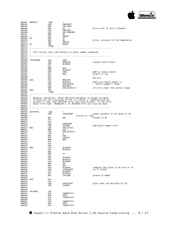

|                      | . EQU                    |                                                                                                                                                                |                                                                               |
|----------------------|--------------------------|----------------------------------------------------------------------------------------------------------------------------------------------------------------|-------------------------------------------------------------------------------|
|                      | LDA                      | PREVUNIT<br>SOS_UNIT                                                                                                                                           |                                                                               |
|                      | $\text{CMP}$             | SOS_UNIT                                                                                                                                                       |                                                                               |
|                      | <b>BNE</b>               | - \$1                                                                                                                                                          | :Error exit if unit # changed                                                 |
|                      | LDA                      | PREVCMD                                                                                                                                                        |                                                                               |
|                      |                          |                                                                                                                                                                |                                                                               |
|                      | STA                      | SOS_REQCODE                                                                                                                                                    |                                                                               |
|                      | <b>BNE</b>               | \$2                                                                                                                                                            |                                                                               |
|                      | JMP                      | <b>DREAD</b>                                                                                                                                                   |                                                                               |
| 000469 \$2           | $\mathop{\mathrm{CMP}}$  | #2                                                                                                                                                             |                                                                               |
|                      | BCS                      | - \$1                                                                                                                                                          | ;Error, previous I/O not Read/Write                                           |
|                      | JMP                      | DWRITE                                                                                                                                                         |                                                                               |
|                      |                          |                                                                                                                                                                |                                                                               |
| 000472 \$1           | <b>JMP</b>               | BADOP                                                                                                                                                          |                                                                               |
|                      | . PAGE                   |                                                                                                                                                                |                                                                               |
| $000475$ ;           |                          | 000476 ; This routine tests the validity of block number requested.                                                                                            |                                                                               |
|                      |                          |                                                                                                                                                                |                                                                               |
| 000480 TSTBLKNUM LDA |                          | #0FF                                                                                                                                                           |                                                                               |
|                      | STA                      | MSBLOCK                                                                                                                                                        | assume status block;                                                          |
|                      | $\text{CMP}$             | MSBLOCK<br>BLOCKHI                                                                                                                                             |                                                                               |
|                      | CLC                      |                                                                                                                                                                |                                                                               |
|                      |                          | \$10                                                                                                                                                           |                                                                               |
|                      | BNE<br>I DA              |                                                                                                                                                                |                                                                               |
|                      | LDA                      | <b>BLOCKLO</b>                                                                                                                                                 |                                                                               |
|                      | CMP                      | #0FE                                                                                                                                                           | ; RAM or status block?                                                        |
|                      | <b>BCC</b>               | \$10                                                                                                                                                           | ;branch if not                                                                |
|                      | CLC                      |                                                                                                                                                                |                                                                               |
|                      |                          |                                                                                                                                                                | ;OK exit                                                                      |
|                      | RTS                      |                                                                                                                                                                |                                                                               |
| 000490 \$10          | INC<br>LDA<br>CMP<br>LDA | <b>MSBLOCK</b>                                                                                                                                                 |                                                                               |
|                      |                          |                                                                                                                                                                | Make sure Block number is                                                     |
|                      |                          |                                                                                                                                                                | ; within widget's range.                                                      |
|                      |                          |                                                                                                                                                                |                                                                               |
|                      |                          |                                                                                                                                                                |                                                                               |
|                      | SBC                      |                                                                                                                                                                | ;If carry clear then within range.                                            |
| 000495 \$20          | RTS                      |                                                                                                                                                                |                                                                               |
|                      | . PAGE                   |                                                                                                                                                                |                                                                               |
|                      |                          |                                                                                                                                                                |                                                                               |
| $000503$ ;           |                          | 000500 ; If bytes are not a multiple of 512, or a block $\#$ > maxblock will be<br>000502 ; block to be read > MAXBLOCK-1, an XBLKNUM error exit will be done. | 000501 ; written or read, then XBYTECNT error exit will be done. If the first |
|                      |                          |                                                                                                                                                                |                                                                               |
| 000506 GETBYTES      | . EQU                    | $\star$                                                                                                                                                        |                                                                               |
|                      |                          |                                                                                                                                                                |                                                                               |
|                      | JSR                      | TSTBLKNUM                                                                                                                                                      | : check validity of 1st block to be                                           |
| 000508 ;             |                          |                                                                                                                                                                | written or read                                                               |
|                      | BCC                      | \$01                                                                                                                                                           | branch if OK;                                                                 |
|                      | PLA                      |                                                                                                                                                                |                                                                               |
|                      |                          |                                                                                                                                                                |                                                                               |
|                      | PLA                      |                                                                                                                                                                |                                                                               |
|                      | LDA                      | #XBLKNUM                                                                                                                                                       |                                                                               |
|                      |                          |                                                                                                                                                                |                                                                               |
|                      | JSR                      | SYSERR                                                                                                                                                         | bad block number error                                                        |
|                      |                          |                                                                                                                                                                |                                                                               |
| 000514 \$01          | LDA                      | SOS_BYTES                                                                                                                                                      |                                                                               |
|                      | <b>BNE</b>               | Ş10                                                                                                                                                            |                                                                               |
|                      | LDA                      | SOS_BYTES+1                                                                                                                                                    |                                                                               |
|                      | LSR                      | Α                                                                                                                                                              |                                                                               |
|                      |                          |                                                                                                                                                                |                                                                               |
|                      | <b>BCS</b>               | \$10                                                                                                                                                           |                                                                               |
|                      | STA                      | LENGTH                                                                                                                                                         |                                                                               |
|                      | BNE                      | \$05                                                                                                                                                           |                                                                               |
|                      | PLA                      |                                                                                                                                                                |                                                                               |
|                      | PLA                      |                                                                                                                                                                |                                                                               |
|                      | RTS                      |                                                                                                                                                                |                                                                               |
|                      |                          |                                                                                                                                                                |                                                                               |
| 000524 \$05          | LDX                      | <b>BLOCKHI</b>                                                                                                                                                 |                                                                               |
|                      | LDY                      | <b>BLOCKLO</b>                                                                                                                                                 |                                                                               |
|                      | SEC                      |                                                                                                                                                                |                                                                               |
|                      | SBC                      | #1                                                                                                                                                             |                                                                               |
|                      |                          |                                                                                                                                                                |                                                                               |
|                      | CLC                      |                                                                                                                                                                |                                                                               |
|                      | ADC                      | <b>BLOCKLO</b>                                                                                                                                                 |                                                                               |
|                      | STA                      | <b>BLOCKLO</b>                                                                                                                                                 |                                                                               |
|                      | LDA                      | <b>BLOCKHI</b>                                                                                                                                                 |                                                                               |
|                      | ADC                      | #0                                                                                                                                                             |                                                                               |
|                      |                          |                                                                                                                                                                |                                                                               |
|                      | BCS                      | \$10                                                                                                                                                           |                                                                               |
|                      | STA                      | <b>BLOCKHI</b>                                                                                                                                                 |                                                                               |
|                      | JSR                      | TSTBLKNUM                                                                                                                                                      | is it valid?                                                                  |
|                      | STX                      | BLOCKHI                                                                                                                                                        |                                                                               |
|                      | STY                      | <b>BLOCKLO</b>                                                                                                                                                 |                                                                               |
|                      |                          |                                                                                                                                                                |                                                                               |
|                      | BCC                      | <b>CALCHEK</b>                                                                                                                                                 | ;branch if GOOD!                                                              |
|                      |                          |                                                                                                                                                                |                                                                               |
| \$10                 | PLA                      |                                                                                                                                                                |                                                                               |
|                      | PLA                      |                                                                                                                                                                |                                                                               |
|                      |                          |                                                                                                                                                                |                                                                               |
|                      | LDA                      | #XBYTECNT                                                                                                                                                      | byte count not multiple of 512                                                |
|                      | JSR                      | SYSERR                                                                                                                                                         |                                                                               |
|                      |                          |                                                                                                                                                                |                                                                               |
|                      |                          |                                                                                                                                                                |                                                                               |
|                      |                          |                                                                                                                                                                |                                                                               |
| CALCHEK              | TYA                      |                                                                                                                                                                |                                                                               |
|                      | STA                      | CHEKBYTS+2                                                                                                                                                     |                                                                               |
|                      | EOR                      | #0FF                                                                                                                                                           |                                                                               |
|                      | STA                      | CHEKBYTS+5                                                                                                                                                     |                                                                               |
|                      |                          |                                                                                                                                                                |                                                                               |
|                      | TXA                      |                                                                                                                                                                |                                                                               |
|                      | STA                      | CHEKBYTS+1                                                                                                                                                     | compute last block to be wrtn or rd                                           |
|                      | EOR<br>STA               | #0FF<br>CHEKBYTS+4                                                                                                                                             |                                                                               |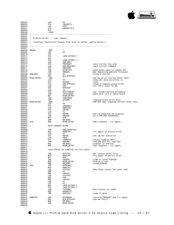

| 000554<br>000555<br>000556<br>000557<br>000558<br>000559 |                         | LDA<br>STA<br>LDA<br>STA<br>RTS<br>. PAGE  | #0<br>CHEKBYTS<br>#0FF<br>CHEKBYTS+3                                     |                                                      |
|----------------------------------------------------------|-------------------------|--------------------------------------------|--------------------------------------------------------------------------|------------------------------------------------------|
| 000561<br>000563                                         | $\cdot$<br>$\mathbf{r}$ | $000562$ ; Profile driver -- read request. |                                                                          |                                                      |
| 000565                                                   |                         |                                            | 000564 ; Transfers "bytes/512" blocks from disk to bufferbuffer+bytes-1. |                                                      |
| 000566<br>000567                                         |                         | -----------------------------              |                                                                          |                                                      |
| 000569                                                   | 000568 DREAD            | . EQU<br>LDA                               | $\star$<br>#0                                                            |                                                      |
| 000570                                                   |                         | TAY                                        |                                                                          |                                                      |
| 000571<br>000572                                         |                         | STA<br>INY                                 | (SOS_BYTRD), Y                                                           |                                                      |
| 000573                                                   |                         | STA                                        | (SOS_BYTRD), Y                                                           |                                                      |
| 000574<br>000575                                         |                         | LDA<br>STA                                 | SOS UNIT<br>PREVUNIT                                                     | save current sos unit                                |
| 000576                                                   |                         | LDA                                        | SOS_REQCODE                                                              | save current command                                 |
| 000577<br>000578                                         |                         | STA<br>JSR                                 | PREVCMD<br>GETBYTES                                                      | ; move bytes parm to length var.                     |
| 000579                                                   |                         | JSR                                        | ARBADR                                                                   | ;Get beginning address resolved.                     |
|                                                          | 000580 RDBLOCK          | LDA                                        | #2                                                                       | <i>Allow 2 retries</i>                               |
| 000581                                                   | 000582 RPAR_RETRY       | STA<br>. EQU                               | BLK_RTRYCNT<br>$\star$                                                   | Parity error retries enter here                      |
| 000583                                                   |                         | LDA                                        | #0                                                                       | ;Indicate data direction is                          |
| 000584<br>000585                                         |                         | STA                                        | DATDIR                                                                   | read.<br>:clear # communication tries                |
| 000586                                                   |                         | STA<br>LDA                                 | CMD_RTRYCNT<br>#0A                                                       | iset retry count to 10                               |
| 000587                                                   |                         | STA                                        | RTRYCNT                                                                  |                                                      |
| 000588<br>000589                                         |                         | LDA<br>STA                                 | #3<br>RTRYTHRESH                                                         | iset reseek/rewrite threshold                        |
| 000590                                                   |                         | JSR                                        | TSTBLKNUM                                                                | ; make sure it's a valid block                       |
| 000591<br>000592                                         |                         | BCC<br>LDA                                 | RCOM RETRY<br>#XBLKNUM                                                   |                                                      |
| 000593                                                   |                         | JSR                                        | SYSERR                                                                   | <i>i</i> invalid block error exit                    |
|                                                          | 000594 RCOM_RETRY       | .EQU                                       | $\star$<br>#0                                                            | :CMD-BSY bad response retries enter here             |
| 000595<br>000596                                         |                         | LDA<br>STA                                 | LONGWAIT                                                                 |                                                      |
| 000597                                                   |                         | LDA                                        | #WDGTRD                                                                  |                                                      |
| 000598<br>000599                                         |                         | STA<br>LDA                                 | Z8CMD<br>#1                                                              |                                                      |
| 000600                                                   |                         | STA                                        | RSPNS                                                                    | iset up expected Z8 response                         |
| 000601<br>000602                                         |                         | JSR<br>BCC                                 | SNDCMD<br>\$70                                                           | ido a CMD-BSY handshake                              |
| 000603                                                   |                         | JMP                                        | DR_ERR1                                                                  |                                                      |
| 000604 \$70                                              |                         | BNE                                        | RCOM_RETRY                                                               | ibad response - try again.                           |
| 000605<br>000606                                         | $\mathcal{L}$           | Send command bytes                         |                                                                          |                                                      |
| 000607<br>000608                                         |                         | JSR                                        | SND_CMDBYTES                                                             |                                                      |
| 000609                                                   |                         | BCS                                        | RDRETRY                                                                  | itry again if parity error                           |
| 000610<br>000611                                         |                         | LDA<br>STA                                 | #2<br>RSPNS                                                              | iset up for execution                                |
| 000612                                                   |                         | LDA                                        | #0FF                                                                     |                                                      |
| 000613<br>000614                                         |                         | STA<br>JSR                                 | LONGWAIT<br>SNDCMD                                                       | adjust timeout wait<br>:2nd CMD-BSY for read opn     |
| 000615                                                   |                         | BCS                                        | DR_ERR1                                                                  | itimeout on cmd-bsy                                  |
| 000616                                                   |                         | BNE                                        | RCOM RETRY                                                               | ibad response - try again.                           |
| 000617<br>000618                                         | $\cdot$                 |                                            | read should be complete at this point                                    |                                                      |
| 000619                                                   |                         |                                            |                                                                          |                                                      |
| 000620<br>000621                                         |                         | JSR<br>BCS                                 | GETSTAT<br>RDRETRY                                                       | iget status bytes first<br>try again if parity error |
| 000622                                                   |                         | BPL                                        | \$10                                                                     |                                                      |
| 000623<br>000624                                         |                         | INC<br>BEO                                 | <b>COUNTR</b><br>RCOM RETRY                                              | ; time to reset PIPPIN?<br>ibranch if not            |
| 000625                                                   |                         | BNE                                        | DR_ERR1                                                                  | ireset PIPPIN                                        |
| 000626<br>000627                                         | \$10                    | JSR<br>BCS                                 | <b>DATRANS</b><br><b>RDRETRY</b>                                         |                                                      |
| 000628                                                   |                         | LDA                                        | STATUS1                                                                  | Now check status for good read                       |
| 000629                                                   |                         | AND                                        | #1                                                                       |                                                      |
| 000630<br>000631                                         |                         | BNE<br>LDA                                 | LDAXIO<br>STATUS2                                                        |                                                      |
| 000632                                                   |                         | AND                                        | #58                                                                      |                                                      |
| 000633<br>000634                                         |                         | BNE<br>LDA                                 | LDAXIO<br>#2                                                             |                                                      |
| 000635                                                   |                         | LDY                                        | #1                                                                       |                                                      |
| 000636                                                   |                         | ADC                                        | (SOS_BYTRD), Y                                                           |                                                      |
| 000637<br>000638                                         |                         | STA<br>JSR                                 | (SOS_BYTRD), Y<br>TSTMORE                                                | ; more blocks to read?                               |
| 000639                                                   |                         | BEO                                        | GOODEXIT                                                                 |                                                      |
| 000640<br>000641                                         |                         | JMP                                        | RDBLOCK                                                                  | <i>i</i> jump if more                                |
| 000642                                                   | RDRETRY                 | JSR                                        | <b>RSTORADR</b>                                                          | irestore 'ORGADR' and try again                      |
| 000643<br>000644                                         |                         | DEC<br>BMI                                 | BLK_RTRYCNT<br>DR_ERR1                                                   | ;can we retry?                                       |
| 000645                                                   |                         | JMP                                        | RPAR_RETRY                                                               |                                                      |
| 000646                                                   |                         |                                            |                                                                          |                                                      |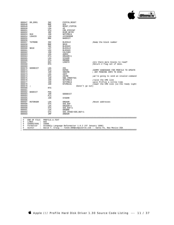

| 000647<br>000648<br>000649<br>000650<br>000651<br>000652 | DR ERR1         | INC<br><b>BNE</b><br>JSR<br>LDA<br><b>STA</b><br>JMP | PIPPIN RESET<br>\$10<br>RESET PIPPIN<br>#0<br>CMD RTRYCNT<br>RCOM_RETRY |                                          |
|----------------------------------------------------------|-----------------|------------------------------------------------------|-------------------------------------------------------------------------|------------------------------------------|
| 000653                                                   | \$10            | JSR                                                  | NOTCMDLN                                                                |                                          |
| 000654                                                   | LDAXIO          | LDA                                                  | #XIOERROR                                                               |                                          |
| 000655                                                   |                 | <b>BNE</b>                                           | <b>BADEXIT</b>                                                          |                                          |
| 000656                                                   |                 |                                                      |                                                                         |                                          |
| 000657                                                   | <b>TSTMORE</b>  | <b>INC</b>                                           | <b>BLOCKLO</b>                                                          | Bump the block number                    |
| 000658                                                   |                 | <b>BNE</b>                                           | \$010                                                                   |                                          |
| 000659                                                   |                 | <b>INC</b>                                           | <b>BLOCKHI</b>                                                          |                                          |
| 000660                                                   | \$010           | LDY                                                  | <b>BLOCKLO</b>                                                          |                                          |
| 000661                                                   |                 | LDX                                                  | <b>BLOCKHI</b>                                                          |                                          |
| 000662                                                   |                 | JSR                                                  | <b>CALCHEK</b>                                                          |                                          |
| 000663                                                   |                 | LDA                                                  | ADRHI                                                                   |                                          |
| 000664                                                   |                 | <b>STA</b>                                           | ORGADR+1                                                                |                                          |
| 000665                                                   |                 | LDA                                                  | SISADR                                                                  |                                          |
| 000666                                                   |                 | <b>STA</b>                                           | <b>ORGBNK</b>                                                           |                                          |
| 000667                                                   |                 | DEC                                                  | LENGTH                                                                  | Thre there more blocks to read?          |
| 000668                                                   |                 | <b>RTS</b>                                           |                                                                         | Return Z flag set if done.               |
| 000669                                                   |                 |                                                      |                                                                         |                                          |
| 000670                                                   | GOODEXIT        | LDA                                                  | #01                                                                     |                                          |
| 000671                                                   |                 | <b>STA</b>                                           | <b>RSPNS</b>                                                            | ; DUMMY HANDSHAKE FOR PROFILE TO UPDATE  |
| 000672                                                   |                 | JSR                                                  | <b>SNDCMD</b>                                                           | ; ANY PENDING INFO TO DISK.              |
| 000673                                                   |                 | LDA                                                  | #0FF                                                                    |                                          |
| 000674                                                   |                 | <b>STA</b>                                           | Z8CMD                                                                   | iwe're going to send an invalid command  |
| 000675                                                   |                 | JSR                                                  | SND CMDBYTES                                                            |                                          |
| 000676                                                   |                 | JSR                                                  | SETCMDLN                                                                | iraise the CMD line                      |
| 000677                                                   |                 | JSR                                                  | SETCMDLN                                                                | ;give Profile a little time              |
| 000678                                                   |                 | JSR                                                  | NTCMDLN1                                                                | ; lower the CMD line (so the ready light |
| 000679                                                   | $\cdot$         |                                                      | doesn't go out)                                                         |                                          |
| 000680                                                   |                 | <b>RTS</b>                                           |                                                                         |                                          |
| 000681                                                   |                 |                                                      |                                                                         |                                          |
| 000682                                                   | <b>BADEXIT</b>  | PHA                                                  |                                                                         |                                          |
| 000683                                                   |                 | JSR                                                  | GOODEXIT                                                                |                                          |
| 000684                                                   |                 | <b>PLA</b>                                           |                                                                         |                                          |
| 000685                                                   |                 | JSR                                                  | <b>SYSERR</b>                                                           |                                          |
| 000686                                                   |                 |                                                      |                                                                         |                                          |
| 000687                                                   | <b>RSTORADR</b> | LDA                                                  | ORGADR                                                                  | Reset addresses                          |
| 000688                                                   |                 | <b>STA</b>                                           | SOS_BUF                                                                 |                                          |
| 000689                                                   |                 | LDA                                                  | ORGADR+1                                                                |                                          |
| 000690                                                   |                 | <b>STA</b>                                           | SOS BUF+1                                                               |                                          |
| 000691                                                   |                 | LDA                                                  | ORGBNK                                                                  |                                          |
| 000692                                                   |                 | <b>STA</b>                                           | SOS_XPAGE+SOS_BUF+1                                                     |                                          |
| 000693                                                   |                 | JMP                                                  | <b>ARBADR</b>                                                           |                                          |
|                                                          |                 |                                                      |                                                                         |                                          |

; #################################################################################################### ; # END OF FILE: PROFILE.A.TEXT ; # LINES : 693 ; # CHARACTERS : 33886

; # Formatter : Assembly Language Reformatter 1.0.2 (07 January 1998) ; # Author : David T. Craig -- 71533.606@compuserve.com -- Santa Fe, New Mexico USA ; ####################################################################################################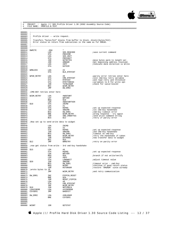

; #################################################################################################### ; # PROJECT : Apple /// SOS Profile Driver 1.30 (6502 Assembly Source Code) ; # FILE NAME: PROFILE.B.TEXT ; #################################################################################################### 000001 ;----------------------------------------------------------------------  $000002$  ;<br>000003 ; Profile driver -- write request.  $000004$ 000005 ; Transfers "bytes/512" blocks from buffer to block..block+(bytes/512). 000006 ; Error status on return from subroutines is the same as for DREAD.  $000007$  ;<br>000008 :-000008 ;---------------------------------------------------------------------- 000009 000010 DWRITE .EQU \*<br>000011 LDA SOSREOCODE 000011 LDA SOS\_REQCODE ;save current command  $\begin{array}{cccc}\n 000012 & & & \text{STA} & & \text{PREVCMD} \\
 000013 & & & \text{LDA} & & \text{SOS\_UNIT} \end{array}$ 000013<br>
000013<br>
000014<br>
STA<br>
REVINIT 000014 STA PREVUNIT 000015 JSR GETBYTES ;move bytes parm to length var. 000016 JSR ARBADR ;Get beginning address resolved. 000017 LDA #0FF ;Indicate data direction is Write  $DATDIR$ 000019<br>000020 000020 WRBLOCK LDA #2<br>000021 STA BL 000021 STA BLK\_RTRYCNT 000022 000023 WPAR\_RETRY LDA #0 ;parity error retries enter here 000024 STA CMD\_RTRYCNT ;init cmd-bsy retry variable 000025 STA RTRYCNT ;and read retry and threshold 000026 STA RTRYTHRESH ;variables to 0 for write opn 000027 JSR TSTBLKNUM ;check for valid block# 000028 BCC WCOM\_RETRY JMP DW\_ERR2 000030  $\mathcal{O}(\mathsf{M}\mathsf{D}\text{-}\mathsf{BSY})$  retries enter here 000032<br>000033 000033 WCOM\_RETRY LDA #WDGTWRT<br>000034 LDY WRTVER LDY WRTVER<br>BEO \$10 000035 BEQ<br>000036 LDA  $\begin{array}{ccc}\n & \text{LDA} & \text{HWDGTWRTVER} \\
\text{S10} & \text{STA} & \text{Z8CMD}\n\end{array}$  $000037$  \$10 STA  $280$ <br>000038 LDA #1 000038 LDA #1<br>000038 H1<br>000039 STA RSPNS 000039 STA RSPNS ;set up expected response 000040 JSR SNDCMD ;1st cmd-bsy handshake 000041 BCS DW\_ERR1 ;cmd-bsy timeout error 000042 BNE WCOM\_RETRY : wrong response - try again<br>000043 JSR SND\_CMDBYTES : send write command string 000043 JSR SND\_CMDBYTES ;send write command string iretry if parity error 000045 ;Now set up to send write data to widget 000047 000048 LDA Z8CMD<br>000049 ADC #2  $\begin{array}{cccc}\n 000049 & & & \text{ADC} & & \text{\#2} \\
 000050 & & & \text{STA} & & \text{RSPNS}\n \end{array}$ 000050 STA RSPNS ;set up expected response 000051 JSR SNDCMD ;2nd cmd-bsy handshake 000052 FCS BCS DW FRR1 (200052) 000052 BCS DW\_ERR1 ;timeout on cmd-bsy 000053 BNE WCOM\_RETRY ;retry the handshake if taken JSR DATRANS ;now transfer data to widget<br>BCC \$15 000055 BCC \$15 ;retry on parity error 000057<br>000058 inow get status from write - 3rd cmd-bsy handshake 000059  $\begin{array}{cccc}\n 000060 & $15 & \text{LDA} & #6 \\
 000061 & & STA & & RSPNS\n\end{array}$ 000061 STA RSPNS ;set up expected response 000062 LDA WRTVER<br>000063 BEO \$20  $\begin{array}{lll} \tt BEQ & \tt \$20 & \tt \tt \end{array} \qquad \qquad \begin{array}{lll} \tt \end{array} \qquad \qquad \begin{array}{lll} \tt \end{array} \qquad \begin{array}{lll} \tt \end{array} \qquad \begin{array}{lll} \tt \end{array} \qquad \begin{array}{lll} \tt \end{array} \qquad \begin{array}{lll} \tt \end{array} \qquad \begin{array}{lll} \tt \end{array} \qquad \begin{array}{lll} \tt \end{array} \qquad \begin{array}{lll} \tt \end{array} \qquad \begin{array}{lll} \tt \end{array} \qquad \begin$  $\begin{array}{cccc}\n 000064 & & & \text{LDA} & & \text{+0FF} \\
 000065 & & & \text{STA} & & \text{LONGWAIT} \\
 \end{array}$ 000065 STA LONGWAIT ;adjust timeout value 000066 \$20 JSR SNDCMD 000067 BCS DW\_ERR1 ;timeout error - cmd-bsy 000068 BEQ WCONT ;continue if good return status 000069 JSR RSTORADR ;restore 'ORGADR' since already 000070 *;wrote bytes to z8*<br>000071 .TMP WCOM\_RETRY **ightarrow is and retry communication**  $000071$ <br>000072<br>000073  $\begin{array}{ccc}\n\text{DW\_ERR1} & \text{INC} & \text{PIPPIN\_RESET} \\
\text{RNE} & \text{S10}\n\end{array}$ 000074 BNE <br>000075 JSR BNE \$10 <br>JSR RESET\_PIPPIN<br>LDA #0 000076 LDA<br>000077 STA 000077 STA CMD\_RTRYCNT 000078 JMP WCOM\_RETRY 000079 \$10 JSR NOTCMDLN<br>000080 LDAXTOERR LDA #XTOERROL 000080 LDAXIOERR LDA #XIOERROR<br>000081 CSYSER1 JMP BADEXIT BADEXIT 000082 DW\_ERR2 LDA #XBLKNUM<br>BNE CSYSER1  $000084$ 000085 000086 000087 000088 WCONT JSR GETSTAT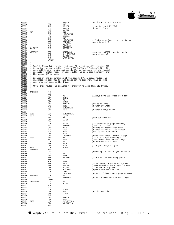

| 000089       |                                            | BCS          | WRRETRY                                                                       | :parity error - try again             |
|--------------|--------------------------------------------|--------------|-------------------------------------------------------------------------------|---------------------------------------|
| 000090       |                                            | BPL          | \$10                                                                          |                                       |
| 000091       |                                            | INC          | COUNTR                                                                        | itime to reset PIPPIN?                |
| 000092       |                                            | BEQ          | WRRETRY                                                                       | ibranch if not                        |
|              |                                            |              |                                                                               |                                       |
| 000093       |                                            | BNE          | DW_ERR1                                                                       |                                       |
| 000094 \$10  |                                            | AND          | #41                                                                           |                                       |
| 000095       |                                            | BNE          | LDAXIOERR                                                                     |                                       |
| 000096       |                                            | LDA          | STATUS2                                                                       |                                       |
| 000097       |                                            | AND          | #48                                                                           |                                       |
|              |                                            |              |                                                                               |                                       |
| 000098       |                                            | BNE          | LDAXIOERR                                                                     | if pippin couldnt read its status     |
| 000099       |                                            | JSR          | TSTMORE                                                                       | ;more to write?                       |
| 000100       |                                            | BEQ          | DW_EXIT                                                                       |                                       |
| 000101       |                                            | JMP          | WRBLOCK                                                                       |                                       |
|              | 000102 DW_EXIT                             | <b>JMP</b>   | GOODEXIT                                                                      |                                       |
| 000103       |                                            |              |                                                                               |                                       |
|              |                                            |              |                                                                               |                                       |
|              | 000104 WRRETRY                             | JSR          | RSTORADR                                                                      | restore 'ORGADR' and try again;       |
| 000105       |                                            | DEC<br>BMI   | BLK_RTRYCNT                                                                   | ;can we retry?                        |
| 000106       |                                            |              | DW_ERR1                                                                       |                                       |
| 000107       |                                            | <b>JMP</b>   | WPAR_RETRY                                                                    |                                       |
| 000108       |                                            |              |                                                                               |                                       |
|              |                                            | . PAGE       |                                                                               |                                       |
|              |                                            |              |                                                                               |                                       |
| $000110$ ;   |                                            |              |                                                                               |                                       |
|              |                                            |              | 000111 ; Profile Block I/O transfer routine. This routine will transfer 512   |                                       |
|              |                                            |              | 000112 ; bytes to/from users buffer from/to RAM buffer of Profile's Z8. It    |                                       |
|              |                                            |              |                                                                               |                                       |
|              |                                            |              | 000113 : uses both byte at a time and psuedo DMA as necessary for the fastest |                                       |
|              |                                            |              | 000114 : possible transfer rate. If users buffer is on a page boundary, only  |                                       |
|              | $000115$ ; the psuedo DMA is used.         |              |                                                                               |                                       |
| $000116$ ;   |                                            |              |                                                                               |                                       |
|              |                                            |              | $000117$ ; Because of the requirements of the psuedo DMA, a small routine is  |                                       |
|              |                                            |              |                                                                               |                                       |
|              |                                            |              | 000118 ; relocated to page \$18 to swap banks before transfer. This is done   |                                       |
|              | 000119 ; only once per call to the driver. |              |                                                                               |                                       |
| $000120$ ;   |                                            |              |                                                                               |                                       |
|              |                                            |              | $000121$ ; NOTE: this routine is designed to transfer no less than 512 bytes. |                                       |
|              |                                            |              |                                                                               |                                       |
|              |                                            |              |                                                                               |                                       |
| 000123       |                                            |              |                                                                               |                                       |
|              | 000124 DATRANS                             | PHP          |                                                                               |                                       |
| 000125       |                                            | SEI          |                                                                               |                                       |
| 000126       |                                            | LDA          | #2                                                                            | ;Always move 512 bytes at a time      |
|              |                                            |              |                                                                               |                                       |
| 000127       |                                            | STA          | CNTHI                                                                         |                                       |
| 000128       |                                            | LDA          | #0                                                                            |                                       |
| 000129       |                                            | STA          | CNTLO                                                                         |                                       |
|              |                                            | BIT          | DATDIR                                                                        | Write or read?                        |
| 000130       |                                            |              |                                                                               |                                       |
| 000131       |                                            | BMI          | \$010                                                                         | ;Branch if write                      |
| 000132       |                                            | JSR          | SETUPREAD                                                                     |                                       |
| 000133       |                                            | JMP          | \$020                                                                         | ;Branch always taken.                 |
|              |                                            |              |                                                                               |                                       |
| 000134       |                                            |              |                                                                               |                                       |
| 000135 \$010 |                                            | JSR          | SETUPWRITE                                                                    |                                       |
| 000136 \$020 |                                            | LDA          | E_REG                                                                         |                                       |
| 000137       |                                            | AND          | #7F                                                                           | and out 1MHz bit                      |
|              |                                            |              |                                                                               |                                       |
| 000138       |                                            | STA          | E_REG                                                                         |                                       |
| 000139       |                                            | PLP          |                                                                               |                                       |
| 000140       |                                            | LDA          | ADRLO                                                                         | i Is transfer on page boundary?       |
| 000141       |                                            | BEQ          | DATADMA                                                                       | ;Yes, Do it fast!!                    |
| 000142       |                                            | $\text{CMP}$ | #0F5                                                                          | Should we bother with DMA?            |
|              |                                            |              |                                                                               |                                       |
| 000143       |                                            | BCC          | \$030                                                                         | ;Branch if DMA will be faster.        |
| 000144       |                                            | EOR          | #0FF                                                                          | ;Set up for move count                |
| 000145       |                                            | JSR          | MOVIT                                                                         |                                       |
| 000146       |                                            |              | FASTMOV                                                                       | ;Done with first (partial) page.      |
|              |                                            | JMP          |                                                                               |                                       |
| 000147 \$030 |                                            | AND          | #1                                                                            | <i>i</i> Is it a 2 byte boundary?     |
| 000148       |                                            | BEQ          | \$040                                                                         | :Yes, move first partial page.        |
| 000149       |                                            | LDA          | #0                                                                            | :Otherwise move a byte                |
| 000150       |                                            | STA          | MVCNT                                                                         |                                       |
|              |                                            |              |                                                                               |                                       |
| 000151       |                                            | JSR          | MOVE                                                                          | ; to get things aligned.              |
| 000152 \$040 |                                            | LDA          | ADRLO                                                                         |                                       |
|              | 000153 DATADMA                             | TAX          |                                                                               |                                       |
| 000154       |                                            | CLC          |                                                                               | Round up to next 2 byte boundary      |
| 000155       |                                            | ADC          | #1                                                                            |                                       |
|              |                                            |              |                                                                               |                                       |
| 000156       |                                            | AND          | #0FE                                                                          |                                       |
| 000157       |                                            | STA          | VECTLO                                                                        | Store as low ROM entry point.         |
| 000158       |                                            | TXA          |                                                                               |                                       |
| 000159       |                                            | EOR          | #0FF                                                                          |                                       |
|              |                                            |              |                                                                               |                                       |
| 000160       |                                            | STA          | MVCNT                                                                         | ;Save number of bytes (-1) moved.     |
| 000161       |                                            | STA          | DMA_CNT                                                                       | : (Guaranteed to be enough for DMA to |
| 000162       |                                            | JSR          | GO_DMA                                                                        | ; the end of a page)                  |
| 000163       |                                            | JSR          | ADJ_ADR                                                                       | Update address and count              |
|              |                                            |              |                                                                               |                                       |
| 000164       |                                            | LDA          | CNTHI                                                                         |                                       |
| 000165       |                                            | BEQ          | LAST_PGE                                                                      | ;Branch if less than 1 page to move.  |
| 000166       | FASTMOV                                    | LDA          | #0                                                                            |                                       |
| 000167       |                                            | BEQ          | DATADMA                                                                       |                                       |
|              |                                            |              |                                                                               | ;Branch ALWAYS to move next page.     |
| 000168       |                                            | .PAGE        |                                                                               |                                       |
| 000169       | TRANSDNE                                   | LDY          | #0                                                                            |                                       |
| 000170       |                                            | LDX          | SLOTX                                                                         |                                       |
|              |                                            |              |                                                                               |                                       |
| 000171       |                                            | PHP          |                                                                               |                                       |
| 000172       |                                            | SEI          |                                                                               |                                       |
| 000173       |                                            | LDA          | E_REG                                                                         |                                       |
| 000174       |                                            | ORA          | #80                                                                           | jor in 1MHz bit                       |
|              |                                            |              |                                                                               |                                       |
| 000175       |                                            | STA          | $E_REG$                                                                       |                                       |
| 000176       |                                            | PLP          |                                                                               |                                       |
| 000177       |                                            | BIT          | DATDIR                                                                        |                                       |
| 000178       |                                            | BPL          | \$300                                                                         |                                       |
|              |                                            |              |                                                                               |                                       |
| 000179       | \$100                                      | LDA          | CHEKBYTS, Y                                                                   |                                       |
| 000180       |                                            | STA          | WR_PORT, X                                                                    |                                       |
| 000181       |                                            | INY          |                                                                               |                                       |
|              |                                            |              |                                                                               |                                       |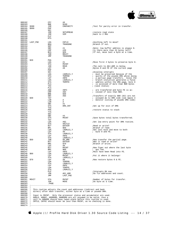

| 000182<br>000183<br>000184<br>000185<br>000186                                         | \$300<br>\$999                              | CPY<br>BNE<br>JSR<br>PHP<br>SEI                             | #6<br>\$100<br>CHKPARITY                                                                                                                                                                                                                                                                                                                                                                                                                                                                      | ;Test for parity error in transfer.                                                                                                                                                                                                                                                                       |
|----------------------------------------------------------------------------------------|---------------------------------------------|-------------------------------------------------------------|-----------------------------------------------------------------------------------------------------------------------------------------------------------------------------------------------------------------------------------------------------------------------------------------------------------------------------------------------------------------------------------------------------------------------------------------------------------------------------------------------|-----------------------------------------------------------------------------------------------------------------------------------------------------------------------------------------------------------------------------------------------------------------------------------------------------------|
| 000187<br>000188<br>000189<br>000190<br>000191                                         |                                             | JSR<br>JSR<br>PLP<br>RTS                                    | SETUPREAD<br>S2M                                                                                                                                                                                                                                                                                                                                                                                                                                                                              | restore read state<br>iback to 2 MHz                                                                                                                                                                                                                                                                      |
| 000193<br>000194                                                                       | 000192 LAST_PGE                             | LDA<br><b>BEQ</b><br>SEC                                    | <b>CNTLO</b><br>TRANSDNE                                                                                                                                                                                                                                                                                                                                                                                                                                                                      | :Anything left to move?<br>;Branch if not.                                                                                                                                                                                                                                                                |
| 000195<br>000196<br>000197<br>000198<br>000199<br>000200                               |                                             | SBC<br>CMP<br><b>BCS</b><br>JSR<br>JMP                      | #1<br>#20<br>\$20<br>MOVIT<br>TRANSDNE                                                                                                                                                                                                                                                                                                                                                                                                                                                        | Note: low buffer address is always 0.<br>;Is there more than 32 bytes left?<br>;If not, move last a byte at a time.                                                                                                                                                                                       |
| 000201<br>000202                                                                       | \$20                                        | PHA<br>LDA                                                  | #1                                                                                                                                                                                                                                                                                                                                                                                                                                                                                            | :Move first 2 bytes to preserve byte 0.                                                                                                                                                                                                                                                                   |
| 000203<br>000204<br>000205<br>000206                                                   |                                             | STA<br>JSR<br>LDY<br>PHP                                    | <b>MVCNT</b><br>MOVE<br>#0                                                                                                                                                                                                                                                                                                                                                                                                                                                                    | The call to ADJ_ADR is below.<br>Bytes 0 and FE of the current page                                                                                                                                                                                                                                       |
| 000207<br>000208<br>000209<br>000210<br>000211<br>000212<br>000213<br>000214<br>000215 |                                             | SEI<br>LDA<br>STA<br>LDY<br>LDA<br>STA<br>PLA<br>TAX<br>PLA | (ADRLO), Y<br>TEMP00<br>#0FE<br>(ADRLO), Y<br>TEMPFE                                                                                                                                                                                                                                                                                                                                                                                                                                          | idisallow interupts<br>; must be preserved because of the<br>quirks of the psuedo DMA while doing<br>$\mathcal{L}$<br>; a partial page transfers. Since the<br>; branch instuction generates a false<br>; address within the DMA page, byte 0<br>; is accessed if more than \$80 bytes<br>; (save status) |
| 000216<br>000217<br>000218                                                             |                                             | AND<br>CMP<br>BNE                                           | #0FC<br>#84<br>\$30                                                                                                                                                                                                                                                                                                                                                                                                                                                                           | ; are transfered and byte FE is ac-<br>; cessed if less than \$80.                                                                                                                                                                                                                                        |
| 000219<br>000220<br>000221<br>000222                                                   | \$30                                        | SBC<br>TAY<br>LSR<br>LSR                                    | #04<br>Α<br>Α                                                                                                                                                                                                                                                                                                                                                                                                                                                                                 | Transfers of exactly \$80 (82) are not<br>; allowed do to DMA code (see Apple 3<br>; monitor listing of psuedo DMA code)                                                                                                                                                                                  |
| 000223<br>000224<br>000225                                                             |                                             | SBC<br>STA<br>TXA                                           | #1<br>DMA_CNT                                                                                                                                                                                                                                                                                                                                                                                                                                                                                 | ;Set up for exit of DMA                                                                                                                                                                                                                                                                                   |
| 000226<br>000227<br>000228<br>000229                                                   |                                             | PHA<br>TYA<br>SEC<br>SBC                                    | #3                                                                                                                                                                                                                                                                                                                                                                                                                                                                                            | irestore status to stack                                                                                                                                                                                                                                                                                  |
| 000230<br>000231                                                                       |                                             | STA<br>TAY                                                  | <b>MVCNT</b>                                                                                                                                                                                                                                                                                                                                                                                                                                                                                  | Save bytes total bytes transferred.                                                                                                                                                                                                                                                                       |
| 000232<br>000233<br>000234                                                             |                                             | LDA<br>STA<br>BIT                                           | #02<br>VECTLO<br>DATDIR                                                                                                                                                                                                                                                                                                                                                                                                                                                                       | Set low entry point for DMA routine.<br>Read or write?                                                                                                                                                                                                                                                    |
| 000235<br>000236<br>000237<br>000238<br>000239                                         |                                             | BPL<br>LDA<br>LDY<br>STA<br>LDY                             | \$50<br>(ADRLO), Y<br>#0<br>(ADRLO), Y<br>#0FE                                                                                                                                                                                                                                                                                                                                                                                                                                                | ;Branch if read.<br>Get last byte and move to both<br>; byte $0$ and FE.                                                                                                                                                                                                                                  |
| 000240<br>000241<br>000242<br>000243<br>000244                                         | \$50                                        | STA<br>JSR<br>BIT<br>BMI<br>LDY                             | (ADRLO), Y<br>GO_DMA<br>DATDIR<br>\$70<br>#0                                                                                                                                                                                                                                                                                                                                                                                                                                                  | Now transfer the partial page.<br>Was it read or write?<br>;Branch if write.                                                                                                                                                                                                                              |
| 000245<br>000246<br>000247<br>000248                                                   | \$60                                        | BIT<br>BMI<br>LDY<br>LDA                                    | MVCNT<br>\$60<br>#0FE<br>(ADRLO), Y                                                                                                                                                                                                                                                                                                                                                                                                                                                           | Now figer out where the last byte<br>; got red.<br>;Must have been Read into FE.                                                                                                                                                                                                                          |
| 000249<br>000250                                                                       |                                             | LDY<br>STA                                                  | MVCNT<br>(ADRLO), Y                                                                                                                                                                                                                                                                                                                                                                                                                                                                           | ; Put it where it belongs!                                                                                                                                                                                                                                                                                |
| 000251 \$70<br>000252<br>000253<br>000254<br>000255                                    |                                             | LDY<br>LDA<br>STA<br>LDY<br>LDA                             | #0<br>TEMP00<br>(ADRLO), Y<br>#0FE<br>TEMPFE                                                                                                                                                                                                                                                                                                                                                                                                                                                  | ;Now restore bytes 0 & FE.                                                                                                                                                                                                                                                                                |
| 000256<br>000257<br>000258<br>000259<br>000260                                         |                                             | STA<br>PLP<br>JSR<br>JMP                                    | (ADRLO), Y<br>ADJ_ADR<br>LAST_PGE                                                                                                                                                                                                                                                                                                                                                                                                                                                             | ; Interupts OK now.<br><i>Go</i> fix addresses and count.                                                                                                                                                                                                                                                 |
| 000262<br>000263                                                                       | 000261 MOVIT                                | STA<br>JSR<br>. PAGE                                        | MVCNT<br>MOVE                                                                                                                                                                                                                                                                                                                                                                                                                                                                                 | ;Number of bytes for transfer.<br><i>i</i> Do byte at a time.                                                                                                                                                                                                                                             |
| $000265$ ;<br>$000268$ ;<br>000273                                                     | $000264$ ;--------------------<br>$\cdot$ : |                                                             | 000266 ; This routine adjusts the count and addresses (indirect and bank<br>000267 ; direct) after each transfer, either byte at a time or psuedo DMA.<br>$000269$ ; Input is MVCNT. Only the processor status and accumulator are used.<br>000270 ; ADRLO, ADRHI, ADDRDMA, BANKDMA are all assumed to be valid, thus a<br>$000271$ ; call to ARBADR should have taken place before this routine is used.<br>$000272$ ; CNTLO, CNTHI should never be less than MVCNT, as no checking is done. |                                                                                                                                                                                                                                                                                                           |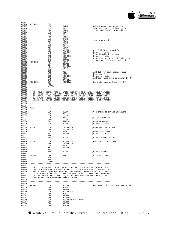

| 000276 ADJ_ADR | CLC        |                                                                                  |                                         |
|----------------|------------|----------------------------------------------------------------------------------|-----------------------------------------|
|                | LDA        | <b>CNTLO</b>                                                                     | Adjust count and Addresses              |
|                | SBC        | MVCNT                                                                            | ;Subtract (MVCNT+1) from count          |
|                | STA        | CNTLO                                                                            | ; and add (MVCNT+1) to address.         |
|                | LDA        | CNTHI                                                                            |                                         |
|                | SBC        | #0                                                                               |                                         |
|                | STA        | CNTHI                                                                            |                                         |
|                | LDA        | ADRLO                                                                            |                                         |
|                | ADC        | MVCNT                                                                            | ; (carry was set)                       |
|                | STA        | ADRLO                                                                            |                                         |
|                | LDA        | ADRHI                                                                            |                                         |
|                | ADC        | #0<br>ADRHI                                                                      |                                         |
|                | STA<br>BIT | ADMODE                                                                           | <i>lare</i> Bank Wraps possible?        |
|                | BPL        | ADJ_DNE                                                                          | ;Branch if not.                         |
|                | CMP        | #081                                                                             | ;Time to Adjust for Wrap?               |
|                | BCC        | ADJ_BNK                                                                          | ;Branch if not.                         |
|                | AND        | #07F                                                                             | ;Otherwise strip hi bit, add 1 to       |
|                | INC        | SISADR                                                                           | ; bank pair selected indirect           |
| 000295 ADJ_BNK | STA        | ADRHI                                                                            |                                         |
|                | LDA        | SISADR                                                                           |                                         |
|                | STA        | <b>BANKDMA</b>                                                                   |                                         |
|                | LDA        | ADRHI                                                                            |                                         |
|                | CLC        |                                                                                  |                                         |
|                | ADC        |                                                                                  | <i>Add</i> \$20 for bank address equiv. |
|                | CMP        | #20<br>#0A0                                                                      | Next bank?                              |
|                | BCC        | ADJ DNE                                                                          | ;Branch if not.                         |
|                | AND        | #07F                                                                             | Address range must be within 20-9F      |
|                | INC        | BANKDMA                                                                          |                                         |
| 000305 ADJ_DNE | STA        | ADDRDMA                                                                          | ;Save absolute address for DMA          |
|                | RTS        |                                                                                  |                                         |
|                | . PAGE     |                                                                                  |                                         |
| $000309$ ;     |            |                                                                                  |                                         |
|                |            | 000310 ; The move routines read or write data byte at a time. Input varibles     |                                         |
|                |            | 000311 ; are ADRLO, ADRHI and MVCNT, none of which are modified (that is done    |                                         |
|                |            | 000312 : by ADJADR). All registers are used. Also SLOTX must contain the         |                                         |
|                |            | 000313 ; slot number times 16 for indexing the device locations for read and     |                                         |
|                |            | $000314$ ; write. DATDIR indicates the direction (Read=0, Write=FF) of transfer. |                                         |
|                |            |                                                                                  |                                         |
|                |            |                                                                                  |                                         |
|                |            |                                                                                  |                                         |
| 000318 MOVE    | PHP        |                                                                                  |                                         |
|                | SEI        |                                                                                  |                                         |
|                | LDX        | SLOTX                                                                            | ;Get index to device locations.         |
|                | LDY        | #0                                                                               |                                         |
|                | LDA        | $E\_REG$                                                                         |                                         |
|                | ORA        | #80                                                                              | or in 1 MHz bit                         |
|                | STA        | E_REG<br>DATDIR                                                                  |                                         |
|                | BIT        |                                                                                  | Read or write?                          |
|                | BPL        | MOVIN                                                                            | ;Branch if read.                        |
|                |            |                                                                                  |                                         |
| 000328 MOVOUT  | LDA        | (ADRLO), Y                                                                       | Move data to Z8 RAM;                    |
|                | STA        | WR_PORT,X                                                                        |                                         |
|                | CPY        | MVCNT                                                                            | ;Done with Write?<br>;Branch if done.   |
|                | BEQ        | MVDONE                                                                           |                                         |
|                | INY        |                                                                                  |                                         |
|                | BNE        | MOVOUT                                                                           | ;Branch always taken.                   |
|                |            |                                                                                  |                                         |
| 000335 MOVIN   | LDA        | RD_PORT, X                                                                       | ;Get data from Z8 RAM                   |
|                | STA<br>CPY | (ADRLO), Y<br>MVCNT                                                              |                                         |
|                | <b>BEO</b> | MVDONE                                                                           |                                         |
|                | INY        |                                                                                  |                                         |
|                | BNE        | MOVIN                                                                            | ;Branch always.                         |
|                |            |                                                                                  |                                         |
| 000342 MVDONE  | JSR        | S2M                                                                              | iback to 2 MHz                          |
|                | PLP        |                                                                                  |                                         |
|                | RTS        |                                                                                  |                                         |
|                | . PAGE     |                                                                                  |                                         |
|                |            |                                                                                  |                                         |
| 000347 :       |            |                                                                                  |                                         |
|                |            | 000348 ; This routine arbitrates the initial user's address in terms of both     |                                         |
|                |            | ; indirect and absolute bank address. It sets the initial states for             |                                         |
|                |            | 000350 ; ADRLO, ADRHI, ADDRDMA, BANKDMA, and ADMODE. ADMODE's bit 7 is set       |                                         |
|                |            | ; if extented addressing is used, otherwise it is reset (0). ADDRDMA             |                                         |
|                |            | ; is the page address resulting within the 6502 address space, the               |                                         |
|                |            | $000353$ ; low address is always the same as ADRLO.                              |                                         |
|                |            |                                                                                  |                                         |
|                |            |                                                                                  |                                         |
|                |            |                                                                                  |                                         |
|                |            |                                                                                  |                                         |
| ARBADR         | LDA        | SOS_BUF                                                                          | Get strait indirect address moved       |
|                | STA        | ADRLO                                                                            |                                         |
|                | STA        | ORGADR                                                                           |                                         |
|                | LDA        | SOS_BUF+1                                                                        |                                         |
|                | STA        | ADRHI                                                                            |                                         |
|                | STA        | ORGADR+1                                                                         |                                         |
|                | STA        | ADDRDMA                                                                          |                                         |
|                | LDA        | SOS_XPAGE+SOS_BUF+1                                                              |                                         |
|                | STA        | SISADR                                                                           |                                         |
|                |            | ORGBNK                                                                           |                                         |
|                | STA<br>STA | ADMODE                                                                           |                                         |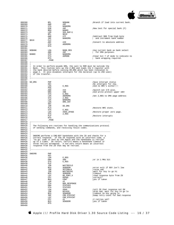

000368 BPL NOBANK ;Branch if load into current bank. 000369 AND <br>000370 STA  $000370 \qquad \begin{array}{ccc} \text{5TA} & \text{5ANKDMA} \\ \text{5TA} & \text{BANKDMA} \\ 000371 & \text{EOR} & \text{\#OF} \end{array}$ 000371 EOR #0F ;Now test for special bank (F) 000372 BEQ BANK0<br>000373 BEQ BANK0  $\begin{array}{ccc}\n 0.00373 & & \text{LDA} & & \text{SOS\_BUF+1} \\
 0.00373 & & \text{BPL} & & \text{S010}\n \end{array}$ 000374 BPL \$010 000375 AND #7F ;Subtract \$80 from high byte 000376 INC BANKDMA ; and increment bank number 000377 \$010 CLC<br>000378 ADC 000378 ADC #20 ;Convert to absolute address STA ADDRDMA<br>RTS 000380 000381<br>000382 000382 NOBANK LDA BANK\_REG : USe current bank as bank select<br>000383 000383 AND #0F = 000383  $000383 \xrightarrow{\text{AND}} \text{AND} \xrightarrow{\text{HOF}} \text{D} \xrightarrow{\text{G}} \text{for} \text{DMA} \text{ purposes}.$ % 000384 BANK0 STA BANKDMA<br>000384 BANK0 STA BANKDMA 000385 STA ADMODE ;Clear bit 7 of mode to indicate no 000386 RTS ; bank wrapping required. 000387<br>000388 000388 ;---------------------------------------------------------------------- 000389<br>000390 000390 ; In order to perform psuedo DMA, the call to ROM must be outside the 000391 ; Bank. This routine sets up the  $Z$ \_REG and loads the  $X$  register with 000391 ; Bank. This routine sets up the Z\_REG and loads the X register with<br>000392 ; the bank desired before calling Do\_DMA which has been relocated to<br>000393 ; page 2. It also disables interupts for the duration (up to 25 000394 ; of the transfer. 000395<br>000396 000396 ;---------------------------------------------------------------------- 000397<br>000398 000398 GO\_DMA PHP ;Save interupt status 000399 SEI ;No interupts for now.  $\begin{array}{lll} \texttt{LDA} & \texttt{E\_REG} & \texttt{And no NMI's either} \texttt{H1!} \\ \texttt{PHA} & \texttt{B} & \texttt{B} & \texttt{B} \\ \texttt{DTA} & \texttt{B} & \texttt{B} & \texttt{B} \\ \texttt{DTA} & \texttt{B} & \texttt{B} & \texttt{B} \\ \texttt{DTA} & \texttt{B} & \texttt{B} & \texttt{B} \\ \texttt{DTA} & \texttt{B} & \texttt{B} & \texttt{B} \\ \texttt{DTA} & \texttt{B} & \texttt{B} & \texttt{B} \\ \$ 000401 PHA PHA 2000402 AND  $#24$   $#8B$  ; Switch out I/O also.<br>  $*80$ RA  $#8B$ %#8B  $\mu$  ;And write protect upper 16K!  $\begin{array}{cccc}\n 000403 & & & & \text{ORA} & & \text{H8B} \\
 000404 & & & \text{STA} & & \text{E\_REG} \\
 000405 & & & \text{LDA} & & \text{ADDRIMA}\n \end{array}$  $\overline{LDA}$   $\overline{DDR}$   $\overline{DDR}$   $\overline{D}$   $\overline{S}$   $\overline{S}$   $\overline{S}$   $\overline{S}$   $\overline{S}$   $\overline{S}$   $\overline{S}$   $\overline{S}$   $\overline{S}$   $\overline{S}$   $\overline{S}$   $\overline{S}$   $\overline{S}$   $\overline{S}$   $\overline{S}$   $\overline{S}$   $\overline{S}$   $\overline{S}$   $\overline{S}$   $\overline{S}$   $\$ 000406 STA Z\_REG 000407 LDX BANKDMA 000408 LDA DMA\_CNT<br>000409 SEC 000409 SEC<br>000410 JSR  $000410$ <br>  $000411$ <br>  $000411$ <br>  $000411$ <br>  $000411$ 000411 PLA  $\overline{R}$  PLA  $\overline{R}$  iRestore NMI state. 000412 STA E\_REG 000413 LDA  $\overline{H}$ SOS\_ZPAGE ;Restore proper zero page.<br>000414 STA z REG z REG 000414 STA Z\_REG<br>000415 PLP 000415 PLP ;Restore interupts 000416 RTS<br>000417 PAGE  $000417$ <br> $000418$ 000418 ;----------------------------------------------------------------------  $000419$  ;<br>000420 ; 000420 ; The following are routines for handling the communications protocol 000421 ; of sending commands, and receiving result codes. ; of sending commands, and receiving result codes.  $000422$  ;<br>000423 :---000423 ;---------------------------------------------------------------------- 000424<br>000425 000425 ; SNDCMD performs a CMD-BSY handshake with the Z8 and checks for a<br>000426 ; correct response if the Z8 responds with an incorrect code a 000426 ; correct response. If the Z8 responds with an incorrect code, a 000427 ; 'no go' code is sent by the Apple and the handshake is retried 000428 ; up to 2 times. On return, Carry=1 means a handshake timeout or 000429  $000431$  ;<br>000432 :---000432 ;---------------------------------------------------------------------- 000433<br>000434 SNDCMD PHP<br>SET 000435 <br>000436 LDA  $\begin{array}{cccc}\n 000436 & & & \text{LDA} & & \text{E\_REG} \\
 000437 & & & \text{ORA} & & \text{\#80}\n \end{array}$ 000437 ORA #80 ;or in 1 MHz bit  $\begin{array}{ccc}\n\text{STA} & \text{E\_REG} \\
\text{PLP}\n\end{array}$ 000439<br>
000440<br>
000441<br>
BCS<br>
RCS JSR WAITBSYLO<br>BCS SENDERR 000441 BCS SENDERR ;error exit if BSY isn't low 000442 JSR SETCMDLN ;raise cmd 000443 JSR WAITBSYHI ;wait for bsy to go hi  $\begin{tabular}{llllll} \multicolumn{2}{c}{\textbf{0.00443}} & \multicolumn{2}{c}{\textbf{5.00444}} & \multicolumn{2}{c}{\textbf{5.00445}} \\ \multicolumn{2}{c}{\textbf{0.00444}} & \multicolumn{2}{c}{\textbf{B.S}} & \multicolumn{2}{c}{\textbf{WATTBSYHI}} \\ \multicolumn{2}{c}{\textbf{0.00445}} & \multicolumn{2}{c}{\textbf{B.S}} & \multicolumn{2}{c}{\textbf{SENDERR}} \\ \multicolumn{2}{c}{\textbf{0.00445}} & \multicolumn$ 000445 LDY RD\_PORT,X ;read response byte from Z8 000446 CPY RSPNS ;correct? 000447 BEQ CONT ;yes if taken  $000448$   $00449$   $\overline{STA}$   $\overline{H2}$   $\overline{BA}$ 000449 STA BAD\_RESPONSE 000450 ORA STATUS3 000451 STA STATUS3 000452 LDA #0AA ;tell Z8 that response not OK 000453 JSR BSYACK ;drop cmd, wait for bsy to go lo 000454 BCS SENDERR ;timeout on bsy going lo 000455 INC CMD\_RTRYCNT ;bump retry count for bad response 000456 LDY CMD\_RTRYCNT  $000457$  CPY  $\#2$   $\overline{ }$   $\qquad \qquad$   $\qquad \qquad$   $\qquad \qquad$   $\qquad \qquad$   $\qquad \qquad$   $\qquad \qquad$   $\qquad \qquad$   $\qquad \qquad$   $\qquad \qquad$   $\qquad \qquad$   $\qquad \qquad$   $\qquad \qquad$   $\qquad \qquad$   $\qquad \qquad$   $\qquad \qquad$   $\qquad \qquad$   $\qquad \qquad$   $\qquad \qquad$   $\qquad \qquad$   $\qquad \qquad$   $\qquad \qquad$   $\qquad \$ BCS SENDERR *i*yes if taken RTS  $000459$ 000460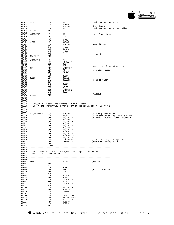

| 000461 CONT<br>000462      |                                       | LDA<br>JSR | #055<br>BSYACK                                                                                                              | indicate good response              |
|----------------------------|---------------------------------------|------------|-----------------------------------------------------------------------------------------------------------------------------|-------------------------------------|
| 000463                     |                                       | BCS        | SENDERR                                                                                                                     | ibsy timeout                        |
| 000464                     |                                       | LDA        | #0                                                                                                                          | indicate good return to caller      |
| 000465<br>000466           | SENDERR                               | RTS        |                                                                                                                             |                                     |
| 000467                     | WAITBSYHI                             | LDY        | #0                                                                                                                          | iset .5sec timeout                  |
| 000468                     |                                       | STY        | TIMOUT                                                                                                                      |                                     |
| 000469                     |                                       | CLC        |                                                                                                                             |                                     |
| 000470<br>000471 ALOOP     |                                       | LDX        | SLOTX                                                                                                                       |                                     |
| 000472                     |                                       | LDA<br>BPL | BUSY, X<br>BSYHIRET                                                                                                         | ;done if taken                      |
| 000473                     |                                       | DEY        |                                                                                                                             |                                     |
| 000474                     |                                       | BNE        | ALOOP                                                                                                                       |                                     |
| 000475                     |                                       | DEC        | TIMOUT                                                                                                                      |                                     |
| 000476<br>000477           |                                       | BNE<br>SEC | ALOOP                                                                                                                       | ;timeout                            |
| 000478                     | BSYHIRET                              | RTS        |                                                                                                                             |                                     |
| 000479                     |                                       |            |                                                                                                                             |                                     |
| 000480<br>000481           | WAITBSYLO                             | LDY<br>LDA | #1<br>LONGWAIT                                                                                                              |                                     |
| 000482                     |                                       | BEQ        | \$10                                                                                                                        |                                     |
| 000483                     |                                       | LDY        | #10                                                                                                                         | iset up for 8 second wait max.      |
| 000484 \$10                |                                       | STY        | WAITTIME                                                                                                                    |                                     |
| 000485                     |                                       | LDY        | #0                                                                                                                          | iset .5sec timeout                  |
| 000486<br>000487           |                                       | STY<br>CLC | TIMOUT                                                                                                                      |                                     |
| 000488                     |                                       | LDX        | SLOTX                                                                                                                       |                                     |
| 000489 BLOOP               |                                       | LDA        | BUSY, X                                                                                                                     |                                     |
| 000490                     |                                       | BMI        | BSYLORET                                                                                                                    | idone if taken                      |
| 000491<br>000492           |                                       | DEY<br>BNE | BLOOP                                                                                                                       |                                     |
| 000493                     |                                       | DEC        | TIMOUT                                                                                                                      |                                     |
| 000494                     |                                       | BNE        | BLOOP                                                                                                                       |                                     |
| 000495                     |                                       | DEC        | WAITTIME                                                                                                                    |                                     |
| 000496<br>000497           |                                       | BNE<br>SEC | BLOOP                                                                                                                       | <i>i</i> timeout                    |
|                            | 000498 BSYLORET                       | RTS        |                                                                                                                             |                                     |
| 000499                     |                                       |            |                                                                                                                             |                                     |
| 000500<br>000501           | $\ddot{i}$                            |            |                                                                                                                             |                                     |
| 000502<br>000503<br>000504 | $\cdot$                               |            | ; SND_CMDBYTES sends the command string to widget.<br>; Enter with cmd=bsy=lo. Error return if get parity error - Carry = 1 |                                     |
| 000505                     |                                       |            |                                                                                                                             |                                     |
| 000506<br>000507           | SND_CMDBYTES                          | JSR        | SETUPWRITE                                                                                                                  | iget in proper state                |
| 000508                     |                                       | LDA        | Z8CMD                                                                                                                       | isend command string - cmd, blockhi |
| 000509                     |                                       | STA        | WR_PORT, X                                                                                                                  | blocklo, retries, retry threshold;  |
| 000510                     |                                       | LDA        | MSBLOCK                                                                                                                     |                                     |
| 000511<br>000512           |                                       | STA<br>LDA | WR_PORT, X<br>BLOCKHI                                                                                                       |                                     |
| 000513                     |                                       | STA        | WR_PORT, X                                                                                                                  |                                     |
| 000514                     |                                       | LDA        | BLOCKLO                                                                                                                     |                                     |
| 000515                     |                                       | STA        | WR_PORT, X                                                                                                                  |                                     |
| 000516<br>000517           |                                       | LDA<br>STA | RTRYCNT<br>WR_PORT, X                                                                                                       |                                     |
| 000518                     |                                       | LDA        | RTRYTHRESH                                                                                                                  |                                     |
| 000519                     |                                       | STA        | WR_PORT, X                                                                                                                  |                                     |
| 000520                     |                                       | JSR        | SETUPREAD                                                                                                                   | finish writing last byte and        |
| 000521<br>000522           |                                       | JSR<br>RTS | CHKPARITY                                                                                                                   | :check for parity error             |
| 000523                     |                                       | . PAGE     |                                                                                                                             |                                     |
| $000524$ $i$ --            |                                       |            |                                                                                                                             |                                     |
| 000525                     | $\ddot{i}$                            |            |                                                                                                                             |                                     |
| 000526<br>000527           | <i>iresult code is returned in Y.</i> |            | :GETSTAT retrieves the status bytes from widget. The one-byte                                                               |                                     |
| 000528                     |                                       |            |                                                                                                                             |                                     |
| 000529                     |                                       |            |                                                                                                                             |                                     |
| 000530                     |                                       |            |                                                                                                                             |                                     |
| 000531<br>000532           | GETSTAT                               | LDX<br>PHP | SLOTX                                                                                                                       | ;get slot #                         |
| 000533                     |                                       | SEI        |                                                                                                                             |                                     |
| 000534                     |                                       | LDA        | E_REG                                                                                                                       |                                     |
| 000535                     |                                       | ORA        | #80                                                                                                                         | or in 1 MHz bit                     |
| 000536<br>000537           |                                       | STA<br>PLP | E_REG                                                                                                                       |                                     |
| 000538                     |                                       | LDA        | RD_PORT, X                                                                                                                  |                                     |
| 000539                     |                                       | STA        | STATUS1                                                                                                                     |                                     |
| 000540                     |                                       | LDA        | RD_PORT, X                                                                                                                  |                                     |
| 000541                     |                                       | STA        | STATUS2                                                                                                                     |                                     |
| 000542<br>000543           |                                       | LDA<br>PHA | RD_PORT, X                                                                                                                  |                                     |
| 000544                     |                                       | LDA        | RD_PORT, X                                                                                                                  |                                     |
| 000545                     |                                       | STA        | STATUS4                                                                                                                     |                                     |
| 000546                     |                                       | JSR        | CHKPARITY                                                                                                                   |                                     |
| 000547<br>000548           |                                       | PLA        |                                                                                                                             |                                     |
| 000549                     |                                       | ORA<br>ORA | PARITY_ERR<br>BAD_RESPONSE                                                                                                  |                                     |
| 000550                     |                                       | ORA        | RESET_FLAG                                                                                                                  |                                     |
| 000551                     |                                       | STA        | STATUS3                                                                                                                     |                                     |
| 000552                     |                                       | LDA        | STATUS1                                                                                                                     |                                     |
| 000553                     |                                       | RTS        |                                                                                                                             |                                     |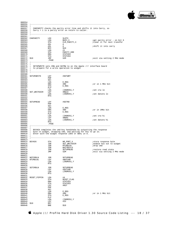

|                                                     |                      | $000558$ ; Carry = 1 is a parity error on return to caller.                                                                         |                                      |
|-----------------------------------------------------|----------------------|-------------------------------------------------------------------------------------------------------------------------------------|--------------------------------------|
|                                                     |                      |                                                                                                                                     |                                      |
|                                                     | 000562 CHKPARITY LDX | SLOTX                                                                                                                               |                                      |
|                                                     | LDA                  | SLOTX<br>BUSY,X                                                                                                                     | iget parity error - on bit 6         |
|                                                     | STA                  | CLR_PARITY, X                                                                                                                       | ;clear it for next transfer          |
|                                                     | ASL<br>ASL           | $\mathbb{A}$                                                                                                                        |                                      |
|                                                     |                      | A                                                                                                                                   | shift it into carry;                 |
|                                                     | BCC<br>LDA           | \$10<br>#1                                                                                                                          |                                      |
|                                                     | STA                  | PARITY_ERR                                                                                                                          |                                      |
|                                                     | ORA                  | STATUS3                                                                                                                             |                                      |
|                                                     | STA                  | STATUS3                                                                                                                             |                                      |
| 000572 \$10                                         | JMP                  | S2M                                                                                                                                 | <i>i</i> exit via setting 2 MHz mode |
|                                                     | . PAGE               |                                                                                                                                     |                                      |
| $\cdot$ $\cdot$<br>$\mathbf{r}$                     |                      | 000576 ; SETUPWRITE sets CRW and DATRW lo on the Apple /// interface board<br>$000577$ ; to prepare for a write operation to widget |                                      |
|                                                     |                      |                                                                                                                                     |                                      |
| 000581 SETUPWRITE LDY                               |                      | #SETWRT                                                                                                                             |                                      |
|                                                     | PHP                  |                                                                                                                                     |                                      |
|                                                     | SEI                  |                                                                                                                                     |                                      |
|                                                     | LDA                  | E_REG                                                                                                                               |                                      |
|                                                     | ORA                  | #80                                                                                                                                 | or in 1 MHz bit                      |
|                                                     | STA                  | $E\_REG$                                                                                                                            |                                      |
|                                                     | PLP                  |                                                                                                                                     |                                      |
|                                                     |                      | (INDRCN), Y                                                                                                                         | ;set crw lo                          |
| 000588 LDA<br>000589 SET_WRITEDIR LDY<br>000590 LDA |                      | #RWLO                                                                                                                               |                                      |
|                                                     |                      | (INDRCN), Y                                                                                                                         | ;set datarw lo                       |
|                                                     | RTS                  |                                                                                                                                     |                                      |
| 000594 SETUPREAD LDY                                |                      | #SETRD                                                                                                                              |                                      |
|                                                     | PHP                  |                                                                                                                                     |                                      |
|                                                     | SEI                  |                                                                                                                                     |                                      |
|                                                     | LDA                  | E_REG                                                                                                                               |                                      |
|                                                     | ORA                  | #80                                                                                                                                 | or in 1MHz bit                       |
|                                                     | STA                  | E_REG                                                                                                                               |                                      |
|                                                     | PLP                  |                                                                                                                                     |                                      |
|                                                     | LDA                  | (INDRCN), Y                                                                                                                         | set crw hi                           |
|                                                     | LDY                  | #RWHI                                                                                                                               |                                      |
|                                                     | LDA                  | (INDRCN), Y                                                                                                                         | ;set datarw hi                       |
|                                                     | RTS                  |                                                                                                                                     |                                      |
|                                                     | . PAGE               |                                                                                                                                     |                                      |
|                                                     |                      |                                                                                                                                     |                                      |
| $\cdot$ ;                                           |                      |                                                                                                                                     |                                      |
|                                                     |                      | 000608 ; BSYACK completes the cmd-bsy handshake by outputting the response                                                          |                                      |
|                                                     |                      | 000609 ; byte to widget, dropping cmd, and waiting for bsy to go lo.                                                                |                                      |
|                                                     |                      | 000610 ; Enter with the widget response (\$55 or \$AA) in A.                                                                        |                                      |
|                                                     |                      |                                                                                                                                     |                                      |
|                                                     |                      |                                                                                                                                     |                                      |
|                                                     |                      |                                                                                                                                     |                                      |
| 000614 BSYACK                                       | STA                  | WR PORT, X                                                                                                                          | istore response byte                 |
|                                                     | JSR                  | SET_WRITEDIR                                                                                                                        | enable bus out to widget             |
|                                                     | JSR                  | NTCMDLN1                                                                                                                            | idrop cmd                            |
|                                                     |                      | WAITBSYLO                                                                                                                           |                                      |
|                                                     | JSR<br>JSR           | SETUPREAD                                                                                                                           | restore read state                   |
|                                                     | JMP                  | S2M                                                                                                                                 | exit via setting 2 MHz mode          |
|                                                     |                      |                                                                                                                                     |                                      |
|                                                     |                      |                                                                                                                                     |                                      |
| NOTCMDLN                                            | JSR                  | SETUPREAD                                                                                                                           |                                      |
| NTCMDLN1                                            | LDY                  | #NOTCMD                                                                                                                             |                                      |
|                                                     | LDA                  | (INDRCN), Y                                                                                                                         |                                      |
|                                                     | RTS                  |                                                                                                                                     |                                      |
|                                                     |                      |                                                                                                                                     |                                      |
| SETCMDLN                                            | JSR                  | SETUPREAD                                                                                                                           |                                      |
|                                                     | LDY                  | #SETCMD                                                                                                                             |                                      |
|                                                     | LDA                  | (INDRCN), Y                                                                                                                         |                                      |
|                                                     | RTS                  |                                                                                                                                     |                                      |
|                                                     |                      |                                                                                                                                     |                                      |
| RESET_PIPPIN                                        | LDA                  | #4                                                                                                                                  |                                      |
|                                                     | STA                  |                                                                                                                                     |                                      |
|                                                     | ORA                  | RESET_FLAG                                                                                                                          |                                      |
|                                                     |                      | STATUS3                                                                                                                             |                                      |
|                                                     | STA                  | STATUS3                                                                                                                             |                                      |
|                                                     | LDY                  | #RST                                                                                                                                |                                      |
|                                                     | PHP                  |                                                                                                                                     |                                      |
|                                                     | SEI                  |                                                                                                                                     |                                      |
|                                                     | LDA                  | $E$ REG                                                                                                                             |                                      |
|                                                     | ORA                  | #80                                                                                                                                 | jor in 1 MHz bit                     |
|                                                     | STA                  | E_REG                                                                                                                               |                                      |
|                                                     | PLP                  |                                                                                                                                     |                                      |
|                                                     | LDA                  | (INDRCN), Y                                                                                                                         |                                      |
|                                                     | LDY                  | #25                                                                                                                                 |                                      |
| \$10                                                | DEY<br><b>BNE</b>    | \$10                                                                                                                                |                                      |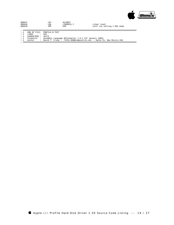

| 000647 | T DY | #CLRRST     |
|--------|------|-------------|
| 000648 | T.DA | (INDRCN). Y |
| 000649 | TMP. | S2M         |

iclear reset : ------ resee

; ####################################################################################################

END OF FILE: PROFILE.B.TEXT

; # LINES : 649 ; # CHARACTERS : 35175

; # Formatter : Assembly Language Reformatter 1.0.2 (07 January 1998) ; # Author : David T. Craig -- 71533.606@compuserve.com -- Santa Fe, New Mexico USA ; ####################################################################################################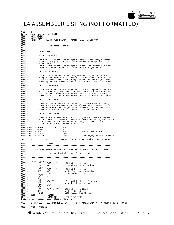

## TLA ASSEMBLER LISTING (NOT FORMATTED)

| PAGE -          |                               | 0                                       |                 |                                                                                                                       |     |                          |                                                                                                                                                                                                                                                                                                              |  |
|-----------------|-------------------------------|-----------------------------------------|-----------------|-----------------------------------------------------------------------------------------------------------------------|-----|--------------------------|--------------------------------------------------------------------------------------------------------------------------------------------------------------------------------------------------------------------------------------------------------------------------------------------------------------|--|
|                 |                               |                                         |                 | Current memory available: 25612                                                                                       |     |                          |                                                                                                                                                                                                                                                                                                              |  |
| 0000            |                               | 0000   5 .NOMACROLIST<br>5 .NOPATCHLIST |                 |                                                                                                                       |     |                          |                                                                                                                                                                                                                                                                                                              |  |
| 0000            |                               |                                         |                 |                                                                                                                       |     |                          | 5 .TITLE " SOS Profile Driver -- Version 1.30 14-Jan-83"                                                                                                                                                                                                                                                     |  |
| 0000            |                               |                                         |                 |                                                                                                                       |     |                          |                                                                                                                                                                                                                                                                                                              |  |
| 0000            | $5 \cdot i$                   |                                         |                 |                                                                                                                       |     |                          |                                                                                                                                                                                                                                                                                                              |  |
| 0000            | 5 ;                           |                                         |                 | SOS Profile Driver                                                                                                    |     |                          |                                                                                                                                                                                                                                                                                                              |  |
| 0000            | $5 \cdot i$                   |                                         |                 |                                                                                                                       |     |                          |                                                                                                                                                                                                                                                                                                              |  |
| 0000<br>0000    | $5 \cdot i$<br>5 ;            |                                         | Revisions:      |                                                                                                                       |     |                          |                                                                                                                                                                                                                                                                                                              |  |
| 0000            | 5 <sub>i</sub>                |                                         |                 |                                                                                                                       |     |                          |                                                                                                                                                                                                                                                                                                              |  |
| 0000            | 5 i                           |                                         |                 | 1.10R  05-May-82                                                                                                      |     |                          |                                                                                                                                                                                                                                                                                                              |  |
| 0000            | 5;                            |                                         |                 |                                                                                                                       |     |                          |                                                                                                                                                                                                                                                                                                              |  |
| 0000            |                               |                                         |                 |                                                                                                                       |     |                          |                                                                                                                                                                                                                                                                                                              |  |
| 0000            |                               |                                         |                 |                                                                                                                       |     |                          | Fig. The GOODEXIT routine was changed to complete the dummy handshake<br>5; so any pending Profile spare table updates would get rewritten<br>5; on the disk.                                                                                                                                                |  |
| 0000            | $5 \cdot i$                   |                                         |                 |                                                                                                                       |     |                          |                                                                                                                                                                                                                                                                                                              |  |
| 0000<br>0000    | $5 \cdot i$                   |                                         |                 |                                                                                                                       |     |                          | The GETBYTES routine was changed so a bad block number would get<br>flagged as such and not get flagged as a bad byte count.                                                                                                                                                                                 |  |
| 0000            | 5 ;                           |                                         |                 |                                                                                                                       |     |                          |                                                                                                                                                                                                                                                                                                              |  |
| 00001           | $5 \cdot i$                   |                                         |                 | 1.11R 12-May-82                                                                                                       |     |                          |                                                                                                                                                                                                                                                                                                              |  |
| 0000            | $5 \cdot i$                   |                                         |                 |                                                                                                                       |     |                          |                                                                                                                                                                                                                                                                                                              |  |
| 0000            | 5 ;                           |                                         |                 |                                                                                                                       |     |                          | The driver is slowed to 1MHz only when talking to the card and                                                                                                                                                                                                                                               |  |
| 0000            | 5 <sub>i</sub>                |                                         |                 |                                                                                                                       |     |                          | doing psuedo DMA; this will enable it to make the $5:1$ interleave.                                                                                                                                                                                                                                          |  |
| 0000<br>0000    | $5 \cdot i$<br>5 <sub>i</sub> |                                         |                 |                                                                                                                       |     |                          | The reference to the clear parity address that occurs just after<br>entering the driver was corrected to be a write instead of a read.                                                                                                                                                                       |  |
| 0000            | $5 \cdot i$                   |                                         |                 |                                                                                                                       |     |                          |                                                                                                                                                                                                                                                                                                              |  |
| 0000            |                               | $5 \cdot i$                             |                 | 1.11R 14-May-82                                                                                                       |     |                          |                                                                                                                                                                                                                                                                                                              |  |
| 0000            | 5 ;                           |                                         |                 |                                                                                                                       |     |                          |                                                                                                                                                                                                                                                                                                              |  |
| 0000            | 5 <sub>i</sub>                |                                         |                 |                                                                                                                       |     |                          | The block ID check was removed when reading to speed up the driver<br>and allow reading the status info which doesn't have a block ID.<br>The 2nd reset, which prevented the read/write head from being<br>retracted off the data area<br>The block ID check was removed when reading to speed up the driver |  |
| 0000            | $5 \t i$                      |                                         |                 |                                                                                                                       |     |                          |                                                                                                                                                                                                                                                                                                              |  |
| 0000            | 5 i                           |                                         |                 |                                                                                                                       |     |                          |                                                                                                                                                                                                                                                                                                              |  |
| 0000<br>0000    | $5 \cdot i$                   | $5 \cdot i$                             |                 |                                                                                                                       |     |                          |                                                                                                                                                                                                                                                                                                              |  |
| 0000            |                               | 5 7                                     |                 | 1.12R  01-Sep-82                                                                                                      |     |                          |                                                                                                                                                                                                                                                                                                              |  |
| 0000            | 5 <sub>i</sub>                |                                         |                 |                                                                                                                       |     |                          |                                                                                                                                                                                                                                                                                                              |  |
| 0000            | $5 \t i$                      |                                         |                 |                                                                                                                       |     |                          | Interrupts were disabled in the LAST_PGE routine before saving                                                                                                                                                                                                                                               |  |
| 0000            | 5 ;                           |                                         |                 |                                                                                                                       |     |                          |                                                                                                                                                                                                                                                                                                              |  |
| 0000            | 5 ;                           |                                         |                 |                                                                                                                       |     |                          | bytes $0$ and FE, instead of just before the data transfer, since those bytes might be changed by an interrupt routine, and the old instead of the new (correct) values would get restored.                                                                                                                  |  |
| 0000<br>0000    | $5 \t i$                      | $5 \cdot i$                             |                 |                                                                                                                       |     |                          |                                                                                                                                                                                                                                                                                                              |  |
| 0000            |                               | $5 \cdot i$                             |                 | 1.30 14-Jan-83                                                                                                        |     |                          |                                                                                                                                                                                                                                                                                                              |  |
| 0000            | $5 \cdot i$                   |                                         |                 |                                                                                                                       |     |                          |                                                                                                                                                                                                                                                                                                              |  |
| 00001           | 5 <sub>i</sub>                |                                         |                 |                                                                                                                       |     |                          | Interrupts are disabled while modifying the environment register<br>and RSTORENV is changed to leave the screen bit (bit 5) unmodified;<br>this eleminates spurious screen flashing. Control code 0 is<br>processed as a NOP, instead o                                                                      |  |
| 00001           | $5 \cdot i$                   |                                         |                 |                                                                                                                       |     |                          |                                                                                                                                                                                                                                                                                                              |  |
| 0000            |                               | $\frac{1}{5}$ $\frac{1}{7}$             |                 |                                                                                                                       |     |                          |                                                                                                                                                                                                                                                                                                              |  |
| 0000            | 5 <sub>i</sub>                |                                         |                 |                                                                                                                       |     |                          |                                                                                                                                                                                                                                                                                                              |  |
| 0000            | $5 \cdot i$                   |                                         |                 |                                                                                                                       |     |                          |                                                                                                                                                                                                                                                                                                              |  |
| 0000            |                               | 00D1 DEVTYPE                            |                 | . EQU                                                                                                                 | OD1 |                          |                                                                                                                                                                                                                                                                                                              |  |
|                 |                               |                                         |                 |                                                                                                                       |     |                          | ;Apple Computer Inc.                                                                                                                                                                                                                                                                                         |  |
|                 |                               |                                         |                 |                                                                                                                       |     |                          |                                                                                                                                                                                                                                                                                                              |  |
|                 |                               |                                         |                 | 0000 0001 SUBTYPE .EQU 01<br>0000 0001 MANUF .EQU 0001<br>0000 1300 RELEASE .EQU 0001<br>0000 2600 MAXBLOCK .EQU 2600 |     |                          | ;4.86 megabytes (+16K spares)                                                                                                                                                                                                                                                                                |  |
|                 |                               |                                         |                 |                                                                                                                       |     |                          |                                                                                                                                                                                                                                                                                                              |  |
|                 |                               |                                         |                 |                                                                                                                       |     |                          | PAGE - 1 FILE: SOS Profile Driver -- Version 1.30 14-Jan-83                                                                                                                                                                                                                                                  |  |
| $0000$ 5 !      |                               |                                         |                 | . PAGE                                                                                                                |     |                          |                                                                                                                                                                                                                                                                                                              |  |
| 0000            |                               |                                         |                 |                                                                                                                       |     |                          |                                                                                                                                                                                                                                                                                                              |  |
| 0000            | $5 \cdot i$                   |                                         |                 |                                                                                                                       |     |                          |                                                                                                                                                                                                                                                                                                              |  |
| 0000            | - 5                           |                                         |                 |                                                                                                                       |     |                          | ; The macro SWITCH performs an N way branch based on a switch index.                                                                                                                                                                                                                                         |  |
| 0000            | 5                             | $\mathbf{r}$                            |                 |                                                                                                                       |     |                          |                                                                                                                                                                                                                                                                                                              |  |
| $0000$ 5 ;      |                               |                                         |                 |                                                                                                                       |     |                          | SWITCH [index], [bounds], adrs_table, [*]                                                                                                                                                                                                                                                                    |  |
| 0000 5<br>00001 | 5                             |                                         |                 |                                                                                                                       |     |                          |                                                                                                                                                                                                                                                                                                              |  |
| 0000            | -5                            |                                         |                 |                                                                                                                       |     |                          |                                                                                                                                                                                                                                                                                                              |  |
| 0000            |                               |                                         | 5 .MACRO SWITCH |                                                                                                                       |     |                          |                                                                                                                                                                                                                                                                                                              |  |
| 0000            | 5                             |                                         | . $\mathtt{IF}$ | "%1" <> ""                                                                                                            |     | ;If PARM1 is present,    |                                                                                                                                                                                                                                                                                                              |  |
| 0000            | - 5                           |                                         | LDA             | 81                                                                                                                    |     |                          | ; Load A with switch index                                                                                                                                                                                                                                                                                   |  |
| 0000            | 5                             |                                         | .ENDC           |                                                                                                                       |     |                          |                                                                                                                                                                                                                                                                                                              |  |
| 0000            | 5                             |                                         | .IF             | "%2" <> ""                                                                                                            |     | ;If PARM2 is present,    |                                                                                                                                                                                                                                                                                                              |  |
| 0000<br>0000    | - 5<br>5                      |                                         | CMP<br>BCS      | #%2+1<br>\$010                                                                                                        |     | ; on switch index        | ; Perform bounds checking                                                                                                                                                                                                                                                                                    |  |
| 0000            | 5                             |                                         | . ENDC          |                                                                                                                       |     |                          |                                                                                                                                                                                                                                                                                                              |  |
| 0000            | 5                             |                                         | ASL             | Α                                                                                                                     |     |                          |                                                                                                                                                                                                                                                                                                              |  |
| 0000            | 5                             |                                         | TAY             |                                                                                                                       |     |                          |                                                                                                                                                                                                                                                                                                              |  |
| 0000            | 5                             |                                         | LDA             | $83 + 1, Y$                                                                                                           |     |                          | Get switch address from table;                                                                                                                                                                                                                                                                               |  |
| 0000            | - 5                           |                                         | PHA             |                                                                                                                       |     | ; and push onto stack    |                                                                                                                                                                                                                                                                                                              |  |
| 0000<br>0000    | 5<br>5                        |                                         | LDA             | §3,Y                                                                                                                  |     |                          |                                                                                                                                                                                                                                                                                                              |  |
| 0000            | - 5                           |                                         | PHA<br>.IF      | "왕4" <> "*"                                                                                                           |     | ; If PARM4 is omitted,   |                                                                                                                                                                                                                                                                                                              |  |
| 00001           | - 5                           |                                         | RTS             |                                                                                                                       |     | ; Exit to code           |                                                                                                                                                                                                                                                                                                              |  |
| 0000            | - 5                           |                                         | . ENDC          |                                                                                                                       |     | :Otherwise, drop through |                                                                                                                                                                                                                                                                                                              |  |
| 00001           | 5                             | \$010                                   |                 | . ENDM                                                                                                                |     |                          |                                                                                                                                                                                                                                                                                                              |  |
| 00001           | - 5                           |                                         |                 | .INCLUDE                                                                                                              |     | PROFILE.A.TEXT           |                                                                                                                                                                                                                                                                                                              |  |
|                 |                               |                                         |                 | 2 blocks for procedure code 23390 words left                                                                          |     |                          |                                                                                                                                                                                                                                                                                                              |  |
| PAGE -          |                               | 2 PROFILE                               |                 | FILE: PROFILE.A.TEXT                                                                                                  |     |                          | SOS Profile Driver -- Version 1.30 14-Jan-83                                                                                                                                                                                                                                                                 |  |
|                 |                               |                                         |                 |                                                                                                                       |     |                          |                                                                                                                                                                                                                                                                                                              |  |
|                 |                               | 0000   5 PROC                           | PROFILE         |                                                                                                                       |     |                          |                                                                                                                                                                                                                                                                                                              |  |

Apple /// ProFile Hard Disk Driver 1.30 Source Code Listing --- 20 / 37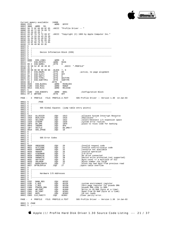

Current memory available: 24800<br>0000 FFFF 0000| FFFF .WORD 0FFFF 0002| 3B00 .WORD 59. 0004 50 72 6F 66 69 6C 65 .ASCII "Profile Driver -- "<br>000B 20 44 72 69 76 65 72 000B| 20 44 72 69 76 65 72 0012 20 2D 2D 20<br>0016 43 6F 70 79 0016 43 6F 70 79 72 69 67 .ASCII "Copyright (C) 1983 by Apple Computer Inc."<br>001D 68 74 20 28 43 29 20 0016 43 6F 70 79 72 69 67<br>001D 68 74 20 28 43 29 20<br>0024 31 39 38 33 20 62 79 0024| 31 39 38 33 20 62 79 002B| 20 41 70 70 6C 65 20 0032| 43 6F 6D 70 75 74 65 0039 72 20 49 6E 63 2E<br>003F 5  $003F$  5<br>003F 5 003F| 5 ;----------------------------------------------------------------------  $003F$  5 Device Information Block (DIB)  $003F$ <br> $003F$ 003F| 5 ;----------------------------------------------------------------------  $003F$  5<br>003F 0000 003F 0000 DIB\_LINK1 .WORD 0<br>0041 \*\*\*\* DIB\_ENTRY1 .WORD MAIN 0041| \*\*\*\* DIB\_ENTRY1 .WORD MAIN 0043| 08 2 DIB\_NAME1 .BYTE 8 0044| 2E 50 52 4F 46 49 4C ' .ASCII ".PROFILE"  $004B$  45 2<br>004c 00 0 004C| 00 00 00 00 00 00 00 .BLOCK 7, 0 0053| 80 2 DIB\_DNUM1 .BYTE 80 ;active, no page alignment 0054| FF 2 DIB\_SLOT1 .BYTE 0FF 0055| 00 2 DIB\_UNIT1 .BYTE 0 0056 D1 2 DIB\_TYPE1 .BYTE DEVTYPE<br>0057 01 2 DIB\_SUBTYPE1 .BYTE SUBTYPE 0057| 01 2 DIB\_SUBTYPE1 .BYTE S<br>0058| 00 2 ! .BYTE 0 0058<br>
0058<br>
00 2 !<br>
0059<br>
0026<br>
DIB\_BLOCK1 0059 0026 DIB\_BLOCK1 ....WORD MAXBLOCK<br>005B 0100 DIB\_MID1 ...WORD MANUF<br>005D 0013 DIB\_RLS1 ...WORD RELEASE 005B 0100 DIB\_MID1<br>005D 0013 DIB\_RLS1 0013 DIB\_RLS1 .WORD<br>5 005F DIB\_DCBCNT1 .WORD 0001 :Configuration Block<br>NRTVER .BYTE 0FF  $\begin{array}{c|cc}\n 005F & 0100 & DIB_DCl \\
 \hline\n 0061 & FF & 2 & WRTVER\n\end{array}$ PAGE - 3 PROFILE FILE: PROFILE.A.TEXT SOS Profile Driver -- Version 1.30 14-Jan-83 0062 5 .PAGE<br>0062 5 .-----------<br>0062 5 ; 0062| 5 ;---------------------------------------------------------------------- 0062| 5 ; 0062 5 ; SOS Global Equates (jump table entry points) 0062 5 ;  $\begin{array}{c|cc} 0062 & 5 & i \\ 0062 & 5 & i - \end{array}$ 0062| 5 ;----------------------------------------------------------------------  $\begin{array}{|c|c|c|c|}\n 0062 & 5 \\
 0062 & 1913\n \end{array}$ 0062 1913 ALLOCSIR .EQU 1913 :allocate System Interrupt Resource<br>0062 1916 DEALCSIR .EQU 1916 :deallocate """ 0062 1916 DEALCSIR .EQU 1916 :deallocate<br>0062 1922 SELC800 .EQU 1922 :select/dese 0062 1922 SELC800 .EQU 1922 :select/deselect i/o expansion space<br>0062 1928 SYSERR .EQU 1928 :system error routine 0062| 1928 SYSERR .EQU 1928 ;system error routine 0062| 18F0 DO\_DMA .EQU 18F0 ;place to reloc code for banking 0062 00F0 INDDMA .EQU 0F0<br>0062 18F7 VECTLO .EOU DO D  $\begin{array}{cccc} 0062 & 18\text{F7} & \text{VECTLO} & \text{EQU} & \text{DO\_DMA+7} \\ 0062 & 0018 & \text{SOS\_ZPAGE} & \text{EQU} & 18 \end{array}$  $0018$  SOS\_ZPAGE  $\begin{array}{c|c} 0.062 & 5 \\ 0.062 & 5 \end{array}$ 0062| 5 ;----------------------------------------------------------------------  $\begin{array}{c|cc} 0.062 & 5 & ; \\ 0.062 & 5 & ; \end{array}$  $5$  ; SOS Error Codes<br> $5$  ;  $\begin{array}{c|c} 0.062 & 5 \\ 0.062 & 5 \end{array}$ 0062| 5 ;----------------------------------------------------------------------  $0062$  5<br>0062 0020 0062 0020 XREQCODE .EQU 20 :Invalid request code<br>0062 0021 XCTLCODE .EQU 21 :Invalid control/stat 0062 0021 XCTLCODE .EQU 21 ;Invalid control/status code<br>0062 0025 XNORESRC .EOU 25 ;resource not available 0062 0025 XNORESRC .EQU 25 : resource not available<br>0062 0026 XBADOP .EQU 26 : FInvalid operation 0062 0026 XBADOP .EQU 26 : Invalid operation<br>0062 0027 XIOERROR .EQU 27 : I/O error 0062| 0027 XIOERROR .EQU 27 ;I/O error 0062 0028 XNODRIVE .EQU 28 :No drive connected<br>0062 002B XNOWRITE .EQU 2B :Device write prote 0062 002B XNOWRITE .EQU 2B ;Device write protected.(not supported)<br>0062 002C XBYTECNT .EQU 2C ;Byte count <> a multiple of 512<br>0062 002D XBLKNUM .EQU 2D ;Block number too large 0062 002C XBYTECNT .EQU 2C :Byte count <> a multiple of 512<br>0062 002D XBLKNUM .EOU 2D :Block number too large 0062 002D XBLKNUM .EQU 2D : Block number too large<br>0062 0027 BADOLDDATA .EQU 27 ;block has bad data from 0027 BADOLDDATA .EQU 27 :block has bad data from previous read<br>0027 SPTBLOVFLW .EQU 27 :spare table overflow 0027 SPTBLOVFLW .EQU 27 : ispare table overflow<br>5  $\begin{array}{c|c} 0.062 & 0.0062 \\ 0.062 & 5 \\ 0.062 & 5 \end{array}$ 0062| 5 ;----------------------------------------------------------------------  $\begin{array}{c|cc} 0.062 & 5 & ; \\ 0.062 & 5 & ; \end{array}$ 0062| 5 ; Hardware I/O Addresses  $\begin{array}{c|c} 0.062 & 5 \\ 0.062 & 5 \\ 0.062 & 5 \end{array}$ 0062| 5 ;----------------------------------------------------------------------  $0062$  5<br>0062 FFEF 0062 FFEF BANK\_REG .EQU 0FFEF<br>0062 FFDF E\_REG .EQU 0FFDF<br>0062 FFD0 Z REG .EOU 0FFD0 0062| FFDF E\_REG .EQU 0FFDF ;system environment register 0062| FFD0 Z\_REG .EQU 0FFD0 ;Zero page register for psuedo DMA 0062 F800 PSUEDO\_DMA .EQU 0F800 ;psuedo DMA code in ROM.<br>0062 C080 WR\_PORT .EQU 0C080 ;Write to Z8 RAM (byte a<br>0062 C081 RD\_PORT .EQU 0C081 ;Read\_from\_Z8\_RAM (byte 0062| C080 WR\_PORT .EQU 0C080 ;Write to Z8 RAM (byte at a time) 0062| C081 RD\_PORT .EQU 0C081 ;Read from Z8 RAM (byte at a time) 0062 CO82 BUSY .EQU 0CO82 :28 not ready<br>0062 CO83 CLR\_PARITY .EQU 0CO83 :28 not ready<br>0062 CO83 :Clear parity error.  $0062$   $CO83$   $CLR$ <sup>PARITY</sup> PAGE - 4 PROFILE FILE: PROFILE.A.TEXT SOS Profile Driver -- Version 1.30 14-Jan-83  $0062$  5 .PAGE<br>0062 5 ;---0062| 5 ;----------------------------------------------------------------------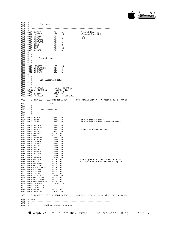

| $0062$   5<br>0062<br>0062                                                                   | $\cdot$<br>$5 \cdot i$<br>$5 \cdot i$     | Constants                                                                                                                                                                                          |                                                                                                                                                                                             |                                                                                    |
|----------------------------------------------------------------------------------------------|-------------------------------------------|----------------------------------------------------------------------------------------------------------------------------------------------------------------------------------------------------|---------------------------------------------------------------------------------------------------------------------------------------------------------------------------------------------|------------------------------------------------------------------------------------|
| 0062<br>0062<br>0062<br>0062<br>0062<br>0062<br>0062<br>0062<br>0062                         | 5<br>-5                                   | 0000 NOTCMD<br>0004 SETCMD<br>0001 SETWRT<br>0005 SETRD<br>0002 INTDSABL<br>0006 INTENABL<br>0003 RWLO                                                                                             | .EQU<br>$\overline{0}$<br>EQU 4<br>EQU 1<br>EQU 5<br>EQU 2<br>EQU 6<br>$\overline{\mathbf{3}}$<br>.EQU                                                                                      | :Command line Low<br>:Command line High<br>; Low<br>;High                          |
| 0062<br>0062<br>0062<br>0062<br>0062                                                         | 5                                         | 0007 RWHI                                                                                                                                                                                          | $\overline{7}$                                                                                                                                                                              |                                                                                    |
| 0062<br>0062<br>0062<br>0062                                                                 | $5 \cdot i$<br>$5 \t i$<br>$5 \cdot i$    | Command codes                                                                                                                                                                                      |                                                                                                                                                                                             |                                                                                    |
| 0062<br>0062<br>0062<br>0062<br>0062<br>0062<br>0062                                         | 5<br>-5                                   | 0000 WDGTRD<br>0002 WDGTWRTVER<br>0003 WDGTSTAT<br>0001 WDGTWRT                                                                                                                                    | EQU 0<br>EQU 2<br>EQU 3<br>EQU 1                                                                                                                                                            |                                                                                    |
| 0062<br>0062<br>0062<br>0062                                                                 | $5 \cdot i$<br>$5 \cdot i$<br>$5 \cdot i$ | SIR allocation table                                                                                                                                                                               |                                                                                                                                                                                             |                                                                                    |
| 0062<br>0062<br>0064                                                                         | -5<br>0066 0000                           | **** SIRADDR .WORD SIRTABLE 10 00 / SIRTABLE .BYTE 10, 0<br>0000 .WORD 0<br>$\begin{array}{cccccc} 0.068 & 0.02 & SIREANK & .BTTE & 0 \\ 0.069 & 0.005 & SIRCOUNT & .EQU & *-SIRTABLE \end{array}$ |                                                                                                                                                                                             |                                                                                    |
|                                                                                              |                                           |                                                                                                                                                                                                    |                                                                                                                                                                                             | PAGE - 5 PROFILE FILE: PROFILE.A.TEXT SOS Profile Driver -- Version 1.30 14-Jan-83 |
| $0069$ 5<br>0069                                                                             |                                           | . PAGE                                                                                                                                                                                             |                                                                                                                                                                                             |                                                                                    |
| 0069<br>0069<br>00691<br>0069                                                                | $5 \cdot i$<br>5 ;<br>5                   | Local variables                                                                                                                                                                                    |                                                                                                                                                                                             |                                                                                    |
| 0069<br>0069<br>006A<br>006B<br>006C                                                         | 5<br>5                                    | 00 2 SLOTX<br>00 2 ERROR<br>00 2 IERROR                                                                                                                                                            | .BYTE 0<br>.BYTE 0<br>BYTE 0.                                                                                                                                                               | $i$ if = 0 then no error<br>$i$ if = 0 then no initialization error                |
| 006C<br>006E<br>006F<br>0071<br>0072                                                         |                                           | 00 2 PREVCMD .BYTE 0<br>006D 00 2 PREVUNIT<br>00 2 LENGTH<br>0000 ORGADR<br>00 2 ORGBNK<br>00 2 SLOTCN                                                                                             | .BYTE 0<br>BYTE 0<br>BYTE 0<br>EXTE 0<br>BYTE 0<br>.BYTE<br>$\Omega$                                                                                                                        | inumber of blocks to read.                                                         |
| 0073<br>0074<br>0075<br>0076<br>0077<br>0079<br>007A<br>007B<br>007C<br>007D<br>007E         |                                           | 00 2 ADDRDMA<br>00 2 BANKDMA<br>00 2 TEMP00<br>00 2 TEMPFE<br>00 2 MVCNT<br>0078 00 2 CNTLO<br>00 2 CNTHI<br>00 2 ADMODE<br>00 2 DATDIR<br>00 2 Z8CMD<br>00 2 COUNTR<br>00 2 MSBLOCK               | .BYTE 0<br>.BYTE 0<br>.BYTE 0<br>.BYTE 0<br>. BYTE<br>$\overline{\phantom{0}}$<br>.BYTE<br>0<br>0<br>. BYTE<br>.BYTE<br>0<br>.BYTE<br>0<br>0<br>.BYTE<br>0<br>. BYTE<br>.BYTE<br>$^{\circ}$ | Most significant block # for Profile                                               |
| 007F<br>0080<br>0081<br>0082<br>0083<br>0084<br>0085<br>0086<br>0087<br>0088<br>0089<br>008A |                                           | 00 2 BSYLO<br>00 2 LONGWAIT<br>00 2 WAITTIME<br>00 2 PIPPIN_RESET<br>00 2 STATUS1<br>00 2 STATUS2<br>00 2 STATUS3<br>00 2 STATUS4<br>00 2 PARITY_ERR<br>00 2 RESET FLAG<br>00 2 BAD_RESPONSE       | 0<br>. BYTE<br>.BYTE<br>0<br>. BYTE<br>0<br>0<br>. BYTE<br>0<br>.BYTE<br>.BYTE<br>0<br>0<br>.BYTE<br>. BYTE<br>0<br>. BYTE<br>$^{\circ}$<br>0<br>. BYTE<br>.BYTE<br>0<br>.WORD 0            | ;FLAG set when driver has seen busy lo                                             |
| 008C<br>008E<br>0090                                                                         | 0000<br>0000                              | CHEKBYTS<br>.WORD 0<br>0000 . WORD<br>$^{\circ}$<br>00 2 SVENV                                                                                                                                     | . BYTE<br>0                                                                                                                                                                                 |                                                                                    |
| 0091                                                                                         |                                           | 00 2 DMA_CNT                                                                                                                                                                                       | . BYTE<br>0                                                                                                                                                                                 | PAGE - 6 PROFILE FILE: PROFILE.A.TEXT SOS Profile Driver -- Version 1.30 14-Jan-83 |

Apple /// ProFile Hard Disk Driver 1.30 Source Code Listing --- 22 / 37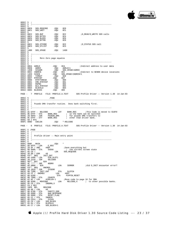

 $\begin{array}{c|cc} 0092 & 5 & ; \\ 0092 & 5 & ; \end{array}$ 0092| 5 ;----------------------------------------------------------------------  $\begin{array}{c|c} 0.092 & 5 \\ 0.092 & 0 \end{array}$ 0092| 00C0 SOS\_REQCODE .EQU 0C0 0092| 00C1 SOS\_UNIT .EQU 0C1  $\begin{array}{|c|c|c|c|}\n 0092 & 5 \\
 \hline\n 0092 & 0022\n \end{array}$ 0092 00C2 SOS\_BUF .EQU 0C2 :D\_READ/D\_WRITE SOS calls<br>0092 00C4 SOS\_BYTES .EOU 0C4 0092 00C4 SOS\_BYTES .EQU 0C4<br>0092 00C6 SOS\_BLOCK .EQU 0C6 0092 00C6 SOS\_BLOCK .EQU 0C6<br>0092 00C8 SOS\_BYTRD .EQU 0C8 00C8 SOS\_BYTRD  $\begin{array}{c|c} 0092 & 5 \\ 0092 & 0022 \end{array}$  $\begin{array}{cccc} 0.0002 & 0.002 & 0.002 & 0.0002 \\ 0.0002 & 0.0003 & 0.0003 & 0.0003 & 0.0003 \end{array} \qquad \begin{array}{cccc} 0.0002 & 0.00000 & 0.00000 & 0.00000 \\ 0.00000 & 0.00000 & 0.00000 & 0.00000 & 0.00000 & 0.00000 \end{array}$ 00C3 SOS\_STLIST<br>5  $\begin{array}{c|c} 0.092 & 5 \\ 0.092 & 1400 \end{array}$ 1400 SOS\_XPAGE .EQU 1400  $\begin{array}{c|cc} 0092 & 5 \\ 0092 & 5 & i--- \end{array}$ 0092| 5 ;----------------------------------------------------------------------  $\begin{array}{c|c} 0092 & 5 \\ \hline 0092 & 5 \end{array}$ 5 ; More Zero page equates  $0092$ <br> $0092$ 0092| 5 ;---------------------------------------------------------------------- 0092 5<br>0092 00CA ADRLO 0092 00CA ADRLO .EQU 0CA ;Indirect address to user data<br>0092 00CB ADRHI .EQU ADRLO+1  $0092$   $00C$ B  $ADRH$  . EQU  $ADRLO+1$ <br> $0092$   $14$ CB STSADR ROU SOS XPAC 0092 14CB SISADR .EQU SOS\_XPAGE+ADRHI<br>0092 00CC INDRCN .EQU 0CC ; 0092 00CC INDRCN .EQU 0CC ;Indirect to \$CN00 device locations<br>0092 14CD SISCN .EQU SOS\_XPAGE+INDRCN+1 0092 14CD SISCN .EQU SOS\_XPAGE+INDRCN+1<br>0092 00CE TIMOUT .EOU OCE 0092 00CE TIMOUT .EQU 0CI<br>0092 00CF RTRYCNT .EQU 0CF 0092 00CF<br>
0092 00CF RTRYCNT .EQU 0CF<br>
0092 00D0 RTRYCHTRESH .EQU 0D0 0092 00D0 RTRYTHRESH .EQU 0D0<br>0092 00D1 CMD RTRYCNT .EOU 0D1 0092 00D1 CMD\_RTRYCNT .EQU 0D1<br>0092 00D2 RSPNS .EQU 0D2 0092 00D2 RSPNS .EQU 0D2<br>0092 00D2 RSPNS .EQU 0D2<br>0092 00D3 BLK\_RTRYCNT .EQU 0D3 00D3 BLK\_RTRYCNT<br>00D4 BLOCKLO 0092 00D4 BLOCKLO .EQU 0D4<br>0092 00D5 BLOCKHI .EQU 0D5 00D5 BLOCKHI PAGE - 7 PROFILE FILE: PROFILE.A.TEXT SOS Profile Driver -- Version 1.30 14-Jan-83 0092| 5 .PAGE 0092| 5 ;----------------------------------------------------------------------  $\begin{array}{c|cc} 0092 & 5 & ; \\ 0092 & 5 & ; \end{array}$ 5 ; Psuedo DMA transfer routine. Does bank switching first.<br>5 ;  $\begin{array}{c|cc}\n 0092 & 5 & ; \\
 0092 & 5 & ; \n\end{array}$ 0092| 5 ;---------------------------------------------------------------------- 0092 5<br>0092 AC EFFF - RELCODE<br>0095 8E EFFF - STX F 0092 AC EFFF - RELCODE LDY BANK\_REG ;This Code is moved to \$18F0<br>0095 8E EFFF - STX BANK\_REG ; so the bank can be switched 0095| 8E EFFF - STX BANK\_REG : so the bank can be switched<br>0098| 20 00F8 - JSR PSUEDO DMA : for psuedo DMA transfers to 0098 20 00F8 - JSR PSUEDO\_DMA : for psuedo DMA transfers to 009B 8C EFFF - STY BANK\_REG : other than driver bank. 009B 8C EFFF - STY BANK\_REG  $\begin{array}{ccc} 0.09B & 0.09B \\ 60 & 2.5 \end{array}$  BANK\_REG  $\begin{array}{ccc} 1 & 0 & 0 \\ 0 & 0 & 0 \end{array}$  other than driver bank. 009E| 60 2 RTS 009F | 000D CDELEN .EQU \*-RELCODE PAGE - 8 PROFILE FILE: PROFILE.A.TEXT SOS Profile Driver -- Version 1.30 14-Jan-83  $009F$  5 .PAGE<br>009F 5 :---009F| 5 ;----------------------------------------------------------------------  $009F$  5 ;<br>009F 5 ;  $5$  ; Profile driver -- Main entry point 009F<br>009F 009F| 5 ;----------------------------------------------------------------------  $009F$  5<br>009F 009F 009F| 009F MAIN .EQU \*  $\begin{array}{l|ccc} 009F & 009F & 0111 \\ 009F & \text{AD DFFF} & - \text{LDA} \\ 00\text{A2} & 29 \text{ DF} & / \text{ AND} \\ 00\text{A4} & 8\text{D} & 9000 & - \text{ STA} \\ \end{array}$ 00A2| 29 DF / AND #0DF ;Save everything but 00A4| 8D 9000 - STA SVENV ; the current screen state  $\begin{array}{llllllll} 00A7 & \text{A5 C0} & / & \text{LDA} & \text{SOS\_REQCODE} \\ 00A9 & 49 08 / & EOR & \text{H8} & \\ 00A0 & \text{F0*} & \text{BEQ} & \text{INIT\_ENT} \\ 00A0 & \text{A0 B} & 5400 - \text{LDA} & \text{DIB\_SLOT1} \\ 00B0 & 2019 - \text{JSR} & \text{SELC800} & \\ 00B3 & 90 * * & \text{BCC} & \text{S20} & \end{array}$ 00B5| 4C \*\*\*\* - JMP NODRV  $\begin{array}{lllllllll} 00\text{B5} & 4\text{C} & **** & -\text{JMP} & \text{NODRV} \\ 00\text{B8} & \text{AD} & \text{6B00} & -& \$20 & & & \\ 00\text{B8} & \text{F0}^{**} & \text{BEQ} & \text{ONEMEG} & & & \\ \end{array} \quad \begin{array}{lllllll} \text{LDA} & \text{IERROR} & \text{if $\text{id}$ D\_INIT encounter error?} \\ \end{array}$ 00BB| F0\*\* BEQ ONEMEG 00BD| 20 2819 - JSR SYSERR<br>00C0| 8D 7200 - INIT\_ENT STA SLOTCN<br>00C3| A9 FF / ONEMEG LDA #0FF 00C3| A9 FF / ONEMEG LDA #0FF<br>00C5| 8D 8200 - STA PIPPIN\_RESET<br>00C8| 8D 7D00 - STA COUNTR  $\begin{array}{lllllll} 00\text{CO} & \text{8D} & \text{7D00} & - & \text{STA} & & \text{COUNTTR} \\ 00\text{CB} & \text{A2} & \text{OC} & / & \text{LDX} & & \text{ \#CDELEN-1} \\ 00\text{CD} & \text{BD} & \text{9200} & - & \text{MOVCODE} & & \text{LDA} \end{array}$ 00CB| A2 0C / LDX #CDELEN-1 ;Move code to page 18 for DMA<br>00CD| BD 9200 - MOVCODE LDA RELCODE,X ; to other  $00CD$  BD 9200 - MOVCODE LDA RELCODE, X i to other possible banks.<br>00D0 95 F0 / STA INDDMA.X 00D0 95 F0 / STA INDDMA, X<br>00D2 CA 2 DEX 00D2 CA 2 DEX<br>00D3 10F8 BPL 00D3 10F8 BPL MOVCODE<br>00D5 A9 00 / LDA #0<br>00D7 8D 8700 - STA BAD\_RESPONSE<br>00DA 8D 8900 - STA RESET\_FLAG<br>00DD 8D 8800 - STA RESET\_FLAG  $\begin{tabular}{|c|c|c|c|c|} \hline 00DD & 8D & 8800 & -STA & REST\_FIAG \\ 00E0 & 85 CC / STA & IDRCN \\ 00E2 & 8D CD14 & - STA & SISCN \\ \hline \end{tabular}$ 00E2 8D CD14 - STA SISCN<br>00E5 A5 C6 / LDA SOS BLOCK 00E5| A5 C6 / LDA SOS\_BLOCK 00E7| 85 D4 / STA BLOCKLO 00E9| A5 C7 / LDA SOS\_BLOCK+1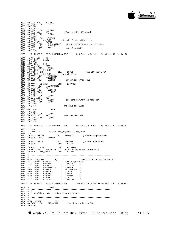

00EB| 85 D5 / STA BLOCKHI 00ED| AE 6900 - LDX SLOTX 00F0 08 2 PHP<br>00F1 78 2 SEI 00F1 78 2 SEI<br>00F2 AD DFFF 00F2| AD DFFF - LDA E\_REG 00F5 09 83 / ORA #83 3 ;slow to 1mhz, ROM enable<br>00F7 8D DFFF - STA E\_REG 00F7| 8D DFFF - STA E\_REG 00FA| 28 2 PLP  $00FE$  AD 7200 - LDA SLOTCN<br>00FE 10\*\* BPL GO INIT  $00FE$   $10**$  BPL GO\_INIT *;Branch* if not initialized.<br>0100 85 CD / STA INDRCN+1 00FE 10\*\* BPL GO\_INIT<br>0100 85 CD / STA INDRCN<br>0102 9D 83C0 - STA CLR\_ 0102 9D 83C0 - STA CLR\_PARITY, X ;Clear any previous parity errors.<br>0105 BC 82C0 - LDY BUSY, X 0105| BC 82C0 - LDY BUSY,X 0108| 20 \*\*\*\* - JSR S2M ;set 2MHz mode 010B| 98 2 TYA PAGE - 9 PROFILE FILE: PROFILE.A.TEXT SOS Profile Driver -- Version 1.30 14-Jan-83 010C| 29 01 / AND #1 010E| D0\*\* BNE NODRV  $0110$  98 2 TYA<br>  $0111$   $10**$  BPL<br>  $0113$  A9 FF / LDA 0111| 10\*\* BPL \$40 0113| A9 FF / LDA #0FF 0115| 8D 7F00 - STA BSYLO 0118| D0\*\* BNE GO\_INIT 011A| AD 7F00 - \$40 LDA BSYLO ;has BSY been low? 011D| D0\*\* BNE GO\_INIT ;branch if so 011F| 20 \*\*\*\* - JSR RSTORENV 0122| A9 27 / LDA #XIOERROR 0124 20 2819 - JSR SYSERR *i*otherwise error exit  $0127$  5 0127| 5<br>0127| 20 \*\*\*\* - GO\_INIT JSR DISPATCH<br>012A| 20 \*\*\*\* - JSR SETUPWRITE<br>012D| A9 00 / LDA #0<br>012F| 20 2219 - JSR SELC800 0132| 08 2 RSTORENV PHP 0133| 78 2 SEI 0134| AD DFFF - LDA E\_REG 0137| 29 20 / AND #20 0137 29 20 / AND  $\#20$ <br>
0139 0D 9000 - ORA SVENV ;restore environment register<br>
013C 8D DFFF - STA E\_REG 013C| 8D DFFF - STA E\_REG  $\begin{array}{|c|c|c|c|}\n 013\text{F} & 28 & 2 \text{ PLP} \\
 0140 & 60 & 2 \text{ RTS}\n\end{array}$  $602$  RTS  $\qquad i$  and exit to caller  $5$  $0141$ <br> $0141$ 0141 08 2 S2M PHP<br>0142 78 2 SEI  $0142$  78 2 SEI<br>0143 AD DEFF -0143 AD DFFF - LDA E\_REG<br>0146 29 7F / AND #7F 0146| 29 7F / AND #7F ;and out 1MHz bit 0148| 8D DFFF - STA E\_REG 014B| 28 2 PLP 014C| 60 2 RTS PAGE - 10 PROFILE FILE: PROFILE.A.TEXT SOS Profile Driver -- Version 1.30 14-Jan-83  $\begin{array}{|c|c|} \hline 014D & 5 & .\texttt{PAGE} \ \hline 014D & 5 & \texttt{DISPATH} \ \hline \end{array}$ 014D<br>
015E<br>
5 S<br>
015E<br>
5 S  $015E$  5 \$<br>015E A9 2 015E| A9 20 / BADREQ LDA #XREQCODE ;Invalid request code 0160| 20 2819 - JSR SYSERR 0163 5<br>0163 A9 26 / BADOP<br>0165 20 2819 -0163| A9 26 / BADOP LDA #XBADOP ;Invalid operation  $\begin{array}{ccc} \text{LDA} & \text{#XBADOP} \\ \text{JSR} & \text{evc}^{-1} \end{array}$  $0168$  5<br> $0168$  2 0168 20 3201 - NODRV JSR RSTORENV<br>016B A9 28 / LDA #XNODRIVE ;No drive co 016B A9 28 / LDA #XNODRIVE :No drive connected (power off)<br>016D 20 2819 - SYS\_ERROR JSR SYSERR  $0170$  5<br>0170 5 0170| 5 ;----------------------------------------------------------------------  $\begin{array}{c|c} 0170 & 5 \\ 0170 & 0 \end{array}$ 0170| 0170 SW\_TABLE .EQU \* ;Profile driver switch table 0170| \*\*\*\* .WORD DREAD-1 ; D\_READ system call 0172| \*\*\*\* .WORD DWRITE-1 ; D\_WRITE " 0174| \*\*\*\* .WORD DSTATUS-1 ; D\_STATUS " 0176| \*\*\*\* .WORD FDCONTROL-1 ; D\_CONTROL "  $\begin{tabular}{lllllllllll} \multicolumn{2}{c}{0.174} & $\star \star \star \star$ & $\text{\tiny WORD}$ & \textsc{DSTATION} & & & & & & & & & \\ \hline 0176 & $\star \star \star \star$ & $\text{\tiny WORD}$ & \textsc{DSTATION} & & & & & & & & \\ \hline 0176 & $\star \star \star \star$ & $\text{\tiny WORD}$ & \textsc{PDCONTROL-1} & & & & & & & & \\ \hline 0178 & 5D01 & $\text{\tiny WORD}$ & \textsc{BADEEQ-1} & & & & & & & & \\ \hline 0178 & 5D01 & $\text{\tiny WORD$  $5D01$  WORD BADREQ-1 ; D\_INFO  $6201$  .WORD BADOP-1 ; D OPEN  $\begin{array}{|l|l|l|l|} \hline 017C & 6201 & \text{WORD} & \text{BADOP-1} & \text{ } & \text{ } & \text{ } & \text{ } & \text{ } & \text{ } \\ 017E & 6201 & \text{WORD} & \text{BADOP-1} & \text{ } & \text{ } & \text{ } & \text{ } & \text{ } & \text{ } & \text{ } \\ \hline \end{array}$  $\begin{array}{c|cccc}\n017E & 6201 & .WORD & BADOP-1 & & \vdots \\
0180 & **** & .WORD & DINIT-1 & & \vdots\n\end{array}$ WORD DINIT-1 ; D\_INIT.<br>WORD DREPEAT-1 ; D\_REPEAT  $0182$  \*\*\*\* PAGE - 11 PROFILE FILE: PROFILE.A.TEXT SOS Profile Driver -- Version 1.30 14-Jan-83 0184| 5 .PAGE 0184| 5 ;----------------------------------------------------------------------  $\begin{bmatrix} 0184 \\ 0184 \end{bmatrix}$ 5 ; Profile driver -- initialization request.<br>5 :  $\begin{array}{c} 0184 \\ 0184 \end{array}$ 0184| 5 ;----------------------------------------------------------------------  $\begin{array}{|c|c|c|c|}\n 0184 & 5 \\
 0184 & 0184\n\end{array}$ 0184 0184 DINIT .EQU<br>0184 AD 5400 - LDA DIB\_SLOT1  $islotindex:=dib.slot*16$ 0187| AA 2 TAX

Apple /// ProFile Hard Disk Driver 1.30 Source Code Listing --- 24 / 37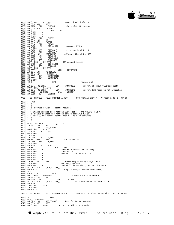

 $DI\_ERR1$  ; error, invalid slot #  $#0C0$ 018A| 09 C0 / ORA #0C0 018C| 8D 7200 - STA SLOTCN ;Save slot CN address 018F 85 CD / STA INDRCN+1<br>0191 0A 2 ASL  $0191 \begin{array}{|c|c|} 0A & 2 & ASL & A \\ 0192 & 0A & 2 & ASL & A \\ \end{array}$ 0192 0A 2 ASL A<br>0193 0A 2 ASL A 0193| 0A 2 ASL A 0194| 0A 2 ASL A 0195 8D 6900 - STA SLOTX<br>0198 89.00 / LDA #0 0198| A9 00 / LDA #0 019A| 85 CC / STA INDRCN 019C| 8D CD14 - STA SISCN 019F| AD 5400 - LDA DIB\_SLOT1 ;compute SIR # 01A2| 18 2 CLC 01A3 6D 6400 - ADC SIRTABLE : sir:=dib.slot1+16<br>01A6 8D 6400 - STA SIRTABLE 01A6| 8D 6400 - ADC SIRTABLE<br>01A6| 8D 6400 - STA SIRTABLE<br>01A9| A9 05 / LDA #SIRCOUNT 01A9 A9 05 / LDA #SIRCOUNT :allocate the slot's SIR 01AB AE 6200 - LDX SIRADDR 01AB| AE 6200 - LDX SIRADDR 01AE| AC 6300 - LDY SIRADDR+1 01B1| 20 1319 - JSR ALLOCSIR 01B4 B0\*\* BCS DI\_ERR2 ;SIR request failed<br>01B6 AD 5400 - LDA DIB\_SLOT1 01B6| AD 5400 - LDA DIB\_SLOT1 01B9| 20 2219 - JSR SELC800 01BC| B0\*\* BCS DI\_ERR1 01BE| 20 \*\*\*\* - JSR SETUPREAD 01C1 A0 02 / LDY #INTDSABL<br>01C3 B1 CC / LDA (INDRCN), Y 01C3| B1 CC / LDA (INDRCN),Y 01C5| 20 \*\*\*\* - JSR SETUPWRITE 01C8| 20 \*\*\*\* - JSR SETUPREAD  $01CB$  18 2 CLC<br>01CC 60 2 01CC| 60 2 RTS ;normal exit 01CD| 5 01CD| A9 28 / DI\_ERR1 LDA #XNODRIVE ;error, checksum fail/bad slot# 01CF| D0\*\* BNE DI\_ERR3 1DA #XNORESRC *ierror, SIR resource not available*<br>  $\begin{array}{ccc}\n\text{STA} & \text{IERROR}\n\end{array}$ 01D3| 8D 6B00 - DI\_ERR3 STA IERROR 01D6| 20 2819 - JSR SYSERR PAGE - 12 PROFILE FILE: PROFILE.A.TEXT SOS Profile Driver -- Version 1.30 14-Jan-83  $01D9$  5 .PAGE<br> $01D9$  5 .---0<br>5 ; ;<br>5 ;  $\begin{array}{c|cc} 01D9 & 5 & ; \\ 01D9 & 5 & ; \end{array}$ 01D9  $\begin{array}{cc} 5 & ; \end{array}$  Profile driver -- status request.  $\begin{array}{c|c} 01D9 & 5 & ; \\ 01D9 & 5 & ; \end{array}$ 01D9  $\begin{bmatrix} 5 & \cdot \\ 5 & \cdot \end{bmatrix}$  Status request zero returns BUSY (bit 7), and ONLINE (bit 4).<br>01D9  $\begin{bmatrix} 5 & \cdot \\ 5 & \cdot \end{bmatrix}$  Status request one returns device specific flags. 01D9| 5 ; Status request one returns device specific flags.<br>01D9| 5 ; Lastly, the format status code SFE is also accepte 5 ; Lastly, the format status code  $$FE$  is also accepted.<br>5 ;  $01D9$  5 01D9| 5 ;---------------------------------------------------------------------- 01D9| 5 01D9 01D9 DSTATUS .EQU \*<br>01D9 A0 00 / LDY #0<br>01DB A6 C2 / LDX SOS\_STCODE<br>01DD D0\*\* BNE \$10<br>01DF AE 6900 - LDX SLOTX 01E2| 08 2 PHP 01E3| 78 2 SEI  $01E4$  AD DFFF - LDA E\_REG<br>01E7 09 80 / ORA #80 01E7| 09 80 / ORA #80 ;or in 1MHz bit 01E9| 8D DFFF - STA E\_REG 01EC| 28 2 PLP  $\begin{array}{c|cc}\n01\text{ED} & 25 & 211 \\
01\text{ED} & 82\text{CO} - \text{LDA} & \text{BUSY}, \text{X} \\
01\text{FO} & 49 & 80\n\end{array}$  $01F0$  49 80 / EOR #80<br>01F2 02 2 ASL 2 Save 1 01F2| 0A 2 ASL A ;Save Busy status bit in carry 01F3| 08 2 PHP ;Save carry  $01F4$  OA 2 ASL A  $\overline{N}$  i Now shift On-Line to Bit 5.<br> $01F5$  OA 2 ASL A 01F4 0A 2 ASL A<br>01F5 0A 2 ASL A<br>01F6 0A 2 ASL A 01F6| 0A 2 ASL A  $01F7$  0A 2 ASL<br> $01F8$  29 20 / AND 01F8 29 20 / AND  $#20$  ;Throw away other (garbage) bits 01FA 28 2 PLP  $^2$ 01FA 28 2 PLP ;Get Busy bit again<br>
01FB 6A 2 ROR A ;And shift it to Bit<br>
01FC 91 C3 / STA (SOS STLIST),Y 01FB| 6A 2 ROR A<br> $\frac{1}{101}$  and shift it to Bit 7, and On-line to 4<br>01FC| 91 C3 / STA (SOS STLIST).Y 01FC 91 C3 / STA (SOS\_STLIST), Y<br>01FE 60 2 RTS  $(i)$  (carry is always cleared from shift) 01FF<br>01FF  $\begin{array}{c|ccc}\n\texttt{O1FF} & \texttt{5} & \texttt{1} & \texttt{0} \\
\texttt{O1FF} & \texttt{CA} & 2 & \texttt{510} & & \texttt{DEX} \\
\texttt{0200} & \texttt{D0}^{**} & \texttt{BNE} & & \texttt{FORMATUS}\n\end{array}$ 0200 DO\*\* BNE FORMATUS ;branch not status code 1.<br>0202 A0 03 / LDY #3<br>0204 B9 8300 - \$15 LDA STATUS1,Y 0202| A0 03 / LDY #3 0204| B9 8300 - \$15 LDA STATUS1,Y  $0207$  91 C3 / STA (SOS\_STLIST), Y iput status bytes in callers buf 0209 88 2 DEY 0209 88 2 DEY<br>020A 10F8 BPI 10F8 BPL \$15 020C| 18 2 CLC 020D| 60 2 RTS PAGE - 13 PROFILE FILE: PROFILE.A.TEXT SOS Profile Driver -- Version 1.30 14-Jan-83  $\begin{array}{ccc} 020\, \mathrm{E} & 5 \\ 020\, \mathrm{E} & 020\, \mathrm{E} & \text{FORMATUS} \\ \end{array} \quad . \begin{array}{ll} \text{PAGE} \\ \text{.} \end{array}$ 020E 020E FORMATUS .EQU<br>020E A5 C2 / LDA SOS\_STCODE  $020E$  A5 C2 / LDA SOS\_STCODE ;Test for format request.<br>0210 C9 FE / CMP #0FE 020E A5 C2 / LDA SOS\_<br>0210 C9 FE / CMP #0FE<br>0212 D0\*\* BNE FCODE ierror, invalid status code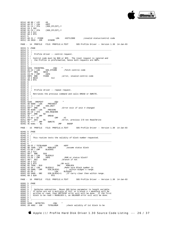

0214| A0 00 / LDY #0 0216| A9 FF / LDA #0FF 0218| 91 C3 / STA (SOS\_STLIST),Y 021A C8 2 INY<br>021B 91 C3 / STA 021B| 91 C3 / STA (SOS\_STLIST),Y  $021D$  18 2 CLC<br>021E 60 2 RTS 60 2 RTS  $021F$  5<br> $021F$  49 21 / FCODE LDA #XCTLCODE : invalid status/control code<br>SYSERR  $0221$  20 2819 - JSR PAGE - 14 PROFILE FILE: PROFILE.A.TEXT SOS Profile Driver -- Version 1.30 14-Jan-83  $0224$  5 .PAGE<br>0224 5 ;---0224| 5 ;---------------------------------------------------------------------- 0224| 5 ; 0224| 5 ; Profile driver -- control request. 0224| 5 ; 0224| 5 ; Control code must be \$00 or \$FE. The reset request is ignored and 0224| 5 ; the Profile is preformatted, hence both requests are NOPs.  $\begin{array}{|c|c|c|c|c|}\n 0224 & 5 \\
 \hline\n 0224 & 5\n \end{array}$ 0224| 5 ;----------------------------------------------------------------------  $\begin{array}{c|c} 0224 & 5 \\ 0224 & 0 \end{array}$ 0224 0224 FDCONTROL .EQU<br>0224 A5 C2 / LDA SOS\_STCODE 0224 A5 C2 / LDA SOS\_STCODE *;*fetch control code 0226  $F0**$  BEQ \$010 0224 A5 C2 / LDA SOS\_:<br>
0226 F0\*\* BEQ \$010<br>
0228 C9 FE / CMP #0FE 0228 C9 FE / CMP #0FE<br>022A D0F3 BNE FCODE 022A DOF3 BNE FCODE ;error, invalid control code<br>022C 18 2 \$010 CLC 022A DOF3 BNE<br>022C 18 2 \$010<br>022D 60 2 RTS 60 2 RTS<br>5  $022E$  5  $022E$  5<br>022E 5 ;------ $022E$  5<br>022E 5  $022E$  5 ; Profile driver -- repeat request.<br>022E 5 ; 022E| 5 ; 022E| 5 ; Retrieves the previous command and calls DREAD or DWRITE.  $022E$  5<br>022E 5 022E| 5 ;----------------------------------------------------------------------  $022E$  5<br>022E 022E 022E| 022E DREPEAT .EQU \* 022E| AD 6D00 - LDA PREVUNIT 0231| C5 C1 / CMP SOS\_UNIT 0233| D0\*\* BNE \$1 ;Error exit if unit # changed 0235| AD 6C00 - LDA PREVCMD 0238| 85 C0 / STA SOS\_REQCODE 023A| D0\*\* BNE \$2 023C| 4C \*\*\*\* - JMP DREAD 023F| C9 02 / \$2 CMP #2 0241 BO\*\* BCS \$1 ;Error, previous I/O not Read/Write  $0243 \begin{bmatrix} 4C & *r* & -\frac{1}{2}NP \\ 0.243 & 4C & 5201 & -\frac{1}{2} \end{bmatrix}$  DWRITE  $-$ 0243| 4C \*\*\*\* - JMP DWRITE 0246| 4C 6301 - \$1 JMP BADOP PAGE - 15 PROFILE FILE: PROFILE.A.TEXT SOS Profile Driver -- Version 1.30 14-Jan-83  $0249$  5 .PAGE<br>0249 5  $i$ ---0249| 5 ;----------------------------------------------------------------------  $\begin{array}{c|cc} 0249 & 5 & ; & & \\ 0249 & 5 & ; & \\ 0249 & 5 & ; & \text{Thi} \end{array}$  $\frac{5}{4}$ ; This routine tests the validity of block number requested. 0249<br>0249 0249| 5 ;---------------------------------------------------------------------- 0249<br>0249 0249| A9 FF / TSTBLKNUM LDA #0FF 024B| 8D 7E00 - STA MSBLOCK ;assume status block 024E| C5 D5 / CMP BLOCKHI 0250| 18 2 CLC 0251| D0\*\* BNE \$10 0253| A5 D4 / LDA BLOCKLO 0255| C9 FE / CMP #0FE ;RAM or status block? 0257| 90\*\* BCC \$10 ;branch if not 0259 18 2 CLC<br>025A 60 2 RTS 025A| 60 2 RTS ;OK exit 025B| EE 7E00 - \$10 INC MSBLOCK 025E EE 7E00 - \$10 MC MSBLOCK<br>025E A5 D4 / LDA BLOCKLO ;Make sure Block number is<br>0260 CD 5900 - CMP DIB\_BLOCK1 ; within widget's range 0260| CD 5900 - CMP DIB\_BLOCK1 ; within widget's range.<br>0263| A5 D5 / CMP DIB\_BLOCK1 ; within widget's range.<br>0263| ED 5A00 - SBC DIB BLOCK1+1 ; If carry clear then with 0263| A5 D5 / LDA BLOCKHI 0265| ED 5A00 - SBC DIB\_BLOCK1+1 ;If carry clear then within range. 0268 60 2 \$20 RTS PAGE - 16 PROFILE FILE: PROFILE.A.TEXT SOS Profile Driver -- Version 1.30 14-Jan-83  $0269$  5 .PAGE<br>0269 5 ;----0269| 5 ;----------------------------------------------------------------------  $0269$   $0269$ 0269 5 ; Getbytes subroutine. Moves SOS bytes parameter to length variable.<br>0269 5 ; If bytes are not a multiple of 512, or a block # > maxblock will be<br>0269 5 ; written or read, then XBYTECNT error exit will be done. If  $\begin{array}{c|c} 0269 & 5 & ; \\ 0269 & 5 & ; \end{array}$ 0269| 5 ;---------------------------------------------------------------------- 0269<br>0269 0269| 0269 GETBYTES .EQU \* 0269| 20 4902 - JSR TSTBLKNUM ;check validity of 1st block to be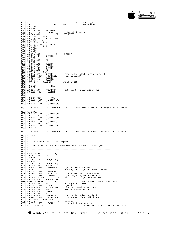

| 026C             | 5;                                         |                                        |                 | written or read                                                                     |  |
|------------------|--------------------------------------------|----------------------------------------|-----------------|-------------------------------------------------------------------------------------|--|
| 026C             | $90**$                                     | <b>BCC</b>                             | \$01            | ;branch if OK                                                                       |  |
|                  | 68 2 PLA                                   |                                        |                 |                                                                                     |  |
| 026E             |                                            |                                        |                 |                                                                                     |  |
| 026F             | 68 2 PLA                                   |                                        |                 |                                                                                     |  |
| 0270             | A9 2D / LDA                                | #XBLKNUM                               |                 |                                                                                     |  |
| 0272             | $20\ 2819 - JSR$ SYSERR                    |                                        |                 | bad block number error<br>SOS_BYTES                                                 |  |
| 0275             | A5 C4 / \$01                               | LDA                                    |                 |                                                                                     |  |
| 0277             | $D0**$ BNE                                 | \$10                                   |                 |                                                                                     |  |
| 0279             | A5 C5 / LDA SOS_BYTES+1                    |                                        |                 |                                                                                     |  |
| 027B             | 4A 2 LSR A                                 |                                        |                 |                                                                                     |  |
| 027C             | B0** BCS                                   | \$10                                   |                 |                                                                                     |  |
| 027E             | 8D 6E00 - STA LENGTH                       |                                        |                 |                                                                                     |  |
|                  |                                            |                                        |                 |                                                                                     |  |
| 0281             | D0** BNE \$05                              |                                        |                 |                                                                                     |  |
| 0283             | 68 2 PLA                                   |                                        |                 |                                                                                     |  |
| 0284             | 68 2 PLA                                   |                                        |                 |                                                                                     |  |
| 0285             | 60 2 RTS                                   |                                        |                 |                                                                                     |  |
| 0286             | A6 D5 / \$05                               | LDX                                    | BLOCKHI         |                                                                                     |  |
| 0288             | A4 D4 / LDY BLOCKLO                        |                                        |                 |                                                                                     |  |
| 028A             | 38 2 SEC                                   |                                        |                 |                                                                                     |  |
| 028B             | E9 01 / SBC                                | #1                                     |                 |                                                                                     |  |
|                  |                                            |                                        |                 |                                                                                     |  |
| 028D             | 18 2 CLC                                   |                                        |                 |                                                                                     |  |
| 028E             | 65 D4 / ADC BLOCKLO<br>85 D4 / STA BLOCKLO |                                        |                 |                                                                                     |  |
| 0290             |                                            |                                        |                 |                                                                                     |  |
| 0292             | A5 D5 / LDA                                |                                        |                 |                                                                                     |  |
| 0294             | 69 00 / ADC                                | BLOCKHI<br>#0                          |                 |                                                                                     |  |
| 0296             | B0** BCS                                   |                                        |                 |                                                                                     |  |
| 0298             |                                            |                                        |                 |                                                                                     |  |
| 029A             |                                            | 20 4902 - JSR TSTBLKNUM                | is it valid?;   |                                                                                     |  |
|                  |                                            |                                        |                 |                                                                                     |  |
| 029D             | 86 D5 / STX                                | BLOCKHI<br>BLOCKLO                     |                 |                                                                                     |  |
| 029F             | 84 D4 / STY                                |                                        |                 |                                                                                     |  |
| 02A1             | 90** BCC CALCHEK                           |                                        | branch if GOOD! |                                                                                     |  |
| 02A3             | - 5                                        |                                        |                 |                                                                                     |  |
| 02A3             | 68 2 \$10                                  | PLA                                    |                 |                                                                                     |  |
| 02A4             | 68 2 PLA                                   |                                        |                 |                                                                                     |  |
| 02A5             | A9 2C / LDA                                |                                        |                 |                                                                                     |  |
| 02A7             |                                            |                                        |                 |                                                                                     |  |
|                  | 20 2819 - JSR SYSERR                       |                                        |                 |                                                                                     |  |
| 02AA             | - 5                                        |                                        |                 |                                                                                     |  |
| 02AA             | 5                                          |                                        |                 |                                                                                     |  |
| 02AA             | 98 2 CALCHEK                               | TYA                                    |                 |                                                                                     |  |
| 02AB             | 8D 8C00 - STA CHEKBYTS+2                   |                                        |                 |                                                                                     |  |
| 02AE             | 49 FF / EOR                                | #0FF                                   |                 |                                                                                     |  |
|                  | 02B0 8D 8F00 - STA CHEKBYTS+5              |                                        |                 |                                                                                     |  |
|                  |                                            |                                        |                 |                                                                                     |  |
|                  |                                            | PAGE - 17 PROFILE FILE: PROFILE.A.TEXT |                 | SOS Profile Driver -- Version 1.30 14-Jan-83                                        |  |
|                  |                                            |                                        |                 |                                                                                     |  |
| 02B3             | 8A 2 TXA                                   |                                        |                 |                                                                                     |  |
| 02B4             | 8D 8B00 - STA                              | CHEKBYTS+1                             |                 |                                                                                     |  |
|                  |                                            |                                        |                 |                                                                                     |  |
| 02B7             | 49 FF / EOR                                | #0FF                                   |                 |                                                                                     |  |
| 02B9             | 8D 8E00 - STA CHEKBYTS+4                   |                                        |                 |                                                                                     |  |
|                  | 02BC   A9 00 / LDA                         | #0                                     |                 |                                                                                     |  |
| 02BE             | 8D 8A00 - STA CHEKBYTS                     |                                        |                 |                                                                                     |  |
| 02C1             | A9 FF / LDA                                | #0FF                                   |                 |                                                                                     |  |
| 02C3             | 8D 8D00 - STA                              | CHEKBYTS+3                             |                 |                                                                                     |  |
|                  | 02C6 60 2 RTS                              |                                        |                 |                                                                                     |  |
|                  |                                            |                                        |                 |                                                                                     |  |
|                  |                                            |                                        |                 | PAGE - 18 PROFILE FILE: PROFILE.A.TEXT SOS Profile Driver -- Version 1.30 14-Jan-83 |  |
|                  |                                            |                                        |                 |                                                                                     |  |
|                  | $02C7$ 5. PAGE                             |                                        |                 |                                                                                     |  |
| 02C7             | 5<br>$\frac{1}{2}$ - - -                   |                                        |                 |                                                                                     |  |
| 02C7             | 5<br>$\cdot$ :                             |                                        |                 |                                                                                     |  |
| 02C7             |                                            | 5 : Profile driver -- read request.    |                 |                                                                                     |  |
| 02C7             | 5 <sub>i</sub>                             |                                        |                 |                                                                                     |  |
| 02C7             |                                            |                                        |                 | 5 ; Transfers "bytes/512" blocks from disk to bufferbuffer+bytes-1.                 |  |
|                  | $5 \cdot i$                                |                                        |                 |                                                                                     |  |
| 02C7             |                                            |                                        |                 |                                                                                     |  |
| 02C7             | 5                                          |                                        |                 |                                                                                     |  |
| 02C7             | 5                                          |                                        |                 |                                                                                     |  |
| 02C7             | 02C7 DREAD                                 | . EQU                                  | $\ast$          |                                                                                     |  |
| 02C7             | A9 00 / LDA                                | #0                                     |                 |                                                                                     |  |
| 02C9             | A8 2 TAY                                   |                                        |                 |                                                                                     |  |
| 02 <sub>CA</sub> | 91 C8 / STA                                | (SOS_BYTRD), Y                         |                 |                                                                                     |  |
| 02CC             | C8 2 INY                                   |                                        |                 |                                                                                     |  |
| 02CD             | 91 C8 / STA                                |                                        |                 |                                                                                     |  |
| 02CF             | A5 C1 / LDA                                | (SOS_BYTRD),Y<br>SOS_UNIT              |                 |                                                                                     |  |
| 02D1             |                                            |                                        |                 | isave current sos unit                                                              |  |
|                  | 8D 6D00 - STA PREVUNIT                     |                                        |                 |                                                                                     |  |
| 02D4             | A5 C0 /                                    | LDA                                    |                 |                                                                                     |  |
| 02D6             | 8D 6C00 - STA                              | PREVCMD                                |                 |                                                                                     |  |
| 02D9             | 20 6902 - JSR<br>20 **** - JSR             | GETBYTES                               |                 | ;move bytes parm to length var.                                                     |  |
| 02DC             |                                            | <b>ARBADR</b>                          |                 | ;Get beginning address resolved.                                                    |  |
| 02DF             | A9 02 / RDBLOCK LDA                        |                                        | #2              | Allow 2 retries                                                                     |  |
| 02E1             | 85 D3 / STA                                | BLK_RTRYCNT                            |                 |                                                                                     |  |
| 02E3             | 02E3 RPAR_RETRY .EQU                       |                                        | $\star$         | Parity error retries enter here                                                     |  |
| 02E3             | A9 00 / LDA                                | #0                                     |                 | ;Indicate data direction is                                                         |  |
| 02E5             | 8D 7B00 - STA                              | DATDIR                                 | read.           |                                                                                     |  |
|                  |                                            |                                        |                 | :clear # communication tries                                                        |  |
| 02E8             | 85 D1 / STA                                | CMD_RTRYCNT                            |                 |                                                                                     |  |
| 02EA             | A9 0A / LDA                                | #0A                                    |                 | iset retry count to 10                                                              |  |
| 02EC             | 85 CF / STA                                | <b>RTRYCNT</b>                         |                 |                                                                                     |  |
| 02EE             | A9 03 / LDA                                | #3                                     |                 |                                                                                     |  |
| 02F0             | 85 DO / STA                                | RTRYTHRESH                             |                 | iset reseek/rewrite threshold                                                       |  |
| 02F2             | 20 4902 - JSR                              | TSTBLKNUM                              |                 | make sure it's a valid block;                                                       |  |
| 02F5             | 90** BCC                                   | RCOM_RETRY                             |                 |                                                                                     |  |
| 02F7             | A9 2D /                                    | LDA                                    | #XBLKNUM        |                                                                                     |  |
|                  |                                            |                                        |                 | invalid block error exit                                                            |  |
|                  |                                            |                                        |                 |                                                                                     |  |
| 02F9<br>02FC     | 20 2819 - JSR<br>02FC RCOM_RETRY           | SYSERR<br>. EQU                        |                 | :CMD-BSY bad response retries enter here                                            |  |

Apple /// ProFile Hard Disk Driver 1.30 Source Code Listing --- 27 / 37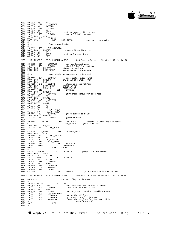

02FC| A9 00 / LDA #0 02FE| 8D 8000 - STA LONGWAIT  $\begin{array}{llllll} 0.2\text{FC} & \text{A9} & 00 \ / \text{LDA} & \text{\#0} \\ 0.2\text{FE} & \text{8D} & 8000 \ - \text{STA} & \text{LONGWAIT} \\ 0.301 & \text{A9} & 00 \ / \text{LDA} & \text{\#WOTRED} \\ 0.303 & \text{BD} & \text{TC00} \ - \text{STA} & \text{Z8CMD} \\ 0.306 & \text{A9} & 01 \ / \text{LDA} & \text{\#1} \\ \end{array}$ 0303| 8D 7C00 - STA Z8CMD 0306| A9 01 / LDA #1 0308| 85 D2 / STA RSPNS ;set up expected Z8 response<br>030A| 20 \*\*\*\* - JSR SNDCMD ;do a CMD-BSY handshake  $030A$  20 \*\*\*\* - JSR SNDCMD ido a CMD-BSY handshake  $030D$  90\*\* BCC \$70 030D| 90\*\* BCC \$70 030F 4C \*\*\*\* - JMP DR\_ERR1<br>0312 DDE8 \$70 BNE DOE8 \$70 BNE RCOM\_RETRY ;bad response - try again.  $\begin{array}{|c} 0314 & 5 \\ 0314 & 5 \end{array}$  $5$  ; Send command bytes  $\begin{vmatrix} 0314 \\ 0314 \end{vmatrix}$ 0314<br>
0314 20 \*\*\*\* - JSR SND\_CMDBYTES<br>
0317 B0\*\* BCS RDRETRY ; 0317  $B0**$  BCS RDRETRY *itry* again if parity error<br>0319 A9 02 / LDA #2 0319 A9 02 / LDA #2<br>031B 85 D2 / STA RSPNS RSPNS : iset up for execution #0FF  $031D$  A9 FF / LDA PAGE - 19 PROFILE FILE: PROFILE.A.TEXT SOS Profile Driver -- Version 1.30 14-Jan-83 031F| 8D 8000 - STA LONGWAIT ;adjust timeout wait 0322| 20 \*\*\*\* - JSR SNDCMD ;2nd CMD-BSY for read opn 0325| B0\*\* BCS DR\_ERR1 ;timeout on cmd-bsy 0325 B0\*\* BCS DR\_ERR1 ; innect to cmd-bsy<br>0327 D0D3 BNE RCOM\_RETRY ; bad response - try again.<br>0329 5  $\begin{array}{c|cc}\n 0329 & 5 \\
 0329 & 5 \\
 \end{array}$ read should be complete at this point  $\begin{array}{c|c} 0329 & 5 \\ 0329 & 20 \end{array}$  \*\*\*\* - JSR 0329 3<br>
0329 20 \*\*\*\* - JSR GETSTAT iget status bytes first<br>
032C B0\*\* BCS RDRETRY itry again if parity error<br>
032E 10\*\* BPL \$10 032C B0\*\* BCS RDRETRY *itry* again if parity error  $032E$   $10**$  BPL \$10 032E| 10\*\* BPL \$10<br>0330| EE 7D00 - INC COUNTR ;time to reset PIPPIN? 0333| F0C7 BEQ RCOM\_RETRY ;branch if not 0335| D0\*\* BNE DR\_ERR1 ;reset PIPPIN  $\begin{array}{llllll} 0335 &\text{D0**} & \text{BNE} & \text{DR\_ERR1} & \text{7reset PIPPIN} \\ 0337 & 20 * {***} ~ - $10 & \text{JSR} & \text{DATRANS} \\ 033A & \text{B0**} & \text{BCS} & \text{RDERTRY} & \end{array}$ 033A| B0\*\* BCS RDRETRY 033C| AD 8300 - LDA STATUS1 ;Now check status for good read 033F| 29 01 / AND #1 0341| D0\*\* BNE LDAXIO 0343| AD 8400 - LDA STATUS2 0346| 29 58 / AND #58 0348| D0\*\* BNE LDAXIO 034A| A9 02 / LDA #2 034C| A0 01 / LDY #1<br>0350| 71 C8 / ADC (SOS\_BYTRD),Y<br>0350| 91 C8 / STA (SOS\_BYTRD),Y<br>0352| 20 \*\*\*\* - JSR TSTMORE ;more blocks to read?<br>0355| 4C DF02 - JMP RDBLOCK ;jump if more<br>0357| 4C DF02 - JMP RDBLOCK ;jump if more 035A| 20 \*\*\*\* - RDRETRY JSR RSTORADR ;restore 'ORGADR' and try again 035D| C6 D3 / DEC BLK\_RTRYCNT ;can we retry? 035F| 30\*\* BMI DR\_ERR1 0361 4C E302 - JMP RPAR\_RETRY  $\begin{bmatrix} 0364 \\ 0364 \end{bmatrix}$  $\begin{array}{c|c}\n0364 \\
0364\n\end{array}$  EE 8200 - DR\_ERR1 INC PIPPIN\_RESET<br>0367 D0\*\* BNF. \$10 0367| D0\*\* BNE \$10<br>0369| 20 \*\*\*\* - JSR RESET\_PIPPIN<br>036C| A9 00 / LDA #0<br>036E| 85 D1 / STA CMD\_RTRYCNT<br>0370| 4C FC02 - JMP RCOM\_RETRY<br>0370| 20 \*\*\*\* - \$10 COM\_RETRY NOTCMDLN 0376| A9 27 / LDAXIO LDA #XIOERROR 0378| D0\*\* BNE BADEXIT 037A 5<br>037A E6 D4 / TSTMORE 037A B6 D4 / TSTMORE INC BLOCKLO ;Bump the block number<br>037C D0\*\* BNE \$010 037C| D0\*\* BNE \$010<br>037E| E6 D5 / INC BLOCKHI<br>0380| A4 D4 / \$010 LDY BLOCKLO<br>0382| A6 D5 / LDX BLOCKHI<br>0384| 20 AA02 - JSR CALCHEK 0387| A5 CB / LDA ADRHI 0389| 8D 7000 - STA ORGADR+1 038C| AD CB14 - LDA SISADR  $038F$  8D 7100 - STA ORGENK<br>0392 CE 6E00 -DEC LENGTH : Are there more blocks to read? PAGE - 20 PROFILE FILE: PROFILE.A.TEXT SOS Profile Driver -- Version 1.30 14-Jan-83 0395| 60 2 RTS <br>
0396| 5<br>
0396| A9 01 / GOODEXIT LDA  $#01$ <br>
0398| 85 D2 / STA RSPNS ;<br>
0398| 20 × \*\*\* --- $0396$ 0396| A9 01 / GOODEXIT LDA #01 0398 85 D2 / STA RSPNS  $\overline{OD}$  , DUMMY HANDSHAKE FOR PROFILE TO UPDATE 039A 20 \*\*\*\* - JSR SNDCMD ; ANY PENDING INFO TO DISK.  $\begin{array}{llll}\n 039 \text{A} & 20 & *** & - \text{ JSR} \\
 039 \text{A} & 9 \text{ FF} & / \text{LDA} & \text{#0FF} & \\
 \end{array}$ 039D| A9 FF / LDA #0FF 039F| 8D 7C00 - STA 28CMD ;we're going to send an invalid command  $03A2$ | 20 \*\*\*\* - JSR SND\_CMDBYTES 03A2| 20 \*\*\*\* - JSR SND\_CMDBYTES 03A5| 20 \*\*\*\* - JSR SETCMDLN ;raise the CMD line<br>03A8| 20 \*\*\*\* - JSR SETCMDLN ;give Profile a lit 03A8 20 \*\*\*\* - JSR SETCMDLN ;give Profile a little time<br>03AB 20 \*\*\*\* - JSR NTCMDLN1 ;lower the CMD line (so the  $03AB$   $20$  \*\*\*\* - JSR NTCMDLN1 ; lower the CMD line (so the ready light  $0.04B$ ) 03AE| 5 ; doesn't go out)  $\begin{bmatrix} 60 & 2 \\ 5 & 2 \end{bmatrix}$ 

 $03AF$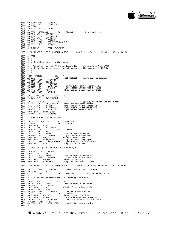

03AF| 48 2 BADEXIT PHA 03B0| 20 9603 - JSR GOODEXIT 03B3| 68 2 PLA 03B4| 20 2819 - JSR SYSERR<br>03B7| 5<br>03B7| AD 6F00 - RSTORADR LDA ORGADR ;Reset addresses<br>03B2| AD 7000 - LDA ORGADR+1<br>03BC| AD 7000 - LDA ORGADR+1<br>03BF| 85 C3 / STA SOS\_BUF+1 03C1 AD 7100 - LDA ORGBNK<br>03C4 8D C314 - STA SOS XP 03C4| 8D C314 - STA SOS\_XPAGE+SOS\_BUF+1<br>03C7| 4C \*\*\*\* - JMP ARBADR  $4C$  \*\*\*\* - JMP 03CA| 5 03CA| 5 .INCLUDE PROFILE.B.TEXT PAGE - 21 PROFILE FILE: PROFILE.B.TEXT SOS Profile Driver -- Version 1.30 14-Jan-83  $03CA$  5 .PAGE<br>03CA 5  $i$ ---03CA| 5 ;----------------------------------------------------------------------  $\begin{bmatrix} 03 \text{CA} \\ 03 \text{CA} \end{bmatrix}$  $5$  ; Profile driver -- write request.  $\binom{03}{03}$ 03CA| 5 ; Transfers "bytes/512" blocks from buffer to block..block+(bytes/512).<br>03CA| 5 ; Error status on return from subroutines is the same as for DREAD. 5 ; Error status on return from subroutines is the same as for DREAD.  $03<sub>CA</sub>$ 03CA| 5 ;----------------------------------------------------------------------  $03CA$  5<br>03CA 03CA  $\begin{array}{lllll} 03CA & \text{DWRITE} & & \text{.EQU} & \star \\ 03CA & \text{A5 C0} & / & & \text{LDA} & & \text{SOS\_REQCODE} \end{array}$ 03CA A5 C0 / LDA SOS\_REQCODE ; save current command 03CC 8D 6C00 - STA PREVCMD 03CC| 8D 6C00 - STA PREVCMD 03CF| A5 C1 / LDA SOS\_UNIT 03D1| 8D 6D00 - STA PREVUNIT 03D4| 20 6902 - JSR GETBYTES ;move bytes parm to length var. 03D7| 20 \*\*\*\* - JSR ARBADR ;Get beginning address resolved. 03DA| A9 FF / LDA #0FF ;Indicate data direction is Write  $\begin{array}{c|cc}\n 03DC & 8D & 7B00 & -\text{STA} & \text{T} \text{D} \text{ATDIR} \\
 \hline\n 03DF & 5 & \text{M} \text{N} \text{D} \text{A} \text{D} \text{A} \text{D} \text{A} \text{D} \text{A} \text{D} \text{A} \text{D} \text{A} \text{D} \text{A} \text{D} \text{A} \text{D} \text{A} \text{D} \text{A} \text{D} \text{A} \text{D} \text{A} \text{D} \text{A} \text{D} \text$ 03DF<br>03DF  $\begin{array}{cc} 03DF & AB & 02 \end{array}$  / WRBLOCK LDA  $\uparrow$  #2<br>03E1 85 D3 / STA BLK RTRYCNT 85 D3 / STA BLK\_RTRYCNT 03E3<br>03E3 03E3| A9 00 / WPAR\_RETRY LDA #0 ;parity error retries enter here<br>03E5| 85 D1 / STA (MD RTRYCNT) ;init omd-bsy retry variable  $\begin{array}{lllllllll} & 03\text{E5} & 85 & \text{D1} & / & \text{STA} & & \text{CMD\_RTRYCNT} \\ \hline 03\text{E7} & 85 & \text{CF} & / & \text{STA} & & \text{RTRYCNT} \\ \hline 03\text{E9} & 85 & \text{D0} & / & \text{STA} & & \text{RTRTHTERISH} \\ \end{array}$ 03E7| 85 CF / STA RTRYCNT ;and read retry and threshold 03E9| 85 D0 / STA RTRYTHRESH ;variables to 0 for write opn 03EB| 20 4902 - JSR TSTBLKNUM : check for valid block#<br>03EE| 90\*\* BCC WCOM\_RETRY 03EE| 90\*\* BCC WCOM\_RETRY 03F0| 4C \*\*\*\* - JMP DW\_ERR2  $03F3$  5<br>03F3 5  $03F3$  5 *;*CMD-BSY retries enter here 03F3| 5 03F3| A9 01 / WCOM\_RETRY LDA #WDGTWRT 03F5| AC 6100 - LDY WRTVER 03F8| F0\*\* BEQ \$10 03FA| A9 02 / LDA #WDGTWRTVER 03FC| 8D 7C00 - \$10 STA Z8CMD  $\begin{tabular}{lllllllllll} 03FC & 8D & 7C00 & - $10 & $\quad$ & $5\text{TA}$ & $28\text{CMD} \\ 03FF & A9 & 01 & / \text{ LDA} & & 41 & $5\text{TA}$ & $28\text{CMD} \\ 0401 & 85 & D2 & / \text{ STA} & $\text{RSPNS}$ & $5\text{ect up} \\ 0403 & 20 & *** & - JSR & $5\text{ND} \text{CD} \\ 0406 & B0** & BCS & & \text{DW\_ERRI} & $\quad$ & $\quad$ & $\quad$ & $\quad$ \\ 0407 & 20 & *** & - & $\quad$ 0401| 85 D2 / STA RSPNS ;set up expected response 0403| 20 \*\*\*\* - JSR SNDCMD ;1st cmd-bsy handshake 0406| B0\*\* BCS DW\_ERR1 ;cmd-bsy timeout error 0408| DOE9 BNE WCOM\_RETRY ;wrong response - try again<br>040A| 20 \*\*\*\* - JSR SND\_CMDBYTES ;send write command string<br>040D| B0\*\* BCS \$12  $040F$  5<br>040F 5 5 ;Now set up to send write data to widget  $040F$ <br> $040F$  $\begin{array}{|c|c|c|c|c|}\n\hline\n040F & \text{AD } 7 \text{CO} & - \text{LDA} & \text{Z8CMD} \\
0412 & 69 & 02 & / \text{ ADC} & \#2 \\
0414 & 85 & \text{D2} & / \text{ STA} & \text{RSPNS}\n\end{array}$  $\begin{array}{|c|c|c|c|c|}\n 0412 & 69 & 02 & / & \text{ADC} \\
 0414 & 85 & \text{D2} & / & \text{STA} \\
 \end{array}$ 0414 85 D2 / STA RSPNS ;set up expected response<br>0416 20 \*\*\*\* - JSR SNDCMD ;2nd cmd-bsy handshake 0416 20 \*\*\*\* - JSR SNDCMD ;2nd cmd-bsy handshake<br>
0419 B0\*\* BCS DW\_ERR1 ;timeout on cmd-bsy<br>
041B DOD6 BNE WCOM\_RETRY ;retry the handshake if tak timeout on cmd-bsy iretry the handshake if taken PAGE - 22 PROFILE FILE: PROFILE.B.TEXT SOS Profile Driver -- Version 1.30 14-Jan-83 041D| 20 \*\*\*\* - JSR DATRANS ;now transfer data to widget 0420| 90\*\* BCC \$15 0422| 4C \*\*\*\* - \$12 JMP WRRETRY ;retry on parity error  $0425$  5 0425| 5 ;now get status from write - 3rd cmd-bsy handshake  $\begin{bmatrix} 0425 \\ 0425 \end{bmatrix}$  $0425$   $\geq 06$   $\geq 0427$   $\geq 06$   $\geq 06$   $\geq 0427$   $\geq 06$   $\geq 06$   $\geq 06$   $\geq 06$   $\geq 06$   $\geq 06$   $\geq 06$   $\geq 06$   $\geq 06$   $\geq 06$   $\geq 06$   $\geq 06$   $\geq 06$   $\geq 06$   $\geq 06$   $\geq 06$   $\geq 06$   $\geq 06$   $\ge$  $0425$   $0425$   $0427$   $85$   $D2$  / STA RSPNS iset up expected response<br> $0429$   $0409$   $0409$   $0409$   $0409$   $0409$   $0409$   $0409$   $0409$   $0409$   $0409$ 0429| AD 6100 - LDA WRTVER 042C| F0\*\* BEQ \$20 ;branch if not write/verify 042E| A9 FF / LDA #0FF 0430| 8D 8000 - STA LONGWAIT ;adjust timeout value 0433| 20 \*\*\*\* - \$20 JSR SNDCMD 0436| B0\*\* BCS DW\_ERR1 ;timeout error - cmd-bsy 0436 B0\*\* BCS DM\_ERR1 ;timeout error - cmd-bsy<br>
0438 F0\*\* BEQ WCONT ;continue if good return status<br>
043A 20 B703 - JSR RSTORADR ;restore 'ORGADR' since already 043A| 20 B703 - JSR RSTORADR ;restore 'ORGADR' since already<br>043D| 5 H;wrote bytes to z8<br>043D| 4C F303 - JMP WCOM\_RETRY ;and retry communication 0440| 5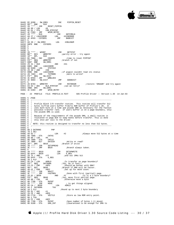

0440| EE 8200 - DW\_ERR1 INC PIPPIN\_RESET<br>0443| D0\*\* BNE \$10<br>0445| 20 \*\*\*\* - JSR RESET\_PIPPIN<br>0448| A9 00 / LDA #0 044A| 85 D1 / STA CMD\_RTRYCNT 044C| 4C F303 - JMP WCOM\_RETRY 044F| 20 \*\*\*\* - \$10 JSR NOTCMDLN 0452 A9 27 / LDAXIOERR LDA #XIOERROR<br>0454 4C AF03 – CSYSER1 JMP BADEXIT  $4C$  AF03 - CSYSER1 0457<br>0457 0457 A9 2D / DW\_ERR2 LDA #XBLKNUM<br>0459 DOF9 BNE CSYSER1 DOF9 BNE CSYSER1  $045B$  5  $045B$  $045B$  5<br>045B 20 \*\*\*\* - WCONT 045B| 20 \*\*\*\* - WCONT JSR GETSTAT 045E| B0\*\* BCS WRRETRY ;parity error - try again 0460| 10\*\* BPL \$10 0462| EE 7D00 - INC COUNTR ;time to reset PIPPIN? 0465| F0\*\* BEQ WRRETRY ;branch if not 0467| D0D7 BNE DW\_ERR1  $0469$  29 41 / \$10  $046B$  AND #41<br>046B DOE5 BNE LDAXIOERR 046B| D0E5 BNE LDAXIOERR 046D| AD 8400 - LDA STATUS2 0470| 29 48 / AND #48 0472 DODE BNE LDAXIOERR *i* if pippin couldnt read its status 0474 20 7A03 - JSR TSTMORE *i*more to write? 0474 20 7A03 - JSR TSTMORE ;more to write?<br>0477 F0\*\* BEQ DW\_EXIT<br>0479 4C DF03 - JMP WRBLOCK<br>047C 4C 9603 - DW\_EXIT JMP GOODEXIT 047C 4C 9603 - DW\_EXIT<br>047F 5<br>047F 20 B703 - WRRETRY JSR RSTORADR : irestore 'ORGADR' and try again 0482| C6 D3 / DEC BLK\_RTRYCNT ;can we retry? 0484| 30BA BMI DW\_ERR1 0486| 4C E303 - JMP WPAR\_RETRY PAGE - 23 PROFILE FILE: PROFILE.B.TEXT SOS Profile Driver -- Version 1.30 14-Jan-83  $0489$  5 .PAGE<br>0489 5 ;----0489| 5 ;----------------------------------------------------------------------  $\begin{array}{c|cc} 0489 & 5 & i--- \\ 0489 & 5 & i-- \\ 0489 & 5 & i-- \\ \end{array}$ 0489| 5 ; Profile Block I/O transfer routine. This routine will transfer 512 0489| 5 ; bytes to/from users buffer from/to RAM buffer of Profile's Z8. It 0489 | 5 ; uses both byte at a time and psuedo DMA as necessary for the fastest 0489 | 5 ; possible transfer rate. If users buffer is on a page boundary, only 0489 | 5 ; the psuedo DMA is used. 0489| 5 ; possible transfer rate. If users buffer is on a page boundary, only 0489| 5 ; the psuedo DMA is used.  $\begin{array}{c|cc} 0489 & 5 & ; \\ 0489 & 5 & ; \end{array}$ 0489| 5 ; Because of the requirements of the psuedo DMA, a small routine is<br>0489| 5 ; relocated to page \$18 to swap banks before transfer. This is done<br>0489| 5 ; only once per call to the driver.  $0489$ | 5 ;<br>0489| 5 ; 0489| 5 ; NOTE: this routine is designed to transfer no less than 512 bytes. 0489| 5 ;----------------------------------------------------------------------  $0489$  5<br>0489 0 0489 08 2 DATRANS PHP 048A 78 2 SEI<br>048B A9 02 / 048B| A9 02 / LDA #2 ;Always move 512 bytes at a time 048D| 8D 7900 - STA CNTHI 0490| A9 00 / LDA #0 0492| 8D 7800 - STA CNTLO 0492 |  $\overline{0.992}$  |  $\overline{0.99800}$  - STA  $\overline{0.0000}$  - BIT DATDIR ; Write or read?<br>0498 |  $30**$  BMT  $\overline{0.010}$  ; Branch if write 0498 30\*\* BMI \$010 ;Branch if write 0498 30<sup>\*\*</sup> BWI \$010<br>049A 20 \*\*\*\* - JSR SETUPREAD<br>049D 4C \*\*\*\* - JMP \$020  $\begin{aligned} & \texttt{4C} \texttt{***} - \texttt{JMP} & \texttt{\$020} & \texttt{iBranch always taken.} \\ & \texttt{5} \\ & \texttt{20} \texttt{***} - \texttt{\$010} & \texttt{JSR} & \texttt{SFTIPWRTTR} \end{aligned}$ 04A0 5<br>04A0 20 \*\*\*\* - \$010<br>04A3 AD DFFF - \$020<br>04A6 29 7F / AND 04A0| 20 \*\*\*\* - \$010 JSR SETUPWRITE 04A3| AD DFFF - \$020 LDA E\_REG 04A6| 29 7F / AND #7F ;and out 1MHz bit 04A8| 8D DFFF - STA E\_REG 04AB| 28 2 PLP 04AC| A5 CA / LDA ADRLO ;Is transfer on page boundary? 04AE F0\*\* BEQ DATADMA ;Yes, Do it fast!!<br>04B0 C9 F5 / CMP #0F5 ;Should we bother<br>04B2 90\*\* BCC \$030 ;Branch if DMA will 04B0| C9 F5 / CMP #0F5 ;Should we bother with DMA? 04B2| 90\*\* BCC \$030 ;Branch if DMA will be faster. 04B4 49 FF / EOR  $^+$  40FF  $^+$  ;Set up for move count 04B6 20 \*\*\*\* - JSR MOVIT 04B6 4C \*\*\*\* - JMP FASTMOV ;Done with first (pa 90 BCC 200<br>
49 FF EOR #0FF<br>
20 \*\*\*\* - JSR MOVIT<br>
4C \*\*\*\* - JMP FASTMOV 04B9  $4C$  \*\*\*\* - JMP FASTMOV ;Done with first (partial) page.<br>04BC 29 01 / \$030 AND #1 ;Is it a 2 byte both 04BC F04\* BF0  $\frac{1}{2}$ 04BC 29 01 / \$030 AND #1  $\frac{1}{15}$  is it a 2 byte boundary?<br>04BE F0\*\* BEQ \$040  $\frac{1}{15}$  iYes, move first partial page.<br>04CO A9 00 / LDA #0  $\frac{1}{10}$  iOtherwise move a byte  $04BE$   $040$   $040$   $040$   $040$   $040$   $040$   $040$   $040$   $040$   $040$   $040$   $040$   $040$   $040$   $040$   $040$   $040$   $040$   $040$   $040$   $040$   $040$   $040$   $040$   $040$   $040$   $040$   $040$   $040$   $040$   $040$   $040$   $040$   $040$   $040$   $040$ 04C0 A9 00 / LDA #0 ;Otherwise move a byte<br>04C2 8D 7700 - STA MVCNT<br>04C5 20 \*\*\*\* - JSR MOVE ; to get things alig<br>1.DA ADRLO 04C2| 8D 7700 - STA MVCNT 04C5| 20 \*\*\*\* - JSR MOVE ; to get things aligned. 04C8| A5 CA / \$040 LDA ADRLO 04CA| AA 2 DATADMA TAX 04CB| 18 2 CLC ;Round up to next 2 byte boundary 04CC 69 01 / ADC #1 04CE| 29 FE / AND #0FE VECTLO :Store as low ROM entry point. 04D3| 8A 2 TXA  $\begin{tabular}{|c|c|c|c|c|} \hline 04D4 & 49 & FF & / EOR & #0FF \\ \hline 04D6 & 8D & 7700 & - STA & MVCNT \\ 04D9 & 8D & 9100 & - STA & DMA_CCP \\ \hline \end{tabular}$ 04D6| 8D 7700 - STA MVCNT ;Save number of bytes (-1) moved. 04D9| 8D 9100 - STA DMA\_CNT ;(Guaranteed to be enough for DMA to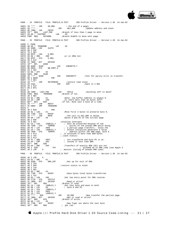

PAGE - 24 PROFILE FILE: PROFILE.B.TEXT SOS Profile Driver -- Version 1.30 14-Jan-83  $\begin{array}{lll} 04DC & 20 **** ~- ~{\rm JSR} & \text{GO\_DMA} & \text{; the end of a page)} \\ 04DF & 20 **** ~- & & {\rm JSR} & {\rm ADJ\_ADR} & & {\rm iUp} \\ \end{array}$  $04DF$  20 \*\*\*\* -  $75R$  ADJ\_ADR ;Update address and count  $04E2$  AD 7900 - LDA CNTHI  $04E2$  AD 7900 - LDA CNTHI<br>04E2 E0\*\* BEQ LAST\_PGE  $i$ Branch if less than 1 page to move.<br>LDA  $\qquad\qquad$ #0  $04E7$  A9 00 / FASTMOV<br>04E9 FODF BEO DATADMA Branch ALWAYS to move next page. PAGE - 25 PROFILE FILE: PROFILE.B.TEXT SOS Profile Driver -- Version 1.30 14-Jan-83 04EB| 5 .PAGE<br>04EB| A0 00 /<br>04ED| AE 6900 04EB| A0 00 / TRANSDNE LDY #0<br>04ED| AE 6900 - LDX SLOTX 04F0 08 2 PHP<br>04F1 78 2 SET 04F1 78 2 SEI<br>04F2 AD DFFF - $04F2$  AD DFFF - LDA E\_REG<br>04F5 09 80 / ORA #80 04F5| 09 80 / ORA #80 ;or in 1MHz bit 04F7| 8D DFFF - STA E\_REG 04FA| 28 2 PLP 04FB| 2C 7B00 - BIT DATDIR 04FE| 10\*\* BPL \$300  $\begin{array}{lllll} 04\texttt{HB} & \texttt{20} & \texttt{10} & \texttt{300} \\ 04\texttt{FE} & 10^{4}\texttt{*} & \texttt{BPL} & \texttt{\$300} \\ 0500 & \texttt{B9} & 8\texttt{A00} & -\texttt{\$100} & \texttt{LDA} & \texttt{CHEKBYTS}, \texttt{Y} \\ 0503 & \texttt{9D} & 80\texttt{C0} & -\texttt{STA} & \texttt{WR\_PORT}, \texttt{X} \end{array}$  $0503$  9D 80C0 - STA<br>0506 C8 2 TNY 0506 C8 2 INY<br>0507 C0 06 / 0 0507 C0 06 / CPY #6<br>0509 D0F5 BNE \$100 0509| D0F5 BNE \$100  $050B$  20 \*\*\*\* - \$300<br>  $050E$  08 2 \$999<br>  $050E$  08 2 \$999<br>  $050E$  78 2 \$PT<br>  $050E$  78 2 \$PT 050E 08 2 \$999 PHP 050F| 78 2 SEI 0510| 20 \*\*\*\* - JSR SETUPREAD ;restore read state 0513| 20 4101 - JSR S2M ;back to 2 MHz 0516| 28 2 PLP 0517| 60 2 RTS 0518 5<br>0518 AD 7800 - LAST\_PGE 0518 AD 7800 - LAST\_PGE LDA CNTLO : Anything left to move?<br>051B FOCE BEQ TRANSDNE : Branch if not. 051B| F0CE BEQ TRANSDNE ;Branch if not.<br>051D| 38 2 SEC 051D<br>
051E<br>
E9 01 / SBC<br>
0520<br>
C9 20 / CMP 051E| E9 01 / SBC #1 ;Note: low buffer address is always 0. 0520 C9 20 / CMP  $\neq$  #20  $\frac{1}{15}$  there more than 32 bytes left?<br>0522 B0\*\* BCS \$20  $\frac{1}{15}$  not, move last a byte at a time. 0522  $B0**$  BCS \$20 ;If not, move last a byte at a time.<br>0524 20 \*\*\*\* - JSR MOVIT<br>0527 4C EB04 - JMP TRANSDNE  $0^{3}$ <br> $0^{4}$ <br> $0^{4}$ <br> $0^{4}$ <br> $0^{4}$ <br> $0^{4}$ <br> $0^{4}$ <br> $0^{4}$ <br> $0^{4}$ <br> $0^{4}$ <br> $0^{4}$ <br> $0^{4}$ <br> $0^{4}$ <br> $0^{4}$ <br> $0^{4}$ <br> $0^{4}$ <br> $0^{4}$ <br> $0^{4}$ <br> $0^{4}$ <br> $0^{4}$ <br> $0^{4}$ <br> $0^{4}$ <br> $0^{4}$ <br> $0^{4}$ <br> $0^{4}$ <br> $0^{4}$ <br> $0^{4}$ <br> $0^{4}$ <br> $0^{4}$ <br> $0^{4}$ <br> $0^{4}$ <br> $0^{4$ 4C EB04 - JMP TRANSDN<br>5<br>48 2 \$20 PHA<br>A9 01 / LDA " 052A<br>052A  $\begin{array}{|c|c|c|c|c|}\n052A & 48 & 2 & $20 \\
052B & A9 & 01 & / \end{array}$ 052B| A9 01 / LDA  $#1$  ;Move first 2 bytes to preserve byte 0.<br>052D| 8D 7700 - STA MVCNT 052B 49 01 / LDA #1<br>
052D 8D 7700 - STA MVCNT<br>
0530 20 \*\*\*\* - JSR MOVE 0530| 20 \*\*\*\* - JSR MOVE ;The call to ADJ\_ADR is below.<br>0533| A0 00 / LDY #0 ;Bytes 0 and FE of the current page 0535| 08 2 PHP 0536| 78 2 SEI ;disallow interupts 0537 B1 CA / LDA (ADRLO),  $\overline{y}$  is must be preserved because of the 0539 8D 7500 - STA TEMP00 ; quirks of the psuedo DMA while 0539 8D 7500 - STA TEMP00 ; quirks of the psuedo DMA while doing 053C A0 FE / LDY #0FE ; barrtial page transfers. Since the 053E B1 CA / LDA (ADRLO), Y ; branch instuction generates a false 0540 8D 7600 - STA TEMPFE ; add 053C| A0 FE / LDY #0FE ; a partial page transfers. Since the 053E| B1 CA / LDA (ADRLO),Y ; branch instuction generates a false 0540| 8D 7600 - STA TEMPFE ; address within the DMA page, byte 0<br>0543| 68 2 PLA : is accessed if more than \$80 bytes 0543| 68 2 PLA ; is accessed if more than \$80 bytes  $0544$  AA 2 TAX  $\qquad \qquad$  ; (save status) AA 2 TAX<br>68 2 PLA #OFC  $\qquad$  ; are transfered and byte FE is ac-<br>#84  $\qquad$  ; cessed if less than \$80.  $#84$  ; cessed if less than \$80.<br>\$30. 0546 29 FC / AND #0FC<br>0546 29 FC / AND #84<br>0548 D0\*\* BNE \$30<br>054C E9 04 / SEC #04<br>054E A8 2 \$30<br>054F 4A 2 LSR A 054C| E9 04 / SBC #04 ;Transfers of exactly \$80 (82) are not 054E| A8 2 \$30 TAY ; allowed do to DMA code (see Apple 3 A  $:$  monitor listing of psuedo DMA code) PAGE - 26 PROFILE FILE: PROFILE.B.TEXT SOS Profile Driver -- Version 1.30 14-Jan-83 0550| 4A 2 LSR A 0551| E9 01 / SBC #1 0553| 8D 9100 - STA DMA\_CNT ;Set up for exit of DMA<br>0556| 8A 2 TXA 0556 8A 2 TXA<br>0557 48 2 PHA 0557 48 2 PHA *;restore status to stack*  $0558$  98 2 TYA 0557 48 2 PHA<br>0558 98 2 TYA<br>0559 38 2 SEC 0559 38 2 SEC<br>055A E9 03 / 055A E9 03 / SBC #3<br>055C 8D 7700 - STA MVCNT 055C| 8D 7700 - STA MVCNT ;Save bytes total bytes transferred. 055F| A8 2 TAY 0560 A9 02 / LDA #02 ;Set low entry point for DMA routine.<br>0562 8D F718 - STA VECTLO  $\begin{array}{llllll} 0.560 & {\rm A9} & 2 & {\rm A1} & {\rm H02} \\ 0.560 & {\rm B9} & 02 & {\rm A1} & {\rm B2} & {\rm VECTLO} \\ 0.565 & {\rm AC} & {\rm T80} & - {\rm B1} & {\rm DATDIR} \\ 0.568 & 10^{* \star} & {\rm BPL} & {\rm S50} \\ 0.564 & {\rm B1} & {\rm CA} & {\rm A1} & {\rm A20RLO} \end{array},$ 0565 2C 7B00 - BIT DATDIR ;Read or write?<br>0568 10\*\* BPL \$50 ;Branch if read 0568| 10\*\* BPL \$50 ;Branch if read. 056A| B1 CA / LDA (ADRLO),Y ;Get last byte and move to both 056C| A0 00 / LDY  $\#0$  ; byte 0 and FE.<br>056E| 91 CA / STA (ADRLO), Y 056E| 91 CA / STA (ADRLO),Y 0570| A0 FE / LDY #0FE 0572 91 CA / STA (ADRLO), Y<br>0574 20 \*\*\*\* - \$50<br>0577 2C 7B00 - BIT 0574| 20 \*\*\*\* - \$50 JSR GO\_DMA ;Now transfer the partial page.<br>0577| 2C 7B00 - BIT DATDIR ;Was it read or write? 0577 2C 7B00 - BIT DATDIR ;Was it read or write?<br>057A 30\*\* BML 570 ;Branch if write. 057A| 30\*\* BMI \$70 ;Branch if write. 057C| A0 00 / LDY #0 057E| 2C 7700 - BIT WORNT ;Now figer out where the last byte<br>0581| 30\*\* BMI \$60 ; got red.  $0581$  30\*\* BMI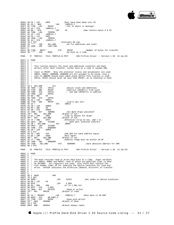

 $\begin{tabular}{lllllllllll} \hline &\multicolumn{3}{l}{\text{\#0FE}} &\multicolumn{3}{l}{\text{\#0FE}} &\multicolumn{3}{l}{\text{\#0FE}} &\multicolumn{3}{l}{\text{\#0FE}} &\multicolumn{3}{l}{\text{\#0FE}} &\multicolumn{3}{l}{\text{\#0FE}} &\multicolumn{3}{l}{\text{\#0FE}} &\multicolumn{3}{l}{\text{\#0F}} &\multicolumn{3}{l}{\text{\#0F}} &\multicolumn{3}{l}{\text{\#0F}} &\multicolumn{3}{l}{\text{\#0F}} &\multicolumn{3}{l}{\text{\#0F}} &$ 0583| A0 FE / LDY<br>0585| B1 CA / \$60<br>0587| AC 7700 - LDY 0587 AC 7700 - LDY MVCNT ;Put it where it belongs!<br>058A 91 CA / STA (ADRLO),Y 058A| 91 CA / STA (ADRLO),Y 058C| A0 00 / \$70 LDY #0 ;Now restore bytes 0 & FE.<br>058E| AD 7500 - LDA TEMP00 058E| AD 7500 - LDA TEMP00 0591| 91 CA / STA (ADRLO),Y 0593| A0 FE / LDY #0FE 0595| AD 7600 - LDA TEMPFE<br>0598| 91 CA / STA (ADRLO), Y 0598 91 CA / STA<br>059A 28 2 PLP 059A 28 2 PLP ; Interupts OK now.<br>059B 20 \*\*\*\* - JSR ADJ\_ADR ; Go fix addre 059B| 20 \*\*\*\* - JSR ADJ\_ADR  $\overline{G}$  fix addresses and count.<br>059E| 4C 1805 - JMP LAST\_PGE  $4C$  1805 - JMP 05A1 5<br>05A1 8D 7700 - MOVIT 05A1| 8D 7700 - MOVIT STA MVCNT ;Number of bytes for transfer. Do byte at a time. PAGE - 27 PROFILE FILE: PROFILE.B.TEXT SOS Profile Driver -- Version 1.30 14-Jan-83 05A7 5 .PAGE<br>05A7 5 :----05A7| 5 ;----------------------------------------------------------------------  $05A7$  5 ;<br> $05A7$  5 ;  $05A7$  5 ; This routine adjusts the count and addresses (indirect and bank  $05A7$  5 ; direct) after each transfer, either byte at a time or psuedo DM 5 ; direct) after each transfer, either byte at a time or psuedo DMA.  $05A7$  5 ;<br>05A7 5 ; Input is MVCNT.  $05A7$  5 ; Input is MVCNT. Only the processor status and accumulator are used.<br> $05A7$  5 ; ADRLO, ADRHI, ADDRDMA, BANKDMA are all assumed to be valid, thus a 05A7| 5 ; ADRLO, ADRHI, ADDRDMA, BANKDMA are all assumed to be valid, thus a<br>05A7| 5 ; call to ARBADR should have taken place before this routine is used.<br>05A7| 5 ; CNTLO, CNTHI should never be less than MVCNT, as no check  $05A7$  5 ;<br>05A7 5 ;-----05A7| 5 ;----------------------------------------------------------------------  $05A7$  5<br>05A7 1  $\begin{array}{|c|c|c|c|c|} \hline 05{\rm A7} & 18 & 2 & {\rm ADJ}\_{\rm ADR} & & & {\rm CLC} \\ \hline 05{\rm A8} & {\rm AD} & 7800 & -{\rm LDA} & & {\rm CNTLO} \\ \hline 05{\rm AB} & {\rm ED} & 7700 & -{\rm SBC} & & {\rm MVCNT} \\ \hline \end{array}$ 05A8 AD 7800 - LDA CNTLO :Adjust count and Addresses<br>05AB ED 7700 - SBC MVCNT :Subtract (MVCNT+1) from co 05AB| ED 7700 - SBC MVCNT ;Subtract (MVCNT+1) from count  $05AB$  8D 7800 - STA CNTLO  $\qquad$  ; and add (MVCNT+1) to address.<br> $05B1$  AD 7900 - LDA CNTHI 05AE 2D 7800 - STA CNTLO<br>05B1 AD 7900 - LDA CNTHI<br>05B4 E9 00 / SBC #0 05B4 E9 00 / SBC #0<br>05B6 8D 7900 - STA CNTHI 05B6| 8D 7900 - STA CNTHI 05B9| A5 CA / LDA ADRLO 05BB| 6D 7700 - ADC MVCNT ;(carry was set) 05BE| 85 CA / STA ADRLO 05C0| A5 CB / LDA ADRHI 05C2| 69 00 / ADC #0 05C4| 85 CB / STA ADRHI 05C6| 2C 7A00 - BIT ADMODE ;Are Bank Wraps possible?<br>05C9| 10\*\* BPL ADJ\_DNE ;Branch if not.  $\begin{array}{lllllllllll} 05\text{C9} & 10^{**} & \text{BPL} & \text{ADJ\_DNE} & \text{? Branch if not.}\\ 05\text{CB} & \text{C9 81 / CMP} & \text{\#081} & \text{?Time to Adju}\\ 05\text{CD} & 90^{**} & \text{BCC} & \text{ADJ\_BNK} & \text{?Branch if not.} \end{array}$ 05CB| C9 81 / CMP #081 ;Time to Adjust for Wrap? 05CD| 90\*\* BCC ADJ\_BNK ;Branch if not. 05CF| 29 7F / AND #07F ;Otherwise strip hi bit, add 1 to<br>05D1 RE CB14 - TNC STSADR ; bank pair selected indirect 05D1 EE CB14 - INC SISADR ; bank pair selected indirect 05D4 85 CB / ADJ\_BNK STA ADRHI 05D4| 85 CB / ADJ\_BNK STA ADRHI 05D6| AD CB14 - LDA SISADR 05D9| 8D 7400 - STA BANKDMA 05DC| A5 CB / LDA ADRHI  $\begin{tabular}{|c|c|c|c|} \hline 05DE & 18 & 2 CLC \\ 05DF & 69 & 20 & / ADC \\ 05E1 & C9 A0 & / CMP \\ \hline \end{tabular}$ 05DF| 69 20 / ADC #20 ;Add \$20 for bank address equiv. 05E1| C9 A0 / CMP #0A0 ;Next bank? 05E3| 90\*\* BCC ADJ\_DNE ;Branch if not. 05E5| 29 7F / AND #07F ;Address range must be within 20-9F 05E7| EE 7400 - INC BANKDMA  $05EA$  8D 7300 - ADJ DNE STA ADDRDMA  $i$ Save absolute address for DMA 05ED| 60 2 RTS PAGE - 28 PROFILE FILE: PROFILE.B.TEXT SOS Profile Driver -- Version 1.30 14-Jan-83  $05EF$  5 .PAGE<br>05EE 5 :----05EE| 5 ;---------------------------------------------------------------------- 05EE 5<br>05EE 5 05EE 5 ; The move routines read or write data byte at a time. Input varibles<br>05EE 5 ; are ADRLO, ADRHI and MVCNT, none of which are modified (that is done<br>05EE 5 ; by ADJADR). All registers are used. Also SLOTX must contai  $05EE$  5<br> $05EE$  5 05EE| 5 ;---------------------------------------------------------------------- 05EE<br>05EE<br>05EE 05EE 08 2 MOVE PHP<br>05EF 78 2 SEI 05EF| 78 2 SEI 05F0| AE 6900 - LDX SLOTX ;Get index to device locations.<br>05F0| AE 6900 -  $\uparrow$  +0 05F3 A0 00 / LDY<br>05F5 AD DFFF -<br>05F8 09 80 / ORA 05F5| AD DFFF - LDA E\_REG 05F8| 09 80 / ORA #80 ;or in 1 MHz bit 05FA| 8D DFFF - STA E\_REG 05FD| 2C 7B00 - BIT DATDIR ;Read or write? 0600| 10\*\* BPL MOVIN ;Branch if read. 0602 5<br>0602 B1 CA / MOVOUT 0602 B1 CA / MOVOUT LDA (ADRLO), Y *i*Move data to Z8 RAM<br>0604 9D 80C0 - STA WR\_PORT, X  $\begin{array}{c|cccc}\n0602 & \text{B1 CA} & \text{MNOVOUT} \\
0604 & 9D 80C0 & - STA & \text{WR\_PORT} \\
0607 & CC 7700 & - CPY & \text{MVCNT} \\
060A & F0** & BEQ & \text{MVDONE}\n\end{array}$ 0607 CC 7700 - CPY MVCNT ;Done with Write?<br>060A F0\*\* BEQ MVDONE ;Branch if done. 060A F0\*\* BEQ MVDONE *;*Branch if done.<br>060C C8 2 INY 060C C8 2 INY<br>060D D0F3 BNE MOVOUT ;Branch always taken.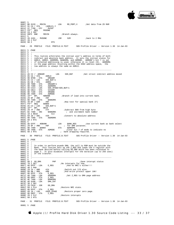

 $060F$  5<br>060F BD 81C0 - MOVIN  $060\mathrm{F}$  BD 81C0 - MOVIN LDA RD\_PORT, X ;Get data from Z8 RAM 0612 91 CA / STA (ADRLO), Y 0612| 91 CA / STA (ADRLO),Y 0614| CC 7700 - CPY MVCNT 0617| F0\*\* BEQ MVDONE 0619 C8 2 INY<br>061A DOF3 BNE DOF3 BNE MOVIN ;Branch always. 061A DOF3 BNE<br>061C 5<br>061C 20 4101 -MVDONE JSR S2M ;back to 2 MHz 061F| 28 2 PLP 0620| 60 2 RTS PAGE - 29 PROFILE FILE: PROFILE.B.TEXT SOS Profile Driver -- Version 1.30 14-Jan-83  $0621$  5 .PAGE<br>0621 5 :---<br>0621 5 : 0621| 5 ;----------------------------------------------------------------------  $\begin{array}{c|c} 0621 & 5 \\ 0621 & 5 \end{array}$  $0621$  | 5 ; This routine arbitrates the initial user's address in terms of both 0621 | 5 ; indirect and absolute bank address in terms the initial states for 0621 | 5 ; indirect and absolute bank address. It sets the initial states for<br>0621 | 5 ; ADRLO, ADRHI, ADDRDMA, BANKDMA, and ADMODE = ADMODE's bit 7 is set<br>0621 | 5 ; if extented addressing is used, otherwise it is reset ( 0621| 5 ; is the page address resulting within the 6502 address space, the 0621| 5 ; low address is always the same as ADRLO.  $\begin{array}{c|cc} 0621 & 5 & i \\ 0621 & 5 & i \end{array}$ 0621| 5 ;----------------------------------------------------------------------  $0621$  5<br>0621 A 0621 A5 C2 / ARBADR LDA SOS\_BUF ;Get strait indirect address moved 0623 85 CA / STA ADRLO 0623| 85 CA / STA ADRLO 0625| 8D 6F00 - STA ORGADR 0628| A5 C3 / LDA SOS\_BUF+1 062A| 85 CB / STA ADRHI 062C| 8D 7000 - STA ORGADR+1 062F| 8D 7300 - STA ADDRDMA  $\begin{array}{c|ccccc} 062\mathrm{F} & \text{8D} & 7300 & - & \text{STA} & & \text{ADDRDMA} \\ 0632 & \text{AD} & \text{C314} & - & \text{LDA} & & \text{SOS\_XPAGE+SOS\_BUF}+1 \\ 0635 & \text{8D} & \text{CB14} & - & \text{STA} & & \text{SISADR} \\ \end{array}$ 0635 8D CB14 - STA SISADR<br>0638 8D 7100 - STA ORGENK 0638| 8D 7100 - STA ORGBNK 063B| 8D 7A00 - STA ADMODE 063E| 10\*\* BPL NOBANK ;Branch if load into current bank. 0640| 29 0F / AND #0F 0642| 8D 7400 - STA BANKDMA  $0645$  49 OF / EOR #0F :Now test for special bank (F)  $0647$   $F0**$  BEO BANK0 0647| F0\*\* BEQ BANK0 0649| A5 C3 / LDA SOS\_BUF+1 064B| 10\*\* BPL \$010 064D| 29 7F / AND #7F ;Subtract \$80 from high byte 064F| EE 7400 - INC BANKDMA ; and increment bank number  $\begin{array}{|l|l|l|} \hline 064\mathrm{F} & \mathrm{EE} & 7400\; - \;\mathrm{INC} & \mathrm{BANKDMA} \\ 0652& 18\; 2\;\pm010 & \mathrm{CLC} \\ 0653& 69\; 20\; / \;\mathrm{ADC} & \# 20 \\ 0657 & \mathrm{CE} & \mathrm{C} & \mathrm{DC} \end{array}$ 0653| 69 20 / ADC #20 ;Convert to absolute address 0655| 8D 7300 - STA ADDRDMA 0658| 60 2 RTS 0659 5<br>0659 A 0659 AD EFFF - NOBANK LDA BANK\_REG ;Use current bank as bank select<br>065C 29 OF / AND #OF ; for DMA purposes.<br>065E 8D 7400 - BANKO STA BANKDMA 065C| 29 0F / AND #0F ; for DMA purposes. 065E| 8D 7400 - BANK0 STA BANKDMA 0656 8D 7400 - BARNO DE STA BELLEMAN DESCRIPTION OF A DISCRIPTION OF STA BELLEMIN DESCRIPTION OF STA ADMODE (1<br>0664 60 2 RTS (1990 - 1990 - 1991) bank wrapping required. bank wrapping required. PAGE - 30 PROFILE FILE: PROFILE.B.TEXT SOS Profile Driver -- Version 1.30 14-Jan-83  $0665$  5 .PAGE<br>0665 5 :----0665| 5 ;---------------------------------------------------------------------- 0665<br>0665 0665 | 5 ; In order to perform psuedo DMA, the call to ROM must be outside the<br>0665 | 5 ; Bank. This routine sets up the Z\_REG and loads the X register with<br>0665 | 5 ; the bank desired before calling DO\_DMA which has been 0665| 5 ; page 2. It also disables interupts for the duration (up to 256 usec) 0665| 5 ; of the transfer.  $0665$  5<br>0665 5 0665| 5 ;----------------------------------------------------------------------  $0665$  5<br>0665 08 2 GO DMA 0665 | 08 2 GO\_DMA PHP : Save interupt status<br>0666 | 78 2 SEI : No interupts for now. 0666| 78 2 SEI ;No interupts for now. 0667 AD DFFF - LDA E\_REG : And no NMI's either!!!<br>066A 48 2 PHA 0666<br>
0666<br>
0667<br>
066A<br>
48 2 PHA<br>
066B<br>
29 24 / AND 066B| 29 24 / AND  $+24$  ;Switch out I/O also.<br>066D| 09 8B / ORA  $+8B$  ;And write protect up<br>066F| 8D DFFF - STA EREG %We know that is a more in the set of the set of the set of the set of the set of the set of the set of the set of the set of the set of the set of the set of the set of the set of the set of the set of the set of the set  $\begin{array}{lllllll} 066\mathrm{B} & 29 & 24 & \text{/ AND} & \#24 \\ 066\mathrm{D} & 09 & 8\mathrm{B} & \text{/ ORA} & \#8\mathrm{B} \\ 066\mathrm{F} & 8\mathrm{D}~\mathrm{DFFF} & -~\mathrm{STA} & & \underline{\mathrm{E\_REG}} \\ 0672 & \text{AD}~7300 & -~\mathrm{LDA} & & \text{ADDRDMA} \end{array}$ 0672| AD 7300 - LDA ADDRDMA ;Set Z\_REG to DMA page address 0675| 8D D0FF - STA Z\_REG 0678| AE 7400 - LDX BANKDMA 067B AD 9100 - LDA DMA\_CNT<br>067E 38 2 SEC 067E| 38 2 SEC 067F| 20 F018 - JSR DO\_DMA 0682 68 2 PLA <sup>T</sup> ; Restore NMI state.<br>0683 8D DEEE - STA E REG 0683 8D DFFF - STA E\_REG<br>0686 A9 18 / LDA #SOS ZPAGE 0686| A9 18 / LDA #SOS\_ZPAGE ;Restore proper zero page. 0688| 8D D0FF - STA Z\_REG 068B| 28 2 PLP ;Restore interupts 068C| 60 2 RTS PAGE - 31 PROFILE FILE: PROFILE.B.TEXT SOS Profile Driver -- Version 1.30 14-Jan-83 068D| 5 .PAGE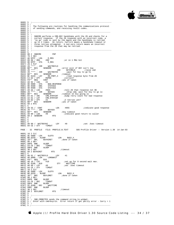

068D| 5 ;----------------------------------------------------------------------  $068D$  5 ;<br>068D 5 ; 068D  $\begin{bmatrix} 5 \\ 5 \end{bmatrix}$ ; The following are routines for handling the communications protocol 068D  $\begin{bmatrix} 5 \\ 1 \end{bmatrix}$ ; of sending commands, and receiving result codes  $\frac{6}{5}$  ; of sending commands, and receiving result codes.  $068D$  5 ;<br>068D 5 ; 068D| 5 ;----------------------------------------------------------------------  $068D$  5 ;<br>068D 5 ; 068D | 5 ; SNDCMD performs a CMD-BSY handshake with the Z8 and checks for a 068D | 5 ; correct response. If the Z8 responds with an incorrect code, a 068D| 5 ; correct response. If the Z8 responds with an incorrect code, a 068D| 5 ; 'no go' code is sent by the Apple and the handshake is retried 068D| 5 ; up to 2 times. On return, Carry=1 means a handshake timeout or 068D| 5 ; 'no go' code is sent by the Apple and the handshake is retried<br>068D| 5 ; up to 2 times. On return, Carry=1 means a handshake timeout or<br>068D| 5 ; three retries attempted. A non-zero return means an incorrect 068D  $\begin{array}{|l|l|} 5 & ; & \text{response from the } 28 \text{ that may be retrieved.} \end{array}$  $\begin{array}{|c|c|c|c|c|} \hline 068D & 5 & ; \ \hline 068D & 5 & ; -- \ \hline \end{array}$ 068D| 5 ;----------------------------------------------------------------------  $068D$  5<br>068D 0 068D 08 2 SNDCMD PHP<br>068E 78 2 SEI 068E| 78 2 SEI 068F| AD DFFF - LDA E\_REG 0692| 09 80 / ORA #80 ;or in 1 MHz bit 0694 8D DFFF - STA E\_REG 0697| 28 2 PLP 0698| 20 \*\*\*\* - JSR WAITBSYLO 069B| B0\*\* BCS SENDERR ;error exit if BSY isn't low<br>069B| B0\*\* BCS SENDERR 5SETCMDLN ;raise cmd<br>06A0| 20 \*\*\*\* - JSR WAITBSYHI ;wait for bsy to go hi 069D| 20 \*\*\*\* - JSR SETCMDLN ;raise cmd 06A0 20 \*\*\*\* - JSR WAITBSYHI ;wait for bsy to go hi<br>06A3 B0\*\* BCS SENDERR ;timeout 76A5 BC 81C0 - LDY RD\_PORT, X ;read response byte fr  $\begin{array}{c|cc}\n06A3 & BD** & BCS & S \\
06A5 & BC & 81C0 - LDY\n\end{array}$ 06A5| BC 81C0 - LDY RD\_PORT, X iread response byte from Z8<br>06A8| C4 D2 / CPY RSPNS icorrect? 06A8| C4 D2 / CPY RSPNS ;correct?<br>06AA| F0\*\* BEQ CONT ;yes if taken 06AA| F0\*\* BEQ CONT ;yes if taken 06AC| A9 02 / LDA #2 06AE| 8D 8900 - STA BAD\_RESPONSE 06B1| 0D 8500 - ORA STATUS3 06B4| 8D 8500 - STA STATUS3 06B7| A9 AA / LDA 10141033<br>06B7| A9 AA / LDA #0AA ;tell Z8 that response not OK<br>06B9| 20 \*\*\*\* - JSR BSYACK ;drop cmd, wait for bsy to 9<br>06BC| B0\*\* BCS SENDERR ;timeout on bsy going lo BSYACK : drop cmd, wait for bsy to go lo<br>SENDERR : timeout on bsy going lo 06BC B0\*\* BCS SENDERR ;timeout on bsy going lo<br>06BE E6 D1 / INC CMD\_RTRYCNT ;bump retry count for b 06BE $\,$  E6 D1 / INC  $\,$  CMD\_RTRYCNT  $\,$  ; bump retry count for bad response 06C0  $\,$  A4 D1 / LDY  $\,$  CMD\_RTRYCNT 06BE BO<sup>AA</sup> BCS<br>
06BE E6 D1 / INC<br>
06C0 A4 D1 / LDY<br>
06C2 C0 02 / CPY<br>
06C4 BO<sup>\*\*</sup> BCS 06C2 C0 02 / CPY #2 ;2 retries yet?<br>06C4 B0\*\* BCS SENDERR ;yes if taken 06C4 B0\*\* BCS SENDERR *i*yes if taken<br>06C6 60 2 RTS 06C6| 60 2 RTS 06C7 5<br>06C7 A9 55 / CONT  $06C7$  A9 55 / CONT LDA #055 *indicate good response*  $06C9$  20 \*\*\*\* - JSR BSYACK 06C9| 20 \*\*\*\* - JSR BSYACK 06CC| B0\*\* BCS SENDERR ;bsy timeout 06CC B0\*\* BCS SENDERR : bsy timeout<br>06CE A9 00 / LDA #0 ;indicate good return to caller<br>06D0 60 2 SENDERR RTS 60 2 SENDERR  $06D1$  5<br>06D1 5  $06D1$ <br> $06D1$ 06D1| 5 06D1| A0 00 / WAITBSYHI LDY #0 ;set .5sec timeout 06D3| 84 CE / STY TIMOUT PAGE - 32 PROFILE FILE: PROFILE.B.TEXT SOS Profile Driver -- Version 1.30 14-Jan-83 06D5 18 2 CLC<br>06D6 AE 6900 -06D6| AE 6900 - LDX SLOTX 06D9| BD 82C0 - ALOOP LDA BUSY,X 06DC| 10\*\* BPL BSYHIRET ;done if taken<br>06DE| 88 2 DEY  $06DE$  88 2 DEY 06DF D0F8 BNE ALOOP<br>06E1 C6 CE / DEC TIMOUT 06E1 C6 CE / DEC TIMO<br>06E3 D0F4 BNE ALOOP  $06E3$  DOF4 BNE<br>06E5 38 2 SEC 06E5| 38 2 SEC ;timeout 06E6| 60 2 BSYHIRET RTS 06E7 5<br>06E7 80 01 / WATTBSYLO 06E7| A0 01 / WAITBSYLO LDY #1 06E9| AD 8000 - LDA LONGWAIT 06EC| F0\*\* BEQ \$10<br>06EE| A0 10 / LDY #10  $\begin{array}{llllllll} 06 \text{EE} & \text{A0 10 / LDY} & \text{\#10} & \text{\quad} & \text{iset up for 8 second wait max.} \\ 06 \text{F0} & \text{8C 8100 - $10} & \text{STY} & \text{WAITTIME} \\ 06 \text{F3} & \text{A0 00 / LDY} & \text{\#0} & \text{\quad} & \text{iset } & \text{Seec } + \text{linear } + \text{linear}. \end{array}$  $\begin{array}{|c|c|c|c|c|}\n \hline\n 06F0 & 8C & 8100 & - $10\n \hline\n 06F3 & A0 & 00 & / LDY\n \end{array}$  $06F3$  A0 00 / LDY  $#0$  ;set .5sec timeout 06F5 84 CE / STY TIMOUT 06F3<br>
06F5<br>
06F5<br>
06F7<br>
18 2 CLC 06F7 18 2 CLC<br>06F8 AE 6900 -06F8| AE 6900 - LDX SLOTX 06FB| BD 82C0 - BLOOP LDA BUSY,X 06FE| 30\*\* BMI BSYLORET ;done if taken<br>0700 88 2 DEY 0700 88 2 DEY<br>0701 DOF8 BNE 0701 DOF8 BNE BLOOP<br>0703 C6 CE / DEC TIMOUT 0703 C6 CE / DEC TIMO<br>0705 D0F4 BNE BLOOP 0705 DOF4 BNE BLOOP<br>0707 CE 8100 - DEC WAITTIME 0707 CE 8100 - DEC WARD OT MAIN CHARGE BLOOP 070A| D0EF BNE BLOOP 070C| 38 2 SEC ;timeout 070D| 60 2 BSYLORET RTS  $070E$  5 070E| 5 ;----------------------------------------------------------------------  $\begin{bmatrix} 070E & 5 & i \\ 070E & 5 & i \end{bmatrix}$ 070E 5 ; SND\_CMDBYTES sends the command string to widget.<br>070E 5 ; Enter with cmd=bsy=lo Error return if get parit 5 ; Enter with cmd=bsy=lo. Error return if get parity error - Carry = 1  $\frac{5}{100}$  $070E$  5 ; 070E| 5 ;----------------------------------------------------------------------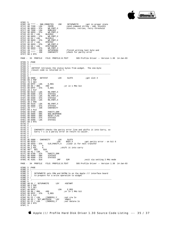

 $070E$ 070E| 5<br>
070E| 20 \*\*\*\* - SND\_CMDBYTES JSR SETUPWRITE ;get in proper state<br>
0711| AD 7C00 - LDA 28CMD ;send command string - cmd, blockhi<br>
0714| 9D 80C0 - STA WR\_PORT,X ;blocklo, retries, retry threshold<br>
0717| AD 7E00 - ID 0711 AD 7C00 - LDA 28CMD ;send command string - cmd, blockhi<br>0714 9D 80C0 - STA WR PORT.X ;blocklo, retries, retry threshold 0714 9D 80C0 - STA WR\_PORT, X iblocklo, retries, retry threshold<br>0717 AD 7E00 - LDA MSBLOCK 0714 9D 80C0 - STA WR\_PORT, X<br>
0717 AD 7E00 - LDA MSBLOCK<br>
071A 9D 80C0 - STA WR\_PORT, X 071A 9D 80C0 - STA WR\_POR<br>071D A5 D5 / LDA BLOCKHI 071D| A5 D5 / LDA BLOCKHI 071F| 9D 80C0 - STA WR\_PORT,X 0722 A5 D4 / LDA BLOCKLO<br>
0724 9D 80C0 - STA WR\_PORT, X<br>
0727 A5 CF / LDA RTRYCNT 0724| 9D 80C0 - STA WR\_PORT,X 0727| A5 CF / LDA RTRYCNT 0729| 9D 80C0 - STA WR\_PORT, X<br>072C A5 D0 / LDA RTRYTHRESH 072C| A5 D0 / LDA RTRYTHRESH 072E| 9D 80C0 - STA WR\_PORT,X 0731 20 \*\*\*\* - JSR SETUPREAD ;finish writing last byte and 0734 20 \*\*\*\* - JSR CHKPARITY ;check for parity error icheck for parity error  $\begin{array}{|c|c|c|c|c|}\n 0734 & 20 & \text{***} & -\\ \hline\n 0737 & 60 & 2 & \text{RTS} & \end{array}$ PAGE - 33 PROFILE FILE: PROFILE.B.TEXT SOS Profile Driver -- Version 1.30 14-Jan-83  $0738$  5 .PAGE<br>0738 5 :----0738| 5 ;----------------------------------------------------------------------  $\begin{bmatrix} 0738 \\ 0738 \end{bmatrix}$ 0738  $\frac{1}{5}$  ; GETSTAT retrieves the status bytes from widget. The one-byte 0738  $\frac{1}{5}$  ; result code is returned in Y 0738  $\begin{bmatrix} 5 & ; \text{result code is returned in Y.} \\ 5 & ; \end{bmatrix}$  $\begin{array}{c|c} 0.738 & 5 & ; \\ 0.738 & 5 & ; \end{array}$ 0738| 5 ;----------------------------------------------------------------------  $\begin{array}{c} 0738 \\ 0738 \end{array}$  $\begin{array}{ccc} 0.738\\ 0.738 \end{array}$  AE 6900 - GETSTAT LDX SLOTX ;get slot # 073B 08 2 PHP 073B| 08 2 PHP 073C| 78 2 SEI 073D AD DFFF - LDA E\_REG<br>0740 09 80 / ORA #80<br>0742 8D DFFF - STA E\_REG 0740 09 80 / ORA  $#80$  ior in 1 MHz bit 0742 8D DFFF - STA EREG 0742| 8D DFFF - STA E\_REG 0745| 28 2 PLP 0746| BD 81C0 - LDA RD\_PORT,X 0749| 8D 8300 - STA STATUS1 074C| BD 81C0 - LDA RD\_PORT,X 074F| 8D 8400 - STA STATUS2 0752| BD 81C0 - LDA RD\_PORT,X 0755 48 2 PHA<br>0756 BD 81C0 -0756| BD 81C0 - LDA RD\_PORT,X 0759| 8D 8600 - STA STATUS4 075C| 20 \*\*\*\* - JSR CHKPARITY 075F 68 2 PLA<br>0760 0D 8700 -0760| 0D 8700 - ORA PARITY\_ERR 0763| 0D 8900 - ORA BAD\_RESPONSE 0766| 0D 8800 - ORA RESET\_FLAG 0769| 8D 8500 - STA STATUS3 076C| AD 8300 - LDA STATUS1  $076F$  60 2 RTS<br>0770 5  $\begin{bmatrix} 0770 \\ 0770 \end{bmatrix}$ 0770| 5 ;---------------------------------------------------------------------- 0770| 5 ; 0770| 5 ; CHKPARITY checks the parity error line and shifts it into Carry, so 0770  $\begin{vmatrix} 5 & ; & \text{Carry} = 1 \text{ is a parity error on return to caller.} \end{vmatrix}$  $\begin{array}{c|cc} 0770 & 5 & ; \ 0770 & 5 & ; \end{array}$ 0770| 5 ;---------------------------------------------------------------------- 0770| 5 0770| AE 6900 - CHKPARITY LDX SLOTX 0773| BD 82C0 - LDA BUSY,X ;get parity error - on bit 6 0776| 9D 83C0 - STA CLR\_PARITY,X ;clear it for next transfer 0779 0A 2 ASL A<br>077A 0A 2 ASL A<br>077P 0011  $077A$  0A 2 ASL A<br> $077A$  0A 2 ASL A  $07A$  ishift it into carry<br> $077R$  90\*\* RCC 310 077B| 90\*\* BCC \$10<br>077D| A9 01 / LDA #1<br>077F| 8D 8700 - STA PARITY\_ERR<br>0782| 0D 8500 - ORA STATUS3 0785| 8D 8500 - STA STATUS3 JMP S2M : exit via setting 2 MHz mode PAGE - 34 PROFILE FILE: PROFILE.B.TEXT SOS Profile Driver -- Version 1.30 14-Jan-83 078B 5 .PAGE<br>078B 5 :-----078B| 5 ;---------------------------------------------------------------------- 078B| 5 ; 078B| 5 ; SETUPWRITE sets CRW and DATRW lo on the Apple /// interface board 078B  $\begin{array}{|l|l|} 5 & ; & \text{to prepare} \end{array}$  for a write operation to widget 078B  $\begin{array}{|l|l|} 5 & ; & \end{array}$  $\begin{bmatrix} 078B \\ 078B \end{bmatrix}$ 078B| 5 ;---------------------------------------------------------------------- 078B 078B A0 01 / SETUPWRITE LDY #SETWRT<br>078D 08 2 PHP 078D<br>078E 78 2 SEI 078E 78 2 SEI<br>078E AD DEEE -078F| AD DFFF - LDA E\_REG 0792| 09 80 / ORA #80 ;or in 1 MHz bit 0794| 8D DFFF - STA E\_REG<br>0797| 28 2 PLP<br>0798| B1 CC / LDA (INDRCN),Y iset crw lo<br>079A| A0 03 / SET\_WRITEDIR LDY #RWLO<br>079C| B1 CC / LDA (INDRCN),Y iset datarw lo<br>079E| 60 2 RTS 079F| 5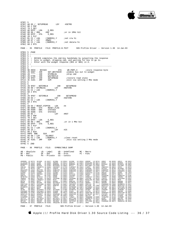

```
079F 5<br>079F A
079F| A0 05 / SETUPREAD LDY #SETRD
07A1 08 2 PHP<br>07A2 78 2 SEI
07A2 78 2 SEI<br>07A3 AD DFFF -
\begin{array}{|l|l|} 07 \texttt{A}3 & \texttt{AD DFFF} & -\texttt{LDA} & \texttt{E\_REG} \\ 07 \texttt{A}6 & 09 & 80 & / \texttt{ORA} & \texttt{\#80} \end{array}07A6| 09 80 / ORA #80 ;or in 1MHz bit
07A8| 8D DFFF - STA E_REG
07AB| 28 2 PLP
07AC| B1 CC / LDA (INDRCN),Y ;set crw hi
07AE| A0 07 / LDY #RWHI
07B0| B1 CC / LDA (INDRCN),Y ;set datarw hi
07B2| 60 2 RTS
PAGE - 35 PROFILE FILE: PROFILE.B.TEXT SOS Profile Driver -- Version 1.30 14-Jan-83
07B3 5 .PAGE<br>07B3 5 ;-----
07B3| 5 ;----------------------------------------------------------------------
07B3 5 ;<br>07B3 5 ;
07B3| 5 ; BSYACK completes the cmd-bsy handshake by outputting the response
07B3| 5 ; byte to widget, dropping cmd, and waiting for bsy to go lo. 
07B3 5 ; Enter with the widget response ($55 or $AA) in A.<br>07B3 5 ;
07B3 5 ;<br>07B3 5
              07B3| 5 ;----------------------------------------------------------------------
07B307B3| 9D 80C0 - BSYACK STA WR_PORT,X ;store response byte
07B6| 20 9A07 - JSR SET_WRITEDIR ;enable bus out to widget
07B9| 20 **** - JSR NTCMDLN1 ;drop cmd
07B9 20 **** - JSR NTCMDLN1<br>
07BC 20 E706 - JSR WAITBSYLO<br>
07BF 20 9F07 - JSR SETUPREAD
07BF| 20 9F07 - JSR SETUPREAD ;restore read state
07C2| 4C 4101 - JMP S2M ;exit via setting 2 MHz mode
07C2 4C 4101 - JMP<br>07C5 5<br>07C5 5
07C5<br>07C5
07C5| 20 9F07 - NOTCMDLN JSR SETUPREAD<br>07C8| A0 00 / NTCMDLN1 LDY #NOTCMD<br>07CA| B1 CC / LDA (INDRCN),Y
07CC| 60 2 RTS
07CD<br>07CD
07CD| 20 9F07 - SETCMDLN JSR SETUPREAD
07D0| A0 04 / LDY #SETCMD
07D0 A0 04 / LONGING (INDRCN), Y<br>07D2 B1 CC / LDA (INDRCN), Y<br>07D4 60 2 RTS
          60 2 RTS
07D5<br>07D5
07D5| A9 04 / RESET_PIPPIN LDA #4
07D7| 8D 8800 - STA RESET_FLAG
07DA| 0D 8500 - ORA STATUS3
07DA 0D 8500 - ORA STATUS3<br>
07DD 8D 8500 - STA STATUS3<br>
07E0 A0 0C / LDY
07E0 A0 0C / LDY #RST<br>07E0 A0 0C / LDY #RST
07E2| 08 2 PHP
07E3| 78 2 SEI
07E4| AD DFFF - LDA E_REG
07E7| 09 80 / ORA #80 ;or in 1 MHz bit
07E9| 8D DFFF - STA E_REG
07EC| 28 2 PLP
07ED| B1 CC / LDA (INDRCN),Y
07EF| A0 25 / LDY #25
07F1| 88 2 $10 DEY
07F2| D0FD BNE $10
07F4| A0 08 / LDY #CLRRST
07F6| B1 CC / LDA (INDRCN),Y ;clear reset
07F8 4C 4101 - JMP S2M sexit via setting 2 MHz mode
07FB| 5 
07FR 5 RMDPAGE - 36 PROFILE FILE: SYMBOLTABLE DUMP
AB - Absolute LB - Label UD - Undefined MC - Macro
RF - Ref DF - Def PR - Proc FC - Func
PB - Public PV - Private CS - Consts
ADDRDMA LB 0073| ADJADR LB 05A7| ADJBNK LB 05D4| ADJDNE LB 03AF| ADMODE LB 0072| ADRHI AB 0027| ADADREO LB 0153<br>PADRESPO LB 0693| BANKO LB 0652| PANKDMA LB 0674| BANKREO AB PTER<sup>I</sup> BLKKTRYC AB 0003| BLOCKH AB 0005| BADREO
ALLOCSIR AB 1913) ALGOOP LE 06D9) ARBADR LE 0621| BADEXIT LE 03AF | BADOLDDA AB 0027 | BADOP LE 0163| BADREQ LE<br>BADRESPO LE 0689| BANKO LE 065E| BANKDMA LE 0074| BANKREG AB FFEF| BLKRTRYC AB 00D3| BLOCKHI AB 00D5| BLOCKLO 
DEALCSIR AB 1916| DEVTYPE AB OOD1| DIBBLOCK LB OO59| DIBDCBCN LB OO5F| DIBDNUM1 LB OO53| DIBENTRY LB OO41| DIBLINK1 LB OO3F<br>DIBMID1 LB OO5B| DIBNAME1 LB OO43| DIBRLS1 LB OO5D| DIBSLOTI LB OO54| DIBSUBTY LD OO57| DEOTO56| D
DREAD LB 03C2| DREPERAT LB 03C2| DRERRI LB 0364| DSTATUS LB 01D9| DRERRI LB 0441| PDCONTRO LB 0214| PONMATUS LB 03C2| DREPER SIDE CONTRO LB 03C2| CETSITAT LB 0702| ERROR DREPATTES LB 0202| STETSITAT LB 0702| SCONTRO LB 07
RWHI AB 0005 | RWLO AB 0003 | SZTUPNE LB 078B | SETWETTE LB 079A | SETWET AB 0001 | SETCHO AB 0005 | STETODOM AB 0005 | SETUPNE LB 079B | SETUPNE LB 078B | SETWETTE LB 079A | SETWETTE AB 0001 | STEADDR AB 0005 | STERANK LB
ERRE AB 0003| SENTABLE LB 0799P AB 0002| EST. AB 0002| EST. AB 0002| WARRETR AB 002 NOT THE AB DOOR STETT AB 0005| STREAMS AB 14CB SENTABLE AB 2003| SENTABLE LB 0799P SET TO 78 SECONDER AB 2003| STREAMS AB 14CB SERVINT AB
WRTVER LB 0061| XBADOP AB 0026| XBLKNUM AB 002D| XBYTECNT AB 002C| XCTLCODE AB 0021| XIOERROR AB 0027| XNODRIVE AB 0028<br>XNORESRC AB 0025| XNOWRITE AB 002B| XREQCODE AB 0020| Z8CMD LB 007C| ZREG AB FFD0|
```
PAGE - 37 PROFILE FILE: SOS Profile Driver -- Version 1.30 14-Jan-83

Apple /// ProFile Hard Disk Driver 1.30 Source Code Listing --- 36 / 37